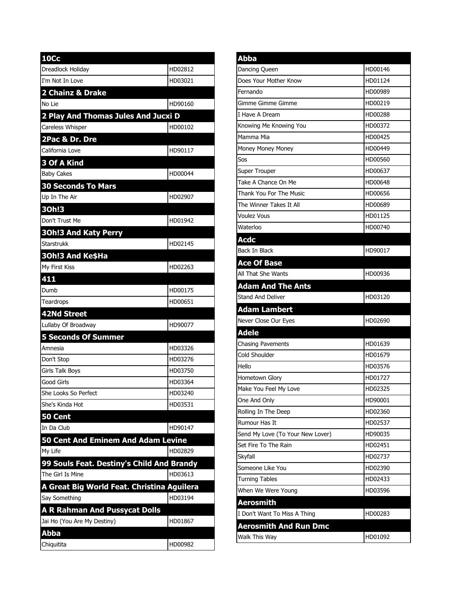| <b>10Cc</b>                                |         |
|--------------------------------------------|---------|
| Dreadlock Holiday                          | HD02812 |
| I'm Not In Love                            | HD03021 |
| 2 Chainz & Drake                           |         |
| No Lie                                     | HD90160 |
| 2 Play And Thomas Jules And Jucxi D        |         |
| Careless Whisper                           | HD00102 |
| 2Pac & Dr. Dre                             |         |
| California Love                            | HD90117 |
| 3 Of A Kind                                |         |
| <b>Baby Cakes</b>                          | HD00044 |
| <b>30 Seconds To Mars</b>                  |         |
| Up In The Air                              | HD02907 |
| 30h!3                                      |         |
| Don't Trust Me                             | HD01942 |
| <b>30h!3 And Katy Perry</b>                |         |
| <b>Starstrukk</b>                          | HD02145 |
| 30h!3 And Ke\$Ha                           |         |
| My First Kiss                              | HD02263 |
| 411                                        |         |
| Dumb                                       | HD00175 |
| Teardrops                                  | HD00651 |
|                                            |         |
| 42Nd Street                                |         |
| Lullaby Of Broadway                        | HD90077 |
| <b>5 Seconds Of Summer</b>                 |         |
| Amnesia                                    | HD03326 |
| Don't Stop                                 | HD03276 |
| Girls Talk Boys                            | HD03750 |
| Good Girls                                 | HD03364 |
| She Looks So Perfect                       | HD03240 |
| She's Kinda Hot                            | HD03531 |
| 50 Cent                                    |         |
| In Da Club                                 | HD90147 |
| 50 Cent And Eminem And Adam Levine         |         |
| My Life                                    | HD02829 |
| 99 Souls Feat. Destiny's Child And Brandy  |         |
| The Girl Is Mine                           | HD03613 |
| A Great Big World Feat. Christina Aguilera |         |
| Say Something                              | HD03194 |
| <b>A R Rahman And Pussycat Dolls</b>       |         |
| Jai Ho (You Are My Destiny)                | HD01867 |
| <b>Abba</b><br>Chiquitita                  |         |

| Abba                             |         |
|----------------------------------|---------|
| Dancing Queen                    | HD00146 |
| Does Your Mother Know            | HD01124 |
| Fernando                         | HD00989 |
| Gimme Gimme Gimme                | HD00219 |
| I Have A Dream                   | HD00288 |
| Knowing Me Knowing You           | HD00372 |
| Mamma Mia                        | HD00425 |
| Money Money Money                | HD00449 |
| Sos                              | HD00560 |
| Super Trouper                    | HD00637 |
| Take A Chance On Me              | HD00648 |
| Thank You For The Music          | HD00656 |
| The Winner Takes It All          | HD00689 |
| <b>Voulez Vous</b>               | HD01125 |
| Waterloo                         | HD00740 |
| <b>Acdc</b>                      |         |
| <b>Back In Black</b>             | HD90017 |
| <b>Ace Of Base</b>               |         |
| All That She Wants               | HD00936 |
| <b>Adam And The Ants</b>         |         |
| <b>Stand And Deliver</b>         | HD03120 |
| <b>Adam Lambert</b>              |         |
| Never Close Our Eyes             | HD02690 |
| <b>Adele</b>                     |         |
| <b>Chasing Pavements</b>         | HD01639 |
| Cold Shoulder                    | HD01679 |
| Hello                            | HD03576 |
| Hometown Glory                   | HD01727 |
| Make You Feel My Love            | HD02325 |
| One And Only                     | HD90001 |
| Rolling In The Deep              | HD02360 |
| Rumour Has It                    | HD02537 |
| Send My Love (To Your New Lover) | HD90035 |
| Set Fire To The Rain             | HD02451 |
| Skyfall                          | HD02737 |
| Someone Like You                 | HD02390 |
| <b>Turning Tables</b>            | HD02433 |
| When We Were Young               | HD03596 |
| <b>Aerosmith</b>                 |         |
| I Don't Want To Miss A Thing     | HD00283 |
|                                  |         |
| <b>Aerosmith And Run Dmc</b>     |         |
| Walk This Way                    | HD01092 |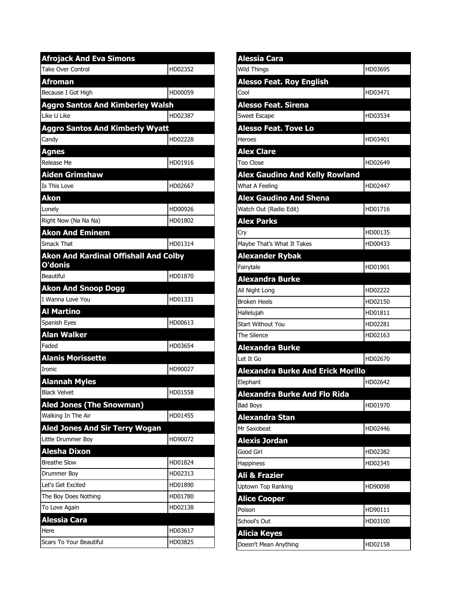| <b>Afrojack And Eva Simons</b>                          |         |  |
|---------------------------------------------------------|---------|--|
| <b>Take Over Control</b>                                | HD02352 |  |
| Afroman                                                 |         |  |
| Because I Got High                                      | HD00059 |  |
| <b>Aggro Santos And Kimberley Walsh</b>                 |         |  |
| Like U Like                                             | HD02387 |  |
| <b>Aggro Santos And Kimberly Wyatt</b>                  |         |  |
| Candy                                                   | HD02228 |  |
| <b>Agnes</b>                                            |         |  |
| Release Me                                              | HD01916 |  |
| <b>Aiden Grimshaw</b>                                   |         |  |
| Is This Love                                            | HD02667 |  |
| <b>Akon</b>                                             |         |  |
| Lonelv                                                  | HD00926 |  |
| Right Now (Na Na Na)                                    | HD01802 |  |
| <b>Akon And Eminem</b>                                  |         |  |
| Smack That                                              | HD01314 |  |
| <b>Akon And Kardinal Offishall And Colby</b><br>O'donis |         |  |
| <b>Beautiful</b>                                        | HD01870 |  |
| <b>Akon And Snoop Dogg</b>                              |         |  |
| I Wanna Love You                                        | HD01331 |  |
| <b>Al Martino</b>                                       |         |  |
| Spanish Eyes                                            | HD00613 |  |
| <b>Alan Walker</b>                                      |         |  |
| Faded                                                   | HD03654 |  |
| <b>Alanis Morissette</b>                                |         |  |
| Ironic                                                  | HD90027 |  |
| <b>Alannah Myles</b>                                    |         |  |
| <b>Black Velvet</b>                                     | HD01558 |  |
| <b>Aled Jones (The Snowman)</b>                         |         |  |
| Walking In The Air                                      | HD01455 |  |
| <b>Aled Jones And Sir Terry Wogan</b>                   |         |  |
| Little Drummer Boy                                      | HD90072 |  |
| Alesha Dixon                                            |         |  |
| <b>Breathe Slow</b>                                     | HD01824 |  |
| Drummer Boy                                             | HD02313 |  |
| Let's Get Excited                                       | HD01890 |  |
| The Boy Does Nothing                                    | HD01780 |  |
| To Love Again                                           | HD02138 |  |
| <b>Alessia Cara</b>                                     |         |  |
| Here                                                    | HD03617 |  |
| Scars To Your Beautiful                                 | HD03825 |  |

| <b>Alessia Cara</b>                      |         |
|------------------------------------------|---------|
| <b>Wild Things</b>                       | HD03695 |
| <b>Alesso Feat. Roy English</b>          |         |
| Cool                                     | HD03471 |
| <b>Alesso Feat. Sirena</b>               |         |
| Sweet Escape                             | HD03534 |
| <b>Alesso Feat. Tove Lo</b>              |         |
| Heroes                                   | HD03401 |
| <b>Alex Clare</b>                        |         |
| <b>Too Close</b>                         | HD02649 |
| <b>Alex Gaudino And Kelly Rowland</b>    |         |
| What A Feeling                           | HD02447 |
| <b>Alex Gaudino And Shena</b>            |         |
| Watch Out (Radio Edit)                   | HD01716 |
| <b>Alex Parks</b>                        |         |
| Cry                                      | HD00135 |
| Maybe That's What It Takes               | HD00433 |
| <b>Alexander Rybak</b>                   |         |
| Fairytale                                | HD01901 |
| <b>Alexandra Burke</b>                   |         |
| All Night Long                           | HD02222 |
| <b>Broken Heels</b>                      | HD02150 |
| Hallelujah                               | HD01811 |
| <b>Start Without You</b>                 | HD02281 |
| The Silence                              | HD02163 |
| <b>Alexandra Burke</b>                   |         |
| Let It Go                                | HD02670 |
| <b>Alexandra Burke And Erick Morillo</b> |         |
| Elephant                                 | HD02642 |
| <b>Alexandra Burke And Flo Rida</b>      |         |
| <b>Bad Boys</b>                          | HD01970 |
| Alexandra Stan                           |         |
| Mr Saxobeat                              | HD02446 |
| <b>Alexis Jordan</b>                     |         |
| Good Girl                                | HD02382 |
| <b>Happiness</b>                         | HD02345 |
| Ali & Frazier                            |         |
| <b>Uptown Top Ranking</b>                | HD90098 |
| <b>Alice Cooper</b>                      |         |
| Poison                                   | HD90111 |
| School's Out                             | HD03100 |
| <b>Alicia Keyes</b>                      |         |
| Doesn't Mean Anything                    | HD02158 |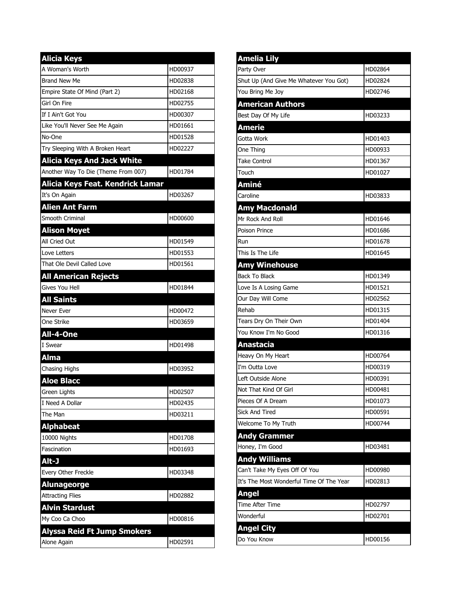| <b>Alicia Keys</b>                  |         |
|-------------------------------------|---------|
| A Woman's Worth                     | HD00937 |
| <b>Brand New Me</b>                 | HD02838 |
| Empire State Of Mind (Part 2)       | HD02168 |
| Girl On Fire                        | HD02755 |
| If I Ain't Got You                  | HD00307 |
| Like You'll Never See Me Again      | HD01661 |
| No-One                              | HD01528 |
| Try Sleeping With A Broken Heart    | HD02227 |
| <b>Alicia Keys And Jack White</b>   |         |
| Another Way To Die (Theme From 007) | HD01784 |
| Alicia Keys Feat. Kendrick Lamar    |         |
| It's On Again                       | HD03267 |
| <b>Alien Ant Farm</b>               |         |
| Smooth Criminal                     | HD00600 |
| <b>Alison Moyet</b>                 |         |
| All Cried Out                       | HD01549 |
| Love Letters                        | HD01553 |
| That Ole Devil Called Love          | HD01561 |
| <b>All American Rejects</b>         |         |
| Gives You Hell                      | HD01844 |
| <b>All Saints</b>                   |         |
| Never Ever                          | HD00472 |
| One Strike                          | HD03659 |
| All-4-One                           |         |
| I Swear                             | HD01498 |
| <b>Alma</b>                         |         |
| Chasing Highs                       | HD03952 |
| <b>Aloe Blacc</b>                   |         |
| <b>Green Lights</b>                 | HD02507 |
| I Need A Dollar                     | HD02435 |
| The Man                             | HD03211 |
| <b>Alphabeat</b>                    |         |
| 10000 Nights                        | HD01708 |
| Fascination                         | HD01693 |
| Alt-J                               |         |
| Every Other Freckle                 | HD03348 |
| <b>Alunageorge</b>                  |         |
| <b>Attracting Flies</b>             | HD02882 |
| <b>Alvin Stardust</b>               |         |
| My Coo Ca Choo                      | HD00816 |
| <b>Alyssa Reid Ft Jump Smokers</b>  |         |
| Alone Again                         | HD02591 |

| <b>Amelia Lily</b>                       |         |
|------------------------------------------|---------|
| Party Over                               | HD02864 |
| Shut Up (And Give Me Whatever You Got)   | HD02824 |
| You Bring Me Joy                         | HD02746 |
| <b>American Authors</b>                  |         |
| Best Day Of My Life                      | HD03233 |
| <b>Amerie</b>                            |         |
| Gotta Work                               | HD01403 |
| One Thing                                | HD00933 |
| <b>Take Control</b>                      | HD01367 |
| Touch                                    | HD01027 |
| Aminé                                    |         |
| Caroline                                 | HD03833 |
| <b>Amy Macdonald</b>                     |         |
| Mr Rock And Roll                         | HD01646 |
| <b>Poison Prince</b>                     | HD01686 |
| Run                                      | HD01678 |
| This Is The Life                         | HD01645 |
| <b>Amy Winehouse</b>                     |         |
| <b>Back To Black</b>                     | HD01349 |
| Love Is A Losing Game                    | HD01521 |
| Our Day Will Come                        | HD02562 |
| Rehab                                    | HD01315 |
| Tears Dry On Their Own                   | HD01404 |
| You Know I'm No Good                     | HD01316 |
| <b>Anastacia</b>                         |         |
| Heavy On My Heart                        | HD00764 |
| I'm Outta Love                           | HD00319 |
| Left Outside Alone                       | HD00391 |
| Not That Kind Of Girl                    | HD00481 |
| Pieces Of A Dream                        | HD01073 |
| Sick And Tired                           | HD00591 |
| Welcome To My Truth                      | HD00744 |
| <b>Andy Grammer</b>                      |         |
| Honey, I'm Good                          | HD03481 |
| <b>Andy Williams</b>                     |         |
| Can't Take My Eyes Off Of You            | HD00980 |
| It's The Most Wonderful Time Of The Year | HD02813 |
| <b>Angel</b>                             |         |
| <b>Time After Time</b>                   | HD02797 |
| Wonderful                                | HD02701 |
| <b>Angel City</b>                        |         |
| Do You Know                              | HD00156 |
|                                          |         |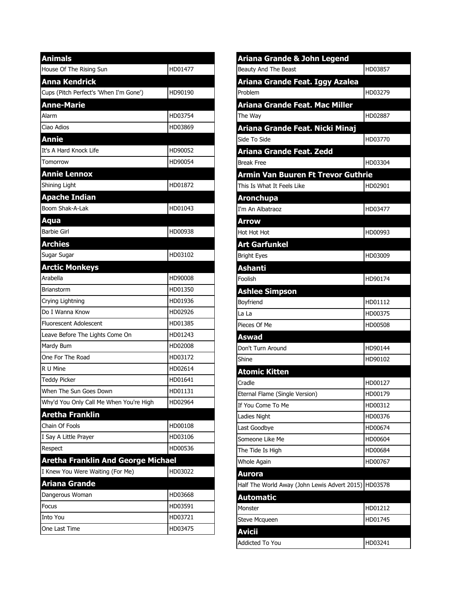| <b>Animals</b>                            |         |
|-------------------------------------------|---------|
| House Of The Rising Sun                   | HD01477 |
| Anna Kendrick                             |         |
| Cups (Pitch Perfect's 'When I'm Gone')    | HD90190 |
| <b>Anne-Marie</b>                         |         |
| Alarm                                     | HD03754 |
| Ciao Adios                                | HD03869 |
| <b>Annie</b>                              |         |
| It's A Hard Knock Life                    | HD90052 |
| Tomorrow                                  | HD90054 |
| <b>Annie Lennox</b>                       |         |
| Shining Light                             | HD01872 |
| <b>Apache Indian</b>                      |         |
| Boom Shak-A-Lak                           | HD01043 |
| Aqua                                      |         |
| <b>Barbie Girl</b>                        | HD00938 |
| <b>Archies</b>                            |         |
| Sugar Sugar                               | HD03102 |
| <b>Arctic Monkeys</b>                     |         |
| Arabella                                  | HD90008 |
| Brianstorm                                | HD01350 |
| Crying Lightning                          | HD01936 |
| Do I Wanna Know                           | HD02926 |
| <b>Fluorescent Adolescent</b>             | HD01385 |
| Leave Before The Lights Come On           | HD01243 |
| Mardy Bum                                 | HD02008 |
| One For The Road                          | HD03172 |
| R U Mine                                  | HD02614 |
| <b>Teddy Picker</b>                       | HD01641 |
| When The Sun Goes Down                    | HD01131 |
| Why'd You Only Call Me When You're High   | HD02964 |
| Aretha Franklin                           |         |
| Chain Of Fools                            | HD00108 |
| I Say A Little Prayer                     | HD03106 |
| Respect                                   | HD00536 |
| <b>Aretha Franklin And George Michael</b> |         |
| I Knew You Were Waiting (For Me)          | HD03022 |
| Ariana Grande                             |         |
| Dangerous Woman                           | HD03668 |
| Focus                                     | HD03591 |
| Into You                                  | HD03721 |
| One Last Time                             | HD03475 |

| Ariana Grande & John Legend                  |         |
|----------------------------------------------|---------|
| Beauty And The Beast                         | HD03857 |
| Ariana Grande Feat. Iggy Azalea              |         |
| Problem                                      | HD03279 |
| Ariana Grande Feat. Mac Miller               |         |
| The Way                                      | HD02887 |
| Ariana Grande Feat. Nicki Minaj              |         |
| Side To Side                                 | HD03770 |
| Ariana Grande Feat. Zedd                     |         |
| <b>Break Free</b>                            | HD03304 |
| <b>Armin Van Buuren Ft Trevor Guthrie</b>    |         |
| This Is What It Feels Like                   | HD02901 |
| <b>Aronchupa</b>                             |         |
| I'm An Albatraoz                             | HD03477 |
| <b>Arrow</b>                                 |         |
| Hot Hot Hot                                  | HD00993 |
| <b>Art Garfunkel</b>                         |         |
| <b>Bright Eyes</b>                           | HD03009 |
| <b>Ashanti</b>                               |         |
| Foolish                                      | HD90174 |
| <b>Ashlee Simpson</b>                        |         |
| Boyfriend                                    | HD01112 |
| La La                                        | HD00375 |
| Pieces Of Me                                 | HD00508 |
| <b>Aswad</b>                                 |         |
| Don't Turn Around                            | HD90144 |
| Shine                                        | HD90102 |
| <b>Atomic Kitten</b>                         |         |
| Cradle                                       | HD00127 |
| Eternal Flame (Single Version)               | HD00179 |
| If You Come To Me                            | HD00312 |
| Ladies Night                                 | HD00376 |
| Last Goodbye                                 | HD00674 |
| Someone Like Me                              | HD00604 |
| The Tide Is High                             | HD00684 |
| Whole Again                                  | HD00767 |
| Aurora                                       |         |
| Half The World Away (John Lewis Advert 2015) | HD03578 |
| <b>Automatic</b>                             |         |
| Monster                                      | HD01212 |
| Steve Mcqueen                                | HD01745 |
| <b>Avicii</b>                                |         |
| Addicted To You                              | HD03241 |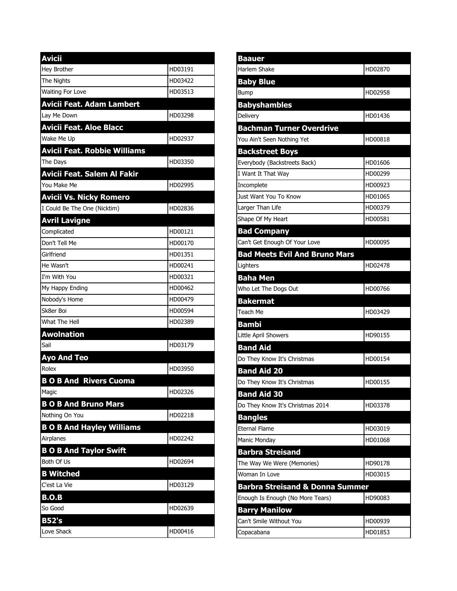| <b>Avicii</b>                      |         |
|------------------------------------|---------|
| Hey Brother                        | HD03191 |
| The Nights                         | HD03422 |
| Waiting For Love                   | HD03513 |
| <b>Avicii Feat. Adam Lambert</b>   |         |
| Lay Me Down                        | HD03298 |
| <b>Avicii Feat. Aloe Blacc</b>     |         |
| Wake Me Up                         | HD02937 |
| Avicii Feat. Robbie Williams       |         |
| The Days                           | HD03350 |
| <b>Avicii Feat. Salem Al Fakir</b> |         |
| You Make Me                        | HD02995 |
| <b>Avicii Vs. Nicky Romero</b>     |         |
| I Could Be The One (Nicktim)       | HD02836 |
| <b>Avril Lavigne</b>               |         |
| Complicated                        | HD00121 |
| Don't Tell Me                      | HD00170 |
| Girlfriend                         | HD01351 |
| He Wasn't                          | HD00241 |
| I'm With You                       | HD00321 |
| My Happy Ending                    | HD00462 |
| Nobody's Home                      | HD00479 |
| Sk8er Boi                          | HD00594 |
| What The Hell                      | HD02389 |
| <b>Awolnation</b>                  |         |
| Sail                               | HD03179 |
| <b>Ayo And Teo</b>                 |         |
| Rolex                              | HD03950 |
| <b>BOB And Rivers Cuoma</b>        |         |
| Magic                              | HD02326 |
| <b>B O B And Bruno Mars</b>        |         |
| Nothing On You                     | HD02218 |
| <b>B O B And Hayley Williams</b>   |         |
| Airplanes                          | HD02242 |
| <b>B O B And Taylor Swift</b>      |         |
| Both Of Us                         | HD02694 |
| <b>B Witched</b>                   |         |
| C'est La Vie                       | HD03129 |
| <b>B.O.B</b>                       |         |
| So Good                            | HD02639 |
| B52's                              |         |
| Love Shack                         | HD00416 |

| <b>Baauer</b>                              |         |
|--------------------------------------------|---------|
| Harlem Shake                               | HD02870 |
| <b>Baby Blue</b>                           |         |
| Bump                                       | HD02958 |
| <b>Babyshambles</b>                        |         |
| Delivery                                   | HD01436 |
| <b>Bachman Turner Overdrive</b>            |         |
| You Ain't Seen Nothing Yet                 | HD00818 |
| <b>Backstreet Boys</b>                     |         |
| Everybody (Backstreets Back)               | HD01606 |
| I Want It That Way                         | HD00299 |
| Incomplete                                 | HD00923 |
| Just Want You To Know                      | HD01065 |
| Larger Than Life                           | HD00379 |
| Shape Of My Heart                          | HD00581 |
| <b>Bad Company</b>                         |         |
| Can't Get Enough Of Your Love              | HD00095 |
| <b>Bad Meets Evil And Bruno Mars</b>       |         |
| Lighters                                   | HD02478 |
| <b>Baha Men</b>                            |         |
| Who Let The Dogs Out                       | HD00766 |
| <b>Bakermat</b>                            |         |
| Teach Me                                   | HD03429 |
| <b>Bambi</b>                               |         |
| Little April Showers                       | HD90155 |
| <b>Band Aid</b>                            |         |
| Do They Know It's Christmas                | HD00154 |
| <b>Band Aid 20</b>                         |         |
| Do They Know It's Christmas                | HD00155 |
| <b>Band Aid 30</b>                         |         |
| Do They Know It's Christmas 2014           | HD03378 |
| <b>Bangles</b>                             |         |
| <b>Eternal Flame</b>                       | HD03019 |
| Manic Monday                               | HD01068 |
| <b>Barbra Streisand</b>                    |         |
| The Way We Were (Memories)                 | HD90178 |
| Woman In Love                              | HD03015 |
| <b>Barbra Streisand &amp; Donna Summer</b> |         |
| Enough Is Enough (No More Tears)           | HD90083 |
| <b>Barry Manilow</b>                       |         |
| Can't Smile Without You                    | HD00939 |
| Copacabana                                 | HD01853 |
|                                            |         |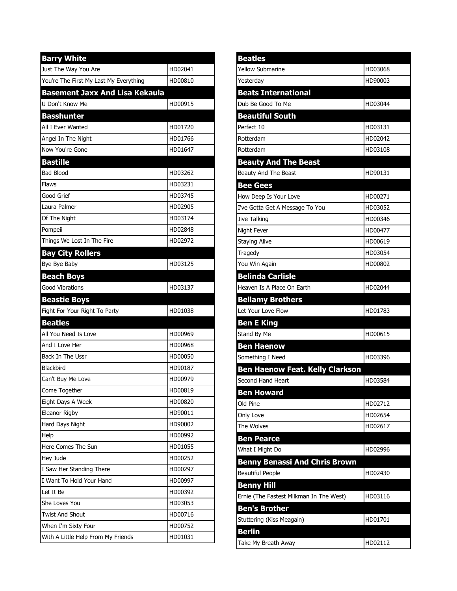| <b>Barry White</b>                                   |         |
|------------------------------------------------------|---------|
| Just The Way You Are                                 | HD02041 |
| You're The First My Last My Everything               | HD00810 |
| <b>Basement Jaxx And Lisa Kekaula</b>                |         |
| U Don't Know Me                                      | HD00915 |
| <b>Basshunter</b>                                    |         |
| All I Ever Wanted                                    | HD01720 |
| Angel In The Night                                   | HD01766 |
| Now You're Gone                                      | HD01647 |
| <b>Bastille</b>                                      |         |
| <b>Bad Blood</b>                                     | HD03262 |
| Flaws                                                | HD03231 |
| Good Grief                                           | HD03745 |
| Laura Palmer                                         | HD02905 |
| Of The Night                                         | HD03174 |
| Pompeii                                              | HD02848 |
| Things We Lost In The Fire                           | HD02972 |
| <b>Bay City Rollers</b>                              |         |
| Bye Bye Baby                                         | HD03125 |
| <b>Beach Boys</b>                                    |         |
| <b>Good Vibrations</b>                               | HD03137 |
|                                                      |         |
|                                                      |         |
| <b>Beastie Boys</b><br>Fight For Your Right To Party | HD01038 |
|                                                      |         |
| <b>Beatles</b><br>All You Need Is Love               | HD00969 |
| And I Love Her                                       | HD00968 |
| Back In The Ussr                                     | HD00050 |
| Blackbird                                            | HD90187 |
| Can't Buy Me Love                                    | HD00979 |
| Come Together                                        | HD00819 |
| Eight Days A Week                                    | HD00820 |
| Eleanor Rigby                                        | HD90011 |
| Hard Days Night                                      | HD90002 |
| Help                                                 | HD00992 |
| Here Comes The Sun                                   | HD01055 |
| Hey Jude                                             | HD00252 |
| I Saw Her Standing There                             | HD00297 |
| I Want To Hold Your Hand                             | HD00997 |
| Let It Be                                            | HD00392 |
| She Loves You                                        | HD03053 |
| <b>Twist And Shout</b>                               | HD00716 |
| When I'm Sixty Four                                  | HD00752 |

| <b>Beatles</b>                          |         |
|-----------------------------------------|---------|
| <b>Yellow Submarine</b>                 | HD03068 |
| Yesterday                               | HD90003 |
| <b>Beats International</b>              |         |
| Dub Be Good To Me                       | HD03044 |
| <b>Beautiful South</b>                  |         |
| Perfect 10                              | HD03131 |
| Rotterdam                               | HD02042 |
| Rotterdam                               | HD03108 |
| <b>Beauty And The Beast</b>             |         |
| Beauty And The Beast                    | HD90131 |
| <b>Bee Gees</b>                         |         |
| How Deep Is Your Love                   | HD00271 |
| I've Gotta Get A Message To You         | HD03052 |
| Jive Talking                            | HD00346 |
| Night Fever                             | HD00477 |
| <b>Staying Alive</b>                    | HD00619 |
| Tragedy                                 | HD03054 |
| You Win Again                           | HD00802 |
| <b>Belinda Carlisle</b>                 |         |
| Heaven Is A Place On Earth              | HD02044 |
| <b>Bellamy Brothers</b>                 |         |
| Let Your Love Flow                      | HD01783 |
| <b>Ben E King</b>                       |         |
| Stand By Me                             | HD00615 |
| <b>Ben Haenow</b>                       |         |
| Something I Need                        | HD03396 |
| <b>Ben Haenow Feat. Kelly Clarkson</b>  |         |
| Second Hand Heart                       | HD03584 |
| <b>Ben Howard</b>                       |         |
| Old Pine                                | HD02712 |
| Only Love                               | HD02654 |
| The Wolves                              | HD02617 |
| <b>Ben Pearce</b>                       |         |
| What I Might Do                         | HD02996 |
| <b>Benny Benassi And Chris Brown</b>    |         |
| <b>Beautiful People</b>                 | HD02430 |
| <b>Benny Hill</b>                       |         |
| Ernie (The Fastest Milkman In The West) | HD03116 |
| <b>Ben's Brother</b>                    |         |
| Stuttering (Kiss Meagain)               | HD01701 |
| <b>Berlin</b>                           |         |
| Take My Breath Away                     | HD02112 |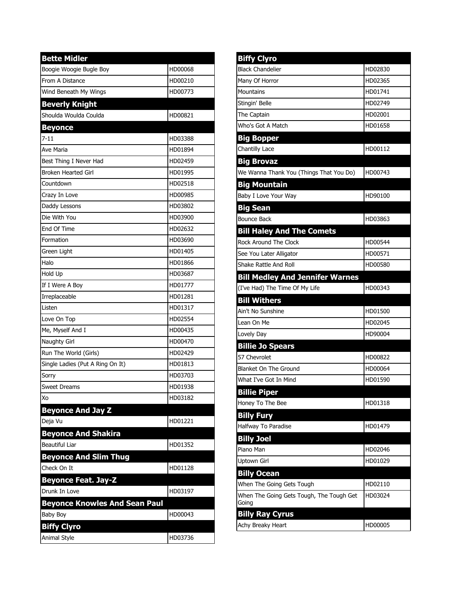| <b>Bette Midler</b>                  |         |
|--------------------------------------|---------|
| Boogie Woogie Bugle Boy              | HD00068 |
| From A Distance                      | HD00210 |
| Wind Beneath My Wings                | HD00773 |
| <b>Beverly Knight</b>                |         |
| Shoulda Woulda Coulda                | HD00821 |
| <b>Beyonce</b>                       |         |
| $7 - 11$                             | HD03388 |
| Ave Maria                            | HD01894 |
| Best Thing I Never Had               | HD02459 |
| <b>Broken Hearted Girl</b>           | HD01995 |
| Countdown                            | HD02518 |
| Crazy In Love                        | HD00985 |
| Daddy Lessons                        | HD03802 |
| Die With You                         | HD03900 |
| End Of Time                          | HD02632 |
| Formation                            | HD03690 |
| Green Light                          | HD01405 |
| Halo                                 | HD01866 |
| Hold Up                              | HD03687 |
| If I Were A Boy                      | HD01777 |
| Irreplaceable                        | HD01281 |
| Listen                               | HD01317 |
| Love On Top                          | HD02554 |
| Me, Myself And I                     | HD00435 |
| Naughty Girl                         | HD00470 |
| Run The World (Girls)                | HD02429 |
| Single Ladies (Put A Ring On It)     | HD01813 |
| Sorry                                | HD03703 |
| Sweet Dreams                         | HD01938 |
| Xo                                   | HD03182 |
| <b>Beyonce And Jay Z</b>             |         |
| Deja Vu                              | HD01221 |
| <b>Beyonce And Shakira</b>           |         |
| <b>Beautiful Liar</b>                | HD01352 |
| <b>Beyonce And Slim Thug</b>         |         |
| Check On It                          | HD01128 |
| <b>Beyonce Feat. Jay-Z</b>           |         |
| Drunk In Love                        | HD03197 |
| <b>Beyonce Knowles And Sean Paul</b> |         |
| Baby Boy                             | HD00043 |
| <b>Biffy Clyro</b>                   |         |
| Animal Style                         | HD03736 |

| <b>Biffy Clyro</b>                       |         |
|------------------------------------------|---------|
| <b>Black Chandelier</b>                  | HD02830 |
| Many Of Horror                           | HD02365 |
| Mountains                                | HD01741 |
| Stingin' Belle                           | HD02749 |
| The Captain                              | HD02001 |
| Who's Got A Match                        | HD01658 |
| <b>Big Bopper</b>                        |         |
| <b>Chantilly Lace</b>                    | HD00112 |
| <b>Big Brovaz</b>                        |         |
| We Wanna Thank You (Things That You Do)  | HD00743 |
| <b>Big Mountain</b>                      |         |
| Baby I Love Your Way                     | HD90100 |
| <b>Big Sean</b>                          |         |
| <b>Bounce Back</b>                       | HD03863 |
| <b>Bill Haley And The Comets</b>         |         |
| Rock Around The Clock                    | HD00544 |
| See You Later Alligator                  | HD00571 |
| Shake Rattle And Roll                    | HD00580 |
| <b>Bill Medley And Jennifer Warnes</b>   |         |
| (I've Had) The Time Of My Life           | HD00343 |
| <b>Bill Withers</b>                      |         |
| Ain't No Sunshine                        | HD01500 |
| Lean On Me                               | HD02045 |
| Lovely Day                               | HD90004 |
| <b>Billie Jo Spears</b>                  |         |
| 57 Chevrolet                             | HD00822 |
| <b>Blanket On The Ground</b>             | HD00064 |
| What I've Got In Mind                    | HD01590 |
| <b>Billie Piper</b>                      |         |
| Honey To The Bee                         | HD01318 |
| <b>Billy Fury</b>                        |         |
| Halfway To Paradise                      | HD01479 |
| <b>Billy Joel</b>                        |         |
| Piano Man                                | HD02046 |
| Uptown Girl                              | HD01029 |
| <b>Billy Ocean</b>                       |         |
| When The Going Gets Tough                | HD02110 |
| When The Going Gets Tough, The Tough Get | HD03024 |
| Going                                    |         |
| <b>Billy Ray Cyrus</b>                   |         |
| Achy Breaky Heart                        | HD00005 |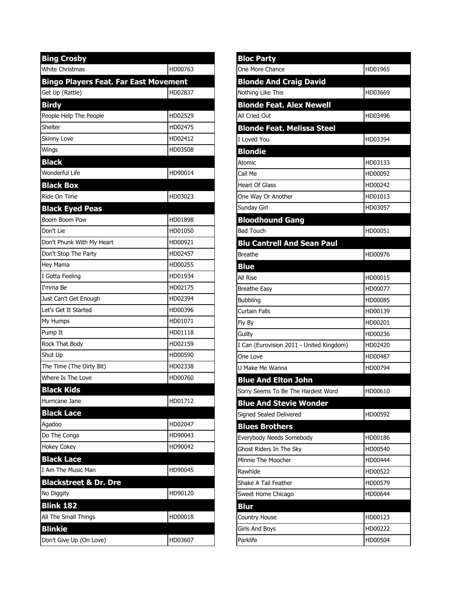| <b>Bing Crosby</b>                           |         |
|----------------------------------------------|---------|
| <b>White Christmas</b>                       | HD00763 |
| <b>Bingo Players Feat. Far East Movement</b> |         |
| Get Up (Rattle)                              | HD02837 |
| <b>Birdy</b>                                 |         |
| People Help The People                       | HD02529 |
| Shelter                                      | HD02475 |
| Skinny Love                                  | HD02412 |
| Wings                                        | HD03508 |
| <b>Black</b>                                 |         |
| <b>Wonderful Life</b>                        | HD90014 |
| <b>Black Box</b>                             |         |
| Ride On Time                                 | HD03023 |
| <b>Black Eyed Peas</b>                       |         |
| Boom Boom Pow                                | HD01898 |
| Don't Lie                                    | HD01050 |
| Don't Phunk With My Heart                    | HD00921 |
| Don't Stop The Party                         | HD02457 |
| Hey Mama                                     | HD00255 |
| I Gotta Feeling                              | HD01934 |
| I'mma Be                                     | HD02175 |
| Just Can't Get Enough                        | HD02394 |
| Let's Get It Started                         | HD00396 |
| My Humps                                     | HD01071 |
| Pump It                                      | HD01118 |
| Rock That Body                               | HD02159 |
| Shut Up                                      | HD00590 |
| The Time (The Dirty Bit)                     | HD02338 |
| Where Is The Love                            | HD00760 |
| <b>Black Kids</b>                            |         |
| Hurricane Jane                               | HD01712 |
| <b>Black Lace</b>                            |         |
| Agadoo                                       | HD02047 |
| Do The Conga                                 | HD90043 |
| <b>Hokey Cokey</b>                           | HD90042 |
| <b>Black Lace</b>                            |         |
| I Am The Music Man                           | HD90045 |
| <b>Blackstreet &amp; Dr. Dre</b>             |         |
| No Diggity                                   | HD90120 |
| <b>Blink 182</b>                             |         |
| All The Small Things                         | HD00018 |
| <b>Blinkie</b>                               |         |
| Don't Give Up (On Love)                      | HD03607 |

| <b>Bloc Party</b>                        |         |
|------------------------------------------|---------|
| One More Chance                          | HD01965 |
| <b>Blonde And Craig David</b>            |         |
| Nothing Like This                        | HD03669 |
| <b>Blonde Feat. Alex Newell</b>          |         |
| All Cried Out                            | HD03496 |
| <b>Blonde Feat. Melissa Steel</b>        |         |
| I Loved You                              | HD03394 |
| <b>Blondie</b>                           |         |
| Atomic                                   | HD03133 |
| Call Me                                  | HD00092 |
| <b>Heart Of Glass</b>                    | HD00242 |
| One Way Or Another                       | HD01013 |
| Sunday Girl                              | HD03057 |
| <b>Bloodhound Gang</b>                   |         |
| <b>Bad Touch</b>                         | HD00051 |
| <b>Blu Cantrell And Sean Paul</b>        |         |
| <b>Breathe</b>                           | HD00976 |
| <b>Blue</b>                              |         |
| All Rise                                 | HD00015 |
| <b>Breathe Easy</b>                      | HD00077 |
| <b>Bubbling</b>                          | HD00085 |
| Curtain Falls                            | HD00139 |
| Fly By                                   | HD00201 |
| Guilty                                   | HD00236 |
| I Can (Eurovision 2011 - United Kingdom) | HD02420 |
| One Love                                 | HD00487 |
| U Make Me Wanna                          | HD00794 |
| <b>Blue And Elton John</b>               |         |
| Sorry Seems To Be The Hardest Word       | HD00610 |
| <b>Blue And Stevie Wonder</b>            |         |
| Signed Sealed Delivered                  | HD00592 |
| <b>Blues Brothers</b>                    |         |
| Everybody Needs Somebody                 | HD00186 |
| Ghost Riders In The Sky                  | HD00540 |
| Minnie The Moocher                       | HD00444 |
| Rawhide                                  | HD00522 |
| Shake A Tail Feather                     | HD00579 |
| Sweet Home Chicago                       | HD00644 |
| <b>Blur</b>                              |         |
| <b>Country House</b>                     | HD00123 |
| Girls And Boys                           | HD00222 |
| Parklife                                 | HD00504 |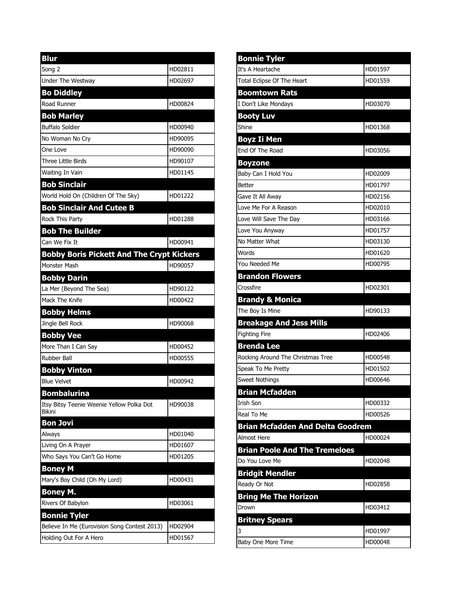| <b>Blur</b>                                      |                    |
|--------------------------------------------------|--------------------|
| Song 2                                           | HD02811            |
| Under The Westway                                | HD02697            |
| <b>Bo Diddley</b>                                |                    |
| Road Runner                                      | HD00824            |
| <b>Bob Marley</b>                                |                    |
| <b>Buffalo Soldier</b>                           | HD00940            |
| No Woman No Cry                                  | HD90095            |
| One Love                                         | HD90090            |
| Three Little Birds                               | HD90107            |
| Waiting In Vain                                  | HD01145            |
| <b>Bob Sinclair</b>                              |                    |
| World Hold On (Children Of The Sky)              | HD01222            |
| <b>Bob Sinclair And Cutee B</b>                  |                    |
| Rock This Party                                  | HD01288            |
| <b>Bob The Builder</b>                           |                    |
| Can We Fix It                                    | HD00941            |
| <b>Bobby Boris Pickett And The Crypt Kickers</b> |                    |
| Monster Mash                                     | HD90057            |
| <b>Bobby Darin</b>                               |                    |
| La Mer (Beyond The Sea)                          | HD90122            |
| Mack The Knife                                   | HD00422            |
| <b>Bobby Helms</b>                               |                    |
| Jingle Bell Rock                                 | HD90068            |
| <b>Bobby Vee</b>                                 |                    |
| More Than I Can Say                              | HD00452            |
| <b>Rubber Ball</b>                               | HD00555            |
| <b>Bobby Vinton</b>                              |                    |
| <b>Blue Velvet</b>                               | HD00942            |
| <b>Bombalurina</b>                               |                    |
| Itsy Bitsy Teenie Weenie Yellow Polka Dot        | HD90038            |
| <b>Bikini</b>                                    |                    |
| <b>Bon Jovi</b>                                  |                    |
| Always                                           | HD01040<br>HD01607 |
| Living On A Prayer<br>Who Says You Can't Go Home | HD01205            |
|                                                  |                    |
| <b>Boney M</b>                                   |                    |
| Mary's Boy Child (Oh My Lord)                    | HD00431            |
| <b>Boney M.</b>                                  |                    |
| Rivers Of Babylon                                | HD03061            |
| <b>Bonnie Tyler</b>                              |                    |
| Believe In Me (Eurovision Song Contest 2013)     | HD02904            |
| Holding Out For A Hero                           | HD01567            |

| <b>Bonnie Tyler</b>                     |         |
|-----------------------------------------|---------|
| It's A Heartache                        | HD01597 |
| Total Eclipse Of The Heart              | HD01559 |
| <b>Boomtown Rats</b>                    |         |
| I Don't Like Mondays                    | HD03070 |
| <b>Booty Luv</b>                        |         |
| Shine                                   | HD01368 |
| Boyz Ii Men                             |         |
| End Of The Road                         | HD03056 |
| <b>Boyzone</b>                          |         |
| Baby Can I Hold You                     | HD02009 |
| <b>Better</b>                           | HD01797 |
| Gave It All Away                        | HD02156 |
| Love Me For A Reason                    | HD02010 |
| Love Will Save The Day                  | HD03166 |
| Love You Anyway                         | HD01757 |
| No Matter What                          | HD03130 |
| Words                                   | HD01620 |
| You Needed Me                           | HD00795 |
| <b>Brandon Flowers</b>                  |         |
| Crossfire                               | HD02301 |
| <b>Brandy &amp; Monica</b>              |         |
|                                         |         |
| The Boy Is Mine                         | HD90133 |
| <b>Breakage And Jess Mills</b>          |         |
| <b>Fighting Fire</b>                    | HD02406 |
| <b>Brenda Lee</b>                       |         |
| Rocking Around The Christmas Tree       | HD00548 |
| Speak To Me Pretty                      | HD01502 |
| <b>Sweet Nothings</b>                   | HD00646 |
| <b>Brian Mcfadden</b>                   |         |
| <b>Irish Son</b>                        | HD00332 |
| Real To Me                              | HD00526 |
| <b>Brian Mcfadden And Delta Goodrem</b> |         |
| <b>Almost Here</b>                      | HD00024 |
| <b>Brian Poole And The Tremeloes</b>    |         |
| Do You Love Me                          | HD02048 |
| <b>Bridgit Mendler</b>                  |         |
| Ready Or Not                            | HD02858 |
| <b>Bring Me The Horizon</b>             |         |
| Drown                                   | HD03412 |
| <b>Britney Spears</b>                   |         |
| 3                                       | HD01997 |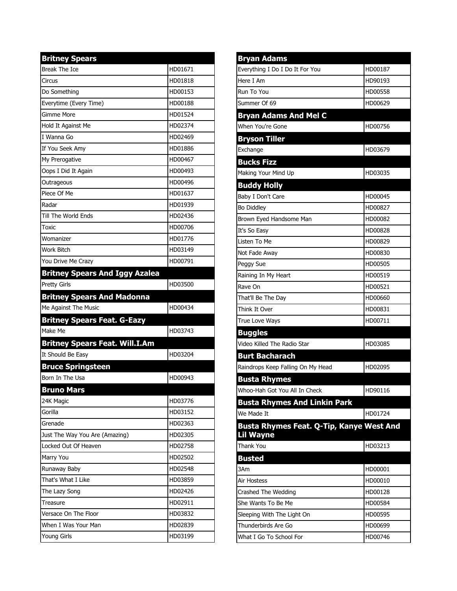| <b>Britney Spears</b>                                      |         |
|------------------------------------------------------------|---------|
| Break The Ice                                              | HD01671 |
| Circus                                                     | HD01818 |
| Do Something                                               | HD00153 |
| Everytime (Every Time)                                     | HD00188 |
| <b>Gimme More</b>                                          | HD01524 |
| Hold It Against Me                                         | HD02374 |
| I Wanna Go                                                 | HD02469 |
| If You Seek Amy                                            | HD01886 |
| My Prerogative                                             | HD00467 |
| Oops I Did It Again                                        | HD00493 |
| Outrageous                                                 | HD00496 |
| Piece Of Me                                                | HD01637 |
| Radar                                                      | HD01939 |
| Till The World Ends                                        | HD02436 |
| Toxic                                                      | HD00706 |
| Womanizer                                                  | HD01776 |
| <b>Work Bitch</b>                                          | HD03149 |
| You Drive Me Crazy                                         | HD00791 |
| <b>Britney Spears And Iggy Azalea</b>                      |         |
| <b>Pretty Girls</b>                                        | HD03500 |
| <b>Britney Spears And Madonna</b>                          |         |
|                                                            |         |
| Me Against The Music                                       | HD00434 |
| <b>Britney Spears Feat. G-Eazy</b>                         |         |
| Make Me                                                    | HD03743 |
|                                                            |         |
| <b>Britney Spears Feat. Will.I.Am</b><br>It Should Be Easy | HD03204 |
|                                                            |         |
| <b>Bruce Springsteen</b><br>Born In The Usa                | HD00943 |
|                                                            |         |
| <b>Bruno Mars</b><br>24K Magic                             | HD03776 |
| Gorilla                                                    | HD03152 |
| Grenade                                                    | HD02363 |
| Just The Way You Are (Amazing)                             | HD02305 |
| Locked Out Of Heaven                                       | HD02758 |
| Marry You                                                  | HD02502 |
| Runaway Baby                                               | HD02548 |
| That's What I Like                                         | HD03859 |
| The Lazy Song                                              | HD02426 |
| Treasure                                                   | HD02911 |
| Versace On The Floor                                       | HD03832 |
| When I Was Your Man                                        | HD02839 |

| <b>Bryan Adams</b>                       |         |
|------------------------------------------|---------|
| Everything I Do I Do It For You          | HD00187 |
| Here I Am                                | HD90193 |
| Run To You                               | HD00558 |
| Summer Of 69                             | HD00629 |
| <b>Bryan Adams And Mel C</b>             |         |
| When You're Gone                         | HD00756 |
| <b>Bryson Tiller</b>                     |         |
| Exchange                                 | HD03679 |
| <b>Bucks Fizz</b>                        |         |
| Making Your Mind Up                      | HD03035 |
| <b>Buddy Holly</b>                       |         |
| Baby I Don't Care                        | HD00045 |
| <b>Bo Diddley</b>                        | HD00827 |
| Brown Eyed Handsome Man                  | HD00082 |
| It's So Easy                             | HD00828 |
| Listen To Me                             | HD00829 |
| Not Fade Away                            | HD00830 |
| Peggy Sue                                | HD00505 |
| Raining In My Heart                      | HD00519 |
| lRave On                                 | HD00521 |
| That'll Be The Day                       | HD00660 |
| Think It Over                            | HD00831 |
| True Love Ways                           | HD00711 |
| <b>Buggles</b>                           |         |
| Video Killed The Radio Star              | HD03085 |
| <b>Burt Bacharach</b>                    |         |
| Raindrops Keep Falling On My Head        | HD02095 |
| <b>Busta Rhymes</b>                      |         |
| Whoo-Hah Got You All In Check            | HD90116 |
| <b>Busta Rhymes And Linkin Park</b>      |         |
| We Made It                               | HD01724 |
| Busta Rhymes Feat. Q-Tip, Kanye West And |         |
| <b>Lil Wayne</b>                         |         |
| Thank You                                | HD03213 |
| <b>Busted</b>                            |         |
| 3Am                                      | HD00001 |
| Air Hostess                              | HD00010 |
| Crashed The Wedding                      | HD00128 |
| She Wants To Be Me                       | HD00584 |
| Sleeping With The Light On               | HD00595 |
| Thunderbirds Are Go                      | HD00699 |
| What I Go To School For                  | HD00746 |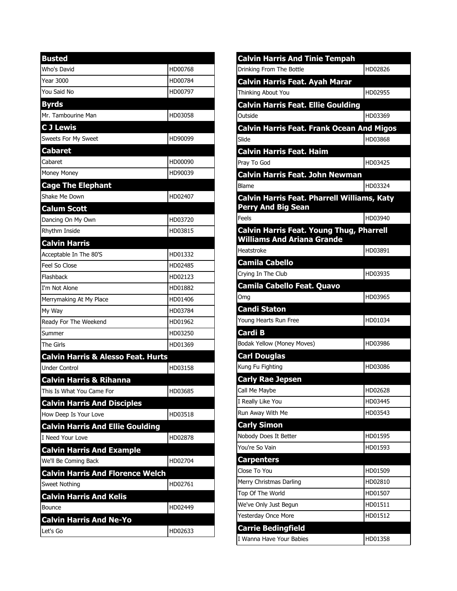| <b>Busted</b>                                 |         |
|-----------------------------------------------|---------|
| Who's David                                   | HD00768 |
| <b>Year 3000</b>                              | HD00784 |
| You Said No                                   | HD00797 |
| <b>Byrds</b>                                  |         |
| Mr. Tambourine Man                            | HD03058 |
| <b>CJ Lewis</b>                               |         |
| Sweets For My Sweet                           | HD90099 |
| <b>Cabaret</b>                                |         |
| Cabaret                                       | HD00090 |
| Money Money                                   | HD90039 |
| <b>Cage The Elephant</b>                      |         |
| Shake Me Down                                 | HD02407 |
| <b>Calum Scott</b>                            |         |
| Dancing On My Own                             | HD03720 |
| Rhythm Inside                                 | HD03815 |
| <b>Calvin Harris</b>                          |         |
| Acceptable In The 80'S                        | HD01332 |
| Feel So Close                                 | HD02485 |
| Flashback                                     | HD02123 |
| I'm Not Alone                                 | HD01882 |
| Merrymaking At My Place                       | HD01406 |
| My Way                                        | HD03784 |
| Ready For The Weekend                         | HD01962 |
| Summer                                        | HD03250 |
| The Girls                                     | HD01369 |
| <b>Calvin Harris &amp; Alesso Feat. Hurts</b> |         |
| <b>Under Control</b>                          | HD03158 |
| <b>Calvin Harris &amp; Rihanna</b>            |         |
| This Is What You Came For                     | HD03685 |
| <b>Calvin Harris And Disciples</b>            |         |
| How Deep Is Your Love                         | HD03518 |
| <b>Calvin Harris And Ellie Goulding</b>       |         |
| I Need Your Love                              | HD02878 |
| <b>Calvin Harris And Example</b>              |         |
| We'll Be Coming Back                          | HD02704 |
| <b>Calvin Harris And Florence Welch</b>       |         |
| Sweet Nothing                                 | HD02761 |
| <b>Calvin Harris And Kelis</b>                |         |
| Bounce                                        | HD02449 |
| <b>Calvin Harris And Ne-Yo</b>                |         |
| Let's Go                                      | HD02633 |

| <b>Calvin Harris And Tinie Tempah</b>                                                |         |
|--------------------------------------------------------------------------------------|---------|
| Drinking From The Bottle                                                             | HD02826 |
| <b>Calvin Harris Feat. Ayah Marar</b>                                                |         |
| Thinking About You                                                                   | HD02955 |
| <b>Calvin Harris Feat. Ellie Goulding</b>                                            |         |
| Outside                                                                              | HD03369 |
| <b>Calvin Harris Feat. Frank Ocean And Migos</b>                                     |         |
| Slide                                                                                | HD03868 |
| <b>Calvin Harris Feat. Haim</b>                                                      |         |
| Pray To God                                                                          | HD03425 |
| <b>Calvin Harris Feat. John Newman</b>                                               |         |
| Blame                                                                                | HD03324 |
| <b>Calvin Harris Feat. Pharrell Williams, Katy</b><br><b>Perry And Big Sean</b>      |         |
| Feels                                                                                | HD03940 |
| <b>Calvin Harris Feat. Young Thug, Pharrell</b><br><b>Williams And Ariana Grande</b> |         |
| Heatstroke                                                                           | HD03891 |
| <b>Camila Cabello</b>                                                                |         |
| Crying In The Club                                                                   | HD03935 |
| <b>Camila Cabello Feat. Quavo</b>                                                    |         |
| Omg                                                                                  | HD03965 |
| <b>Candi Staton</b>                                                                  |         |
| Young Hearts Run Free                                                                | HD01034 |
| <b>Cardi B</b>                                                                       |         |
| Bodak Yellow (Money Moves)                                                           | HD03986 |
| <b>Carl Douglas</b>                                                                  |         |
| Kung Fu Fighting                                                                     | HD03086 |
| <b>Carly Rae Jepsen</b>                                                              |         |
| Call Me Maybe                                                                        | HD02628 |
| I Really Like You                                                                    | HD03445 |
| Run Away With Me                                                                     | HD03543 |
| <b>Carly Simon</b>                                                                   |         |
| Nobody Does It Better                                                                | HD01595 |
|                                                                                      |         |
| You're So Vain                                                                       | HD01593 |
| <b>Carpenters</b>                                                                    |         |
| Close To You                                                                         | HD01509 |
| Merry Christmas Darling                                                              | HD02810 |
| Top Of The World                                                                     | HD01507 |
| We've Only Just Begun                                                                | HD01511 |
| Yesterday Once More                                                                  | HD01512 |
| <b>Carrie Bedingfield</b><br>I Wanna Have Your Babies                                | HD01358 |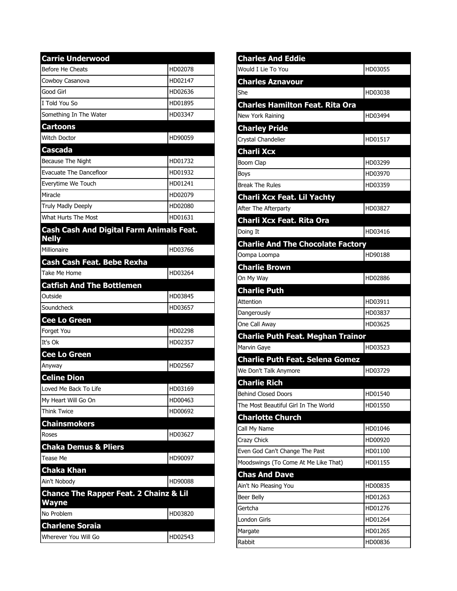| <b>Carrie Underwood</b>                                           |         |
|-------------------------------------------------------------------|---------|
| Before He Cheats                                                  | HD02078 |
| Cowboy Casanova                                                   | HD02147 |
| Good Girl                                                         | HD02636 |
| I Told You So                                                     | HD01895 |
| Something In The Water                                            | HD03347 |
| <b>Cartoons</b>                                                   |         |
| <b>Witch Doctor</b>                                               | HD90059 |
| <b>Cascada</b>                                                    |         |
| Because The Night                                                 | HD01732 |
| <b>Evacuate The Dancefloor</b>                                    | HD01932 |
| Everytime We Touch                                                | HD01241 |
| Miracle                                                           | HD02079 |
| <b>Truly Madly Deeply</b>                                         | HD02080 |
| What Hurts The Most                                               | HD01631 |
| <b>Cash Cash And Digital Farm Animals Feat.</b><br><b>Nelly</b>   |         |
| Millionaire                                                       | HD03766 |
| <b>Cash Cash Feat. Bebe Rexha</b>                                 |         |
| Take Me Home                                                      | HD03264 |
| <b>Catfish And The Bottlemen</b>                                  |         |
| Outside                                                           | HD03845 |
| Soundcheck                                                        | HD03657 |
| Cee Lo Green                                                      |         |
| Forget You                                                        | HD02298 |
| It's Ok                                                           | HD02357 |
| <b>Cee Lo Green</b>                                               |         |
| Anyway                                                            | HD02567 |
| <b>Celine Dion</b>                                                |         |
| Loved Me Back To Life                                             | HD03169 |
| My Heart Will Go On                                               | HD00463 |
| Think Twice                                                       | HD00692 |
| <b>Chainsmokers</b>                                               |         |
| Roses                                                             | HD03627 |
| <b>Chaka Demus &amp; Pliers</b>                                   |         |
| Tease Me                                                          | HD90097 |
| <b>Chaka Khan</b>                                                 |         |
| Ain't Nobody                                                      | HD90088 |
| <b>Chance The Rapper Feat. 2 Chainz &amp; Lil</b><br><b>Wayne</b> |         |
| No Problem                                                        | HD03820 |
| <b>Charlene Soraia</b>                                            |         |
| Wherever You Will Go                                              | HD02543 |

| HD03055<br>HD03038<br><b>Charles Hamilton Feat. Rita Ora</b><br>HD03494<br>HD01517<br>HD03299<br>Boom Clap<br>HD03970<br>HD03359<br>HD03827<br>HD03416<br><b>Charlie And The Chocolate Factory</b><br>HD90188<br>HD02886<br>HD03911<br>Attention<br>HD03837<br>HD03625<br><b>Charlie Puth Feat. Meghan Trainor</b><br>HD03523<br>HD03729<br>HD01540<br>HD01550<br>Call My Name<br>HD01046<br>HD00920<br>HD01100<br>HD01155<br>HD00835<br>HD01263<br>Gertcha<br>HD01276<br>HD01264<br>HD01265<br>HD00836 | <b>Charles And Eddie</b>               |  |
|---------------------------------------------------------------------------------------------------------------------------------------------------------------------------------------------------------------------------------------------------------------------------------------------------------------------------------------------------------------------------------------------------------------------------------------------------------------------------------------------------------|----------------------------------------|--|
|                                                                                                                                                                                                                                                                                                                                                                                                                                                                                                         | Would I Lie To You                     |  |
|                                                                                                                                                                                                                                                                                                                                                                                                                                                                                                         | <b>Charles Aznavour</b>                |  |
|                                                                                                                                                                                                                                                                                                                                                                                                                                                                                                         | She                                    |  |
|                                                                                                                                                                                                                                                                                                                                                                                                                                                                                                         |                                        |  |
|                                                                                                                                                                                                                                                                                                                                                                                                                                                                                                         | New York Raining                       |  |
|                                                                                                                                                                                                                                                                                                                                                                                                                                                                                                         | <b>Charley Pride</b>                   |  |
|                                                                                                                                                                                                                                                                                                                                                                                                                                                                                                         | Crystal Chandelier                     |  |
|                                                                                                                                                                                                                                                                                                                                                                                                                                                                                                         | <b>Charli Xcx</b>                      |  |
|                                                                                                                                                                                                                                                                                                                                                                                                                                                                                                         |                                        |  |
|                                                                                                                                                                                                                                                                                                                                                                                                                                                                                                         | Boys                                   |  |
|                                                                                                                                                                                                                                                                                                                                                                                                                                                                                                         | <b>Break The Rules</b>                 |  |
|                                                                                                                                                                                                                                                                                                                                                                                                                                                                                                         | <b>Charli Xcx Feat. Lil Yachty</b>     |  |
|                                                                                                                                                                                                                                                                                                                                                                                                                                                                                                         | After The Afterparty                   |  |
|                                                                                                                                                                                                                                                                                                                                                                                                                                                                                                         | <b>Charli Xcx Feat. Rita Ora</b>       |  |
|                                                                                                                                                                                                                                                                                                                                                                                                                                                                                                         | Doing It                               |  |
|                                                                                                                                                                                                                                                                                                                                                                                                                                                                                                         |                                        |  |
|                                                                                                                                                                                                                                                                                                                                                                                                                                                                                                         | Oompa Loompa                           |  |
|                                                                                                                                                                                                                                                                                                                                                                                                                                                                                                         | <b>Charlie Brown</b>                   |  |
|                                                                                                                                                                                                                                                                                                                                                                                                                                                                                                         | On My Way                              |  |
|                                                                                                                                                                                                                                                                                                                                                                                                                                                                                                         | <b>Charlie Puth</b>                    |  |
|                                                                                                                                                                                                                                                                                                                                                                                                                                                                                                         |                                        |  |
|                                                                                                                                                                                                                                                                                                                                                                                                                                                                                                         | Dangerously                            |  |
|                                                                                                                                                                                                                                                                                                                                                                                                                                                                                                         | One Call Away                          |  |
|                                                                                                                                                                                                                                                                                                                                                                                                                                                                                                         |                                        |  |
|                                                                                                                                                                                                                                                                                                                                                                                                                                                                                                         | Marvin Gaye                            |  |
|                                                                                                                                                                                                                                                                                                                                                                                                                                                                                                         | <b>Charlie Puth Feat. Selena Gomez</b> |  |
|                                                                                                                                                                                                                                                                                                                                                                                                                                                                                                         | We Don't Talk Anymore                  |  |
|                                                                                                                                                                                                                                                                                                                                                                                                                                                                                                         | <b>Charlie Rich</b>                    |  |
|                                                                                                                                                                                                                                                                                                                                                                                                                                                                                                         | <b>Behind Closed Doors</b>             |  |
|                                                                                                                                                                                                                                                                                                                                                                                                                                                                                                         | The Most Beautiful Girl In The World   |  |
|                                                                                                                                                                                                                                                                                                                                                                                                                                                                                                         | <b>Charlotte Church</b>                |  |
|                                                                                                                                                                                                                                                                                                                                                                                                                                                                                                         |                                        |  |
|                                                                                                                                                                                                                                                                                                                                                                                                                                                                                                         | Crazy Chick                            |  |
|                                                                                                                                                                                                                                                                                                                                                                                                                                                                                                         | Even God Can't Change The Past         |  |
|                                                                                                                                                                                                                                                                                                                                                                                                                                                                                                         | Moodswings (To Come At Me Like That)   |  |
|                                                                                                                                                                                                                                                                                                                                                                                                                                                                                                         | <b>Chas And Dave</b>                   |  |
|                                                                                                                                                                                                                                                                                                                                                                                                                                                                                                         | Ain't No Pleasing You                  |  |
|                                                                                                                                                                                                                                                                                                                                                                                                                                                                                                         | Beer Belly                             |  |
|                                                                                                                                                                                                                                                                                                                                                                                                                                                                                                         |                                        |  |
|                                                                                                                                                                                                                                                                                                                                                                                                                                                                                                         | London Girls                           |  |
|                                                                                                                                                                                                                                                                                                                                                                                                                                                                                                         | Margate                                |  |
|                                                                                                                                                                                                                                                                                                                                                                                                                                                                                                         | Rabbit                                 |  |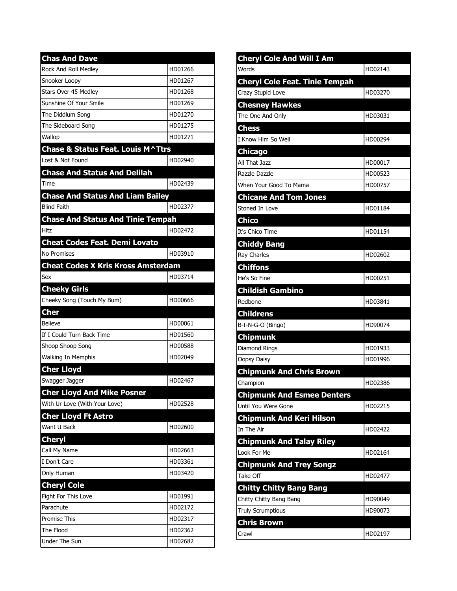| <b>Chas And Dave</b>                      |         |
|-------------------------------------------|---------|
| Rock And Roll Medley                      | HD01266 |
| Snooker Loopy                             | HD01267 |
| Stars Over 45 Medlev                      | HD01268 |
| Sunshine Of Your Smile                    | HD01269 |
| The Diddlum Song                          | HD01270 |
| The Sideboard Song                        | HD01275 |
| Wallop                                    | HD01271 |
| Chase & Status Feat. Louis M^Ttrs         |         |
| Lost & Not Found                          | HD02940 |
| <b>Chase And Status And Delilah</b>       |         |
| Time                                      | HD02439 |
| <b>Chase And Status And Liam Bailey</b>   |         |
| <b>Blind Faith</b>                        | HD02377 |
| <b>Chase And Status And Tinie Tempah</b>  |         |
| Hitz                                      | HD02472 |
| <b>Cheat Codes Feat. Demi Lovato</b>      |         |
| No Promises                               | HD03910 |
| <b>Cheat Codes X Kris Kross Amsterdam</b> |         |
| Sex                                       | HD03714 |
| <b>Cheeky Girls</b>                       |         |
| Cheeky Song (Touch My Bum)                | HD00666 |
| <b>Cher</b>                               |         |
| <b>Believe</b>                            | HD00061 |
| If I Could Turn Back Time                 | HD01560 |
| Shoop Shoop Song                          | HD00588 |
| Walking In Memphis                        | HD02049 |
| <b>Cher Lloyd</b>                         |         |
| Swagger Jagger                            | HD02467 |
| <b>Cher Lloyd And Mike Posner</b>         |         |
| With Ur Love (With Your Love)             | HD02528 |
| <b>Cher Lloyd Ft Astro</b>                |         |
| Want U Back                               | HD02600 |
| <b>Cheryl</b>                             |         |
| Call My Name                              | HD02663 |
| I Don't Care                              | HD03361 |
| Only Human                                | HD03420 |
| <b>Cheryl Cole</b>                        |         |
| Fight For This Love                       | HD01991 |
| Parachute                                 | HD02172 |
| <b>Promise This</b>                       | HD02317 |
| The Flood                                 | HD02362 |
| Under The Sun                             | HD02682 |

| <b>Cheryl Cole And Will I Am</b>      |         |
|---------------------------------------|---------|
| <b>Words</b>                          | HD02143 |
| <b>Cheryl Cole Feat. Tinie Tempah</b> |         |
| Crazy Stupid Love                     | HD03270 |
| <b>Chesney Hawkes</b>                 |         |
| The One And Only                      | HD03031 |
| <b>Chess</b>                          |         |
| I Know Him So Well                    | HD00294 |
| <b>Chicago</b>                        |         |
| All That Jazz                         | HD00017 |
| Razzle Dazzle                         | HD00523 |
| lWhen Your Good To Mama               | HD00757 |
| <b>Chicane And Tom Jones</b>          |         |
| Stoned In Love                        | HD01184 |
| <b>Chico</b>                          |         |
| It's Chico Time                       | HD01154 |
| <b>Chiddy Bang</b>                    |         |
| <b>Ray Charles</b>                    | HD02602 |
| <b>Chiffons</b>                       |         |
| He's So Fine                          | HD00251 |
| <b>Childish Gambino</b>               |         |
| Redbone                               | HD03841 |
| <b>Childrens</b>                      |         |
| B-I-N-G-O (Bingo)                     | HD90074 |
| <b>Chipmunk</b>                       |         |
| Diamond Rings                         | HD01933 |
| Oopsy Daisy                           | HD01996 |
| <b>Chipmunk And Chris Brown</b>       |         |
| Champion                              | HD02386 |
| <b>Chipmunk And Esmee Denters</b>     |         |
| Until You Were Gone                   | HD02215 |
| <b>Chipmunk And Keri Hilson</b>       |         |
| In The Air                            | HD02422 |
| <b>Chipmunk And Talay Riley</b>       |         |
| Look For Me                           | HD02164 |
| <b>Chipmunk And Trey Songz</b>        |         |
| Take Off                              | HD02477 |
| <b>Chitty Chitty Bang Bang</b>        |         |
| Chitty Chitty Bang Bang               | HD90049 |
| <b>Truly Scrumptious</b>              | HD90073 |
| <b>Chris Brown</b>                    |         |
| Crawl                                 | HD02197 |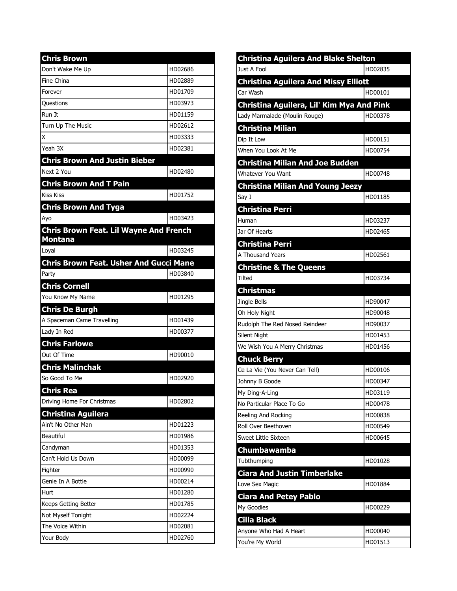| <b>Chris Brown</b>                                              |         |
|-----------------------------------------------------------------|---------|
| Don't Wake Me Up                                                | HD02686 |
| Fine China                                                      | HD02889 |
| Forever                                                         | HD01709 |
| Ouestions                                                       | HD03973 |
| Run It                                                          | HD01159 |
| Turn Up The Music                                               | HD02612 |
| X                                                               | HD03333 |
| Yeah 3X                                                         | HD02381 |
| <b>Chris Brown And Justin Bieber</b>                            |         |
| Next 2 You                                                      | HD02480 |
| <b>Chris Brown And T Pain</b>                                   |         |
| <b>Kiss Kiss</b>                                                | HD01752 |
| <b>Chris Brown And Tyga</b>                                     |         |
| Ayo                                                             | HD03423 |
| <b>Chris Brown Feat. Lil Wayne And French</b><br><b>Montana</b> |         |
| Loyal                                                           | HD03245 |
| <b>Chris Brown Feat. Usher And Gucci Mane</b>                   |         |
| Party                                                           | HD03840 |
| <b>Chris Cornell</b>                                            |         |
| You Know My Name                                                | HD01295 |
| <b>Chris De Burgh</b>                                           |         |
| A Spaceman Came Travelling                                      | HD01439 |
| Lady In Red                                                     | HD00377 |
| <b>Chris Farlowe</b>                                            |         |
| Out Of Time                                                     | HD90010 |
| <b>Chris Malinchak</b>                                          |         |
| So Good To Me                                                   | HD02920 |
| <b>Chris Rea</b>                                                |         |
| Driving Home For Christmas                                      | HD02802 |
| <b>Christina Aguilera</b>                                       |         |
| Ain't No Other Man                                              | HD01223 |
| <b>Beautiful</b>                                                | HD01986 |
| Candyman                                                        | HD01353 |
| Can't Hold Us Down                                              | HD00099 |
| Fighter                                                         | HD00990 |
| Genie In A Bottle                                               | HD00214 |
| Hurt                                                            | HD01280 |
| Keeps Getting Better                                            | HD01785 |
| Not Myself Tonight                                              | HD02224 |
| The Voice Within                                                | HD02081 |
| Your Body                                                       | HD02760 |

| <b>Christina Aguilera And Blake Shelton</b> |         |
|---------------------------------------------|---------|
| Just A Fool                                 | HD02835 |
| <b>Christina Aguilera And Missy Elliott</b> |         |
| Car Wash                                    | HD00101 |
| Christina Aguilera, Lil' Kim Mya And Pink   |         |
| Lady Marmalade (Moulin Rouge)               | HD00378 |
| <b>Christina Milian</b>                     |         |
| Dip It Low                                  | HD00151 |
| When You Look At Me                         | HD00754 |
| <b>Christina Milian And Joe Budden</b>      |         |
| <b>Whatever You Want</b>                    | HD00748 |
| <b>Christina Milian And Young Jeezy</b>     |         |
| Say I                                       | HD01185 |
| <b>Christina Perri</b>                      |         |
| Human                                       | HD03237 |
| Jar Of Hearts                               | HD02465 |
| <b>Christina Perri</b>                      |         |
| A Thousand Years                            | HD02561 |
| <b>Christine &amp; The Queens</b>           |         |
| Tilted                                      | HD03734 |
| <b>Christmas</b>                            |         |
| Jingle Bells                                | HD90047 |
| Oh Holy Night                               | HD90048 |
| Rudolph The Red Nosed Reindeer              | HD90037 |
| Silent Night                                | HD01453 |
| We Wish You A Merry Christmas               | HD01456 |
| <b>Chuck Berry</b>                          |         |
| Ce La Vie (You Never Can Tell)              | HD00106 |
| Johnny B Goode                              | HD00347 |
| My Ding-A-Ling                              | HD03119 |
| No Particular Place To Go                   | HD00478 |
| Reeling And Rocking                         | HD00838 |
| Roll Over Beethoven                         | HD00549 |
| Sweet Little Sixteen                        | HD00645 |
| Chumbawamba                                 |         |
| Tubthumping                                 | HD01028 |
| <b>Ciara And Justin Timberlake</b>          |         |
| Love Sex Magic                              | HD01884 |
| <b>Ciara And Petey Pablo</b>                |         |
| My Goodies                                  | HD00229 |
| <b>Cilla Black</b>                          |         |
| Anyone Who Had A Heart                      | HD00040 |
| You're My World                             | HD01513 |
|                                             |         |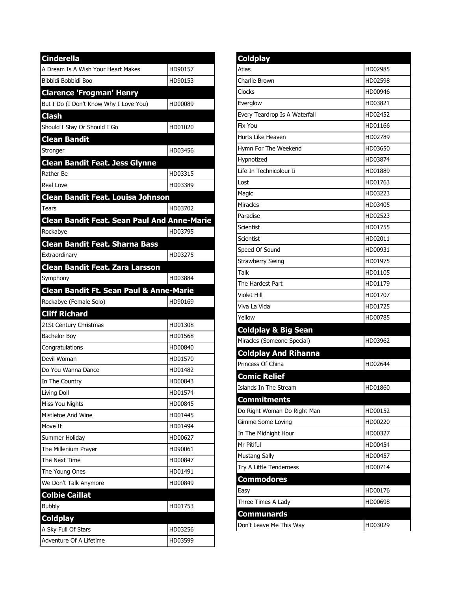| <b>Cinderella</b>                                                                  |         |
|------------------------------------------------------------------------------------|---------|
| A Dream Is A Wish Your Heart Makes                                                 | HD90157 |
| Bibbidi Bobbidi Boo                                                                | HD90153 |
| <b>Clarence 'Frogman' Henry</b>                                                    |         |
| But I Do (I Don't Know Why I Love You)                                             | HD00089 |
| <b>Clash</b>                                                                       |         |
| Should I Stay Or Should I Go                                                       | HD01020 |
| <b>Clean Bandit</b>                                                                |         |
| Stronger                                                                           | HD03456 |
| <b>Clean Bandit Feat. Jess Glynne</b>                                              |         |
| Rather Be                                                                          | HD03315 |
| Real Love                                                                          | HD03389 |
| <b>Clean Bandit Feat. Louisa Johnson</b>                                           |         |
| Tears                                                                              | HD03702 |
| <b>Clean Bandit Feat. Sean Paul And Anne-Marie</b>                                 |         |
| Rockabye                                                                           | HD03795 |
| <b>Clean Bandit Feat. Sharna Bass</b>                                              |         |
| Extraordinary                                                                      | HD03275 |
| <b>Clean Bandit Feat. Zara Larsson</b>                                             |         |
| Symphony                                                                           | HD03884 |
| <b>Clean Bandit Ft. Sean Paul &amp; Anne-Marie</b>                                 |         |
| Rockabye (Female Solo)                                                             | HD90169 |
|                                                                                    |         |
| <b>Cliff Richard</b>                                                               |         |
| 21St Century Christmas                                                             | HD01308 |
| <b>Bachelor Boy</b>                                                                | HD01568 |
| Congratulations                                                                    | HD00840 |
| Devil Woman                                                                        | HD01570 |
| Do You Wanna Dance                                                                 | HD01482 |
|                                                                                    | HD00843 |
|                                                                                    | HD01574 |
|                                                                                    | HD00845 |
| Mistletoe And Wine                                                                 | HD01445 |
| In The Country<br>Living Doll<br>Miss You Nights<br>Move It                        | HD01494 |
| Summer Holiday                                                                     | HD00627 |
|                                                                                    | HD90061 |
| The Next Time                                                                      | HD00847 |
|                                                                                    | HD01491 |
|                                                                                    | HD00849 |
| <b>Colbie Caillat</b>                                                              |         |
| <b>Bubbly</b>                                                                      | HD01753 |
| The Millenium Prayer<br>The Young Ones<br>We Don't Talk Anymore<br><b>Coldplay</b> |         |
| A Sky Full Of Stars                                                                | HD03256 |

| Coldplay                       |         |
|--------------------------------|---------|
| Atlas                          | HD02985 |
| Charlie Brown                  | HD02598 |
| Clocks                         | HD00946 |
| Everglow                       | HD03821 |
| Every Teardrop Is A Waterfall  | HD02452 |
| Fix You                        | HD01166 |
| Hurts Like Heaven              | HD02789 |
| Hymn For The Weekend           | HD03650 |
| Hypnotized                     | HD03874 |
| Life In Technicolour Ii        | HD01889 |
| Lost                           | HD01763 |
| Magic                          | HD03223 |
| Miracles                       | HD03405 |
| Paradise                       | HD02523 |
| Scientist                      | HD01755 |
| Scientist                      | HD02011 |
| Speed Of Sound                 | HD00931 |
| <b>Strawberry Swing</b>        | HD01975 |
| Talk                           | HD01105 |
| The Hardest Part               | HD01179 |
| Violet Hill                    | HD01707 |
| Viva La Vida                   | HD01725 |
| Yellow                         | HD00785 |
| <b>Coldplay &amp; Big Sean</b> |         |
| Miracles (Someone Special)     | HD03962 |
| <b>Coldplay And Rihanna</b>    |         |
| Princess Of China              | HD02644 |
| <b>Comic Relief</b>            |         |
| Islands In The Stream          | HD01860 |
| Commitments                    |         |
| Do Right Woman Do Right Man    | HD00152 |
| Gimme Some Loving              | HD00220 |
| In The Midnight Hour           | HD00327 |
| Mr Pitiful                     | HD00454 |
| <b>Mustang Sally</b>           | HD00457 |
| Try A Little Tenderness        | HD00714 |
| <b>Commodores</b>              |         |
| Easy                           | HD00176 |
| Three Times A Lady             | HD00698 |
| Communards                     |         |
| Don't Leave Me This Way        | HD03029 |
|                                |         |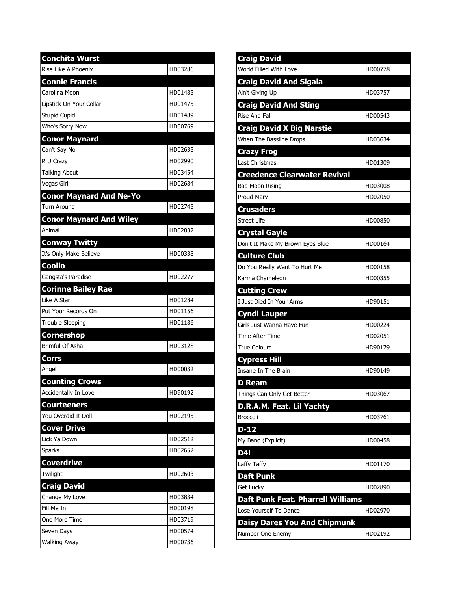| <b>Conchita Wurst</b>          |         |
|--------------------------------|---------|
| Rise Like A Phoenix            | HD03286 |
| <b>Connie Francis</b>          |         |
| Carolina Moon                  | HD01485 |
| Lipstick On Your Collar        | HD01475 |
| Stupid Cupid                   | HD01489 |
| Who's Sorry Now                | HD00769 |
| <b>Conor Maynard</b>           |         |
| Can't Say No                   | HD02635 |
| R U Crazy                      | HD02990 |
| <b>Talking About</b>           | HD03454 |
| Vegas Girl                     | HD02684 |
| <b>Conor Maynard And Ne-Yo</b> |         |
| Turn Around                    | HD02745 |
| <b>Conor Maynard And Wiley</b> |         |
| Animal                         | HD02832 |
| <b>Conway Twitty</b>           |         |
| It's Only Make Believe         | HD00338 |
| <b>Coolio</b>                  |         |
| Gangsta's Paradise             | HD02277 |
| <b>Corinne Bailey Rae</b>      |         |
| Like A Star                    | HD01284 |
| Put Your Records On            | HD01156 |
| <b>Trouble Sleeping</b>        | HD01186 |
| Cornershop                     |         |
| Brimful Of Asha                | HD03128 |
| Corrs                          |         |
| Angel                          | HD00032 |
| <b>Counting Crows</b>          |         |
| Accidentally In Love           | HD90192 |
| <b>Courteeners</b>             |         |
| You Overdid It Doll            | HD02195 |
| <b>Cover Drive</b>             |         |
| Lick Ya Down                   | HD02512 |
| Sparks                         | HD02652 |
| <b>Coverdrive</b>              |         |
| Twilight                       | HD02603 |
| <b>Craig David</b>             |         |
| Change My Love                 | HD03834 |
| Fill Me In                     | HD00198 |
| One More Time                  | HD03719 |
| Seven Days                     | HD00574 |
| <b>Walking Away</b>            | HD00736 |

| <b>Craig David</b>                       |         |
|------------------------------------------|---------|
| World Filled With Love                   | HD00778 |
| <b>Craig David And Sigala</b>            |         |
| Ain't Giving Up                          | HD03757 |
| <b>Craig David And Sting</b>             |         |
| Rise And Fall                            | HD00543 |
| <b>Craig David X Big Narstie</b>         |         |
| When The Bassline Drops                  | HD03634 |
| <b>Crazy Frog</b>                        |         |
| Last Christmas                           | HD01309 |
| <b>Creedence Clearwater Revival</b>      |         |
| <b>Bad Moon Rising</b>                   | HD03008 |
| Proud Mary                               | HD02050 |
| <b>Crusaders</b>                         |         |
| <b>Street Life</b>                       | HD00850 |
| <b>Crystal Gayle</b>                     |         |
| Don't It Make My Brown Eyes Blue         | HD00164 |
| <b>Culture Club</b>                      |         |
| Do You Really Want To Hurt Me            | HD00158 |
| Karma Chameleon                          | HD00355 |
| <b>Cutting Crew</b>                      |         |
| I Just Died In Your Arms                 | HD90151 |
| <b>Cyndi Lauper</b>                      |         |
| Girls Just Wanna Have Fun                | HD00224 |
| Time After Time                          | HD02051 |
| <b>True Colours</b>                      | HD90179 |
| <b>Cypress Hill</b>                      |         |
| Insane In The Brain                      | HD90149 |
| <b>D</b> Ream                            |         |
| Things Can Only Get Better               | HD03067 |
| D.R.A.M. Feat. Lil Yachty                |         |
| <b>Broccoli</b>                          | HD03761 |
| $D-12$                                   |         |
| My Band (Explicit)                       | HD00458 |
| D4I                                      |         |
| Laffy Taffy                              | HD01170 |
| <b>Daft Punk</b>                         |         |
| Get Lucky                                | HD02890 |
| <b>Daft Punk Feat. Pharrell Williams</b> |         |
| Lose Yourself To Dance                   | HD02970 |
| <b>Daisy Dares You And Chipmunk</b>      |         |
| Number One Enemy                         | HD02192 |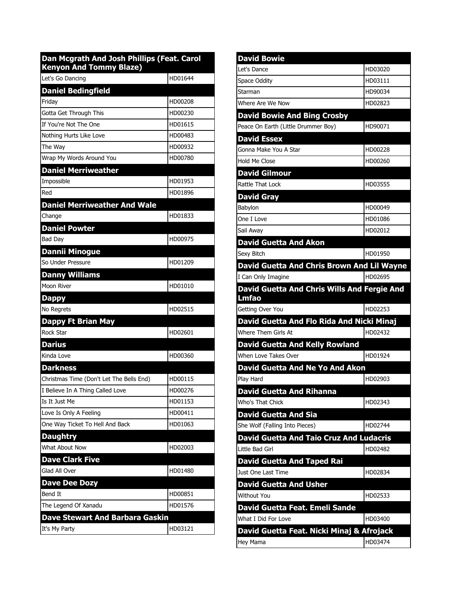| Dan Mcgrath And Josh Phillips (Feat. Carol<br><b>Kenyon And Tommy Blaze)</b> |         |
|------------------------------------------------------------------------------|---------|
| Let's Go Dancing                                                             | HD01644 |
| <b>Daniel Bedingfield</b>                                                    |         |
| Friday                                                                       | HD00208 |
| Gotta Get Through This                                                       | HD00230 |
| If You're Not The One                                                        | HD01615 |
| Nothing Hurts Like Love                                                      | HD00483 |
| The Way                                                                      | HD00932 |
| Wrap My Words Around You                                                     | HD00780 |
| <b>Daniel Merriweather</b>                                                   |         |
| Impossible                                                                   | HD01953 |
| Red                                                                          | HD01896 |
| <b>Daniel Merriweather And Wale</b>                                          |         |
| Change                                                                       | HD01833 |
| <b>Daniel Powter</b>                                                         |         |
| Bad Day                                                                      | HD00975 |
| <b>Dannii Minogue</b>                                                        |         |
| So Under Pressure                                                            | HD01209 |
| <b>Danny Williams</b>                                                        |         |
| Moon River                                                                   | HD01010 |
| Dappy                                                                        |         |
| No Regrets                                                                   | HD02515 |
| <b>Dappy Ft Brian May</b>                                                    |         |
| Rock Star                                                                    | HD02601 |
| <b>Darius</b>                                                                |         |
| Kinda Love                                                                   | HD00360 |
| <b>Darkness</b>                                                              |         |
| Christmas Time (Don't Let The Bells End)                                     | HD00115 |
| I Believe In A Thing Called Love                                             | HD00276 |
| Is It Just Me                                                                | HD01153 |
| Love Is Only A Feeling                                                       | HD00411 |
| One Way Ticket To Hell And Back                                              | HD01063 |
| <b>Daughtry</b>                                                              |         |
| What About Now                                                               | HD02003 |
| <b>Dave Clark Five</b>                                                       |         |
| Glad All Over                                                                | HD01480 |
| <b>Dave Dee Dozy</b>                                                         |         |
| Bend It                                                                      | HD00851 |
| The Legend Of Xanadu                                                         | HD01576 |
| Dave Stewart And Barbara Gaskin                                              |         |
| It's My Party                                                                | HD03121 |

| <b>David Bowie</b>                                          |         |
|-------------------------------------------------------------|---------|
| Let's Dance                                                 | HD03020 |
| Space Oddity                                                | HD03111 |
| Starman                                                     | HD90034 |
| Where Are We Now                                            | HD02823 |
| <b>David Bowie And Bing Crosby</b>                          |         |
| Peace On Earth (Little Drummer Boy)                         | HD90071 |
| <b>David Essex</b>                                          |         |
| Gonna Make You A Star                                       | HD00228 |
| Hold Me Close                                               | HD00260 |
| <b>David Gilmour</b>                                        |         |
| Rattle That Lock                                            | HD03555 |
| <b>David Gray</b>                                           |         |
| Babylon                                                     | HD00049 |
| One I Love                                                  | HD01086 |
| Sail Away                                                   | HD02012 |
| <b>David Guetta And Akon</b>                                |         |
| Sexy Bitch                                                  | HD01950 |
| <b>David Guetta And Chris Brown And Lil Wayne</b>           |         |
| I Can Only Imagine                                          | HD02695 |
| David Guetta And Chris Wills And Fergie And<br><b>Lmfao</b> |         |
| Getting Over You                                            | HD02253 |
| David Guetta And Flo Rida And Nicki Minaj                   |         |
|                                                             |         |
| Where Them Girls At                                         | HD02432 |
| <b>David Guetta And Kelly Rowland</b>                       |         |
| When Love Takes Over                                        | HD01924 |
| <b>David Guetta And Ne Yo And Akon</b>                      |         |
| Play Hard                                                   | HD02903 |
| <b>David Guetta And Rihanna</b>                             |         |
| Who's That Chick                                            | HD02343 |
| <b>David Guetta And Sia</b>                                 |         |
| She Wolf (Falling Into Pieces)                              | HD02744 |
| <b>David Guetta And Taio Cruz And Ludacris</b>              |         |
| Little Bad Girl                                             | HD02482 |
| <b>David Guetta And Taped Rai</b>                           |         |
| Just One Last Time                                          | HD02834 |
| <b>David Guetta And Usher</b>                               |         |
| <b>Without You</b>                                          | HD02533 |
| David Guetta Feat. Emeli Sande                              |         |
| What I Did For Love                                         | HD03400 |
| David Guetta Feat. Nicki Minaj & Afrojack                   |         |
| Hey Mama                                                    | HD03474 |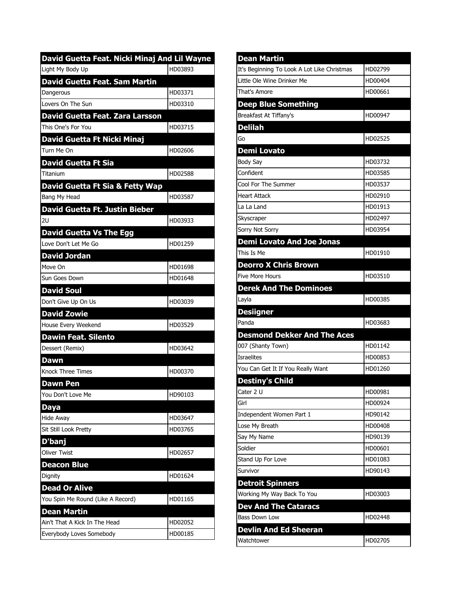| David Guetta Feat. Nicki Minaj And Lil Wayne |         |
|----------------------------------------------|---------|
| Light My Body Up                             | HD03893 |
| <b>David Guetta Feat. Sam Martin</b>         |         |
| Dangerous                                    | HD03371 |
| Lovers On The Sun                            | HD03310 |
| David Guetta Feat. Zara Larsson              |         |
| This One's For You                           | HD03715 |
| David Guetta Ft Nicki Minaj                  |         |
| Turn Me On                                   | HD02606 |
| <b>David Guetta Ft Sia</b>                   |         |
| Titanium                                     | HD02588 |
| David Guetta Ft Sia & Fetty Wap              |         |
| Bang My Head                                 | HD03587 |
| David Guetta Ft. Justin Bieber               |         |
| 2U                                           | HD03933 |
| <b>David Guetta Vs The Egg</b>               |         |
| Love Don't Let Me Go                         | HD01259 |
| <b>David Jordan</b>                          |         |
| Move On                                      | HD01698 |
| Sun Goes Down                                | HD01648 |
| <b>David Soul</b>                            |         |
| Don't Give Up On Us                          | HD03039 |
| <b>David Zowie</b>                           |         |
| House Every Weekend                          | HD03529 |
| <b>Dawin Feat. Silento</b>                   |         |
| Dessert (Remix)                              | HD03642 |
| Dawn                                         |         |
| <b>Knock Three Times</b>                     | HD00370 |
| <b>Dawn Pen</b>                              |         |
| You Don't Love Me                            | HD90103 |
| Daya                                         |         |
| Hide Away                                    | HD03647 |
| Sit Still Look Pretty                        | HD03765 |
| D'banj                                       |         |
| <b>Oliver Twist</b>                          | HD02657 |
| Deacon Blue                                  |         |
| Dignity                                      | HD01624 |
| <b>Dead Or Alive</b>                         |         |
| You Spin Me Round (Like A Record)            | HD01165 |
| <b>Dean Martin</b>                           |         |
| Ain't That A Kick In The Head                | HD02052 |
| Everybody Loves Somebody                     | HD00185 |

| <b>Dean Martin</b>                          |         |
|---------------------------------------------|---------|
| It's Beginning To Look A Lot Like Christmas | HD02799 |
| Little Ole Wine Drinker Me                  | HD00404 |
| That's Amore                                | HD00661 |
| <b>Deep Blue Something</b>                  |         |
| Breakfast At Tiffany's                      | HD00947 |
| <b>Delilah</b>                              |         |
| Go                                          | HD02525 |
| <b>Demi Lovato</b>                          |         |
| Body Say                                    | HD03732 |
| Confident                                   | HD03585 |
| Cool For The Summer                         | HD03537 |
| <b>Heart Attack</b>                         | HD02910 |
| La La Land                                  | HD01913 |
| Skyscraper                                  | HD02497 |
| Sorry Not Sorry                             | HD03954 |
| <b>Demi Lovato And Joe Jonas</b>            |         |
| This Is Me                                  | HD01910 |
| <b>Deorro X Chris Brown</b>                 |         |
| <b>Five More Hours</b>                      | HD03510 |
| <b>Derek And The Dominoes</b>               |         |
| Layla                                       | HD00385 |
|                                             |         |
| <b>Desiigner</b>                            |         |
| Panda                                       | HD03683 |
| <b>Desmond Dekker And The Aces</b>          |         |
| 007 (Shanty Town)                           | HD01142 |
| <b>Israelites</b>                           | HD00853 |
| You Can Get It If You Really Want           | HD01260 |
| <b>Destiny's Child</b>                      |         |
| Cater 2 U                                   | HD00981 |
| Girl                                        | HD00924 |
| Independent Women Part 1                    | HD90142 |
| Lose My Breath                              | HD00408 |
| Say My Name                                 | HD90139 |
| Soldier                                     | HD00601 |
| Stand Up For Love                           | HD01083 |
| Survivor                                    | HD90143 |
| <b>Detroit Spinners</b>                     |         |
| Working My Way Back To You                  | HD03003 |
| <b>Dev And The Cataracs</b>                 |         |
| <b>Bass Down Low</b>                        | HD02448 |
| <b>Devlin And Ed Sheeran</b>                |         |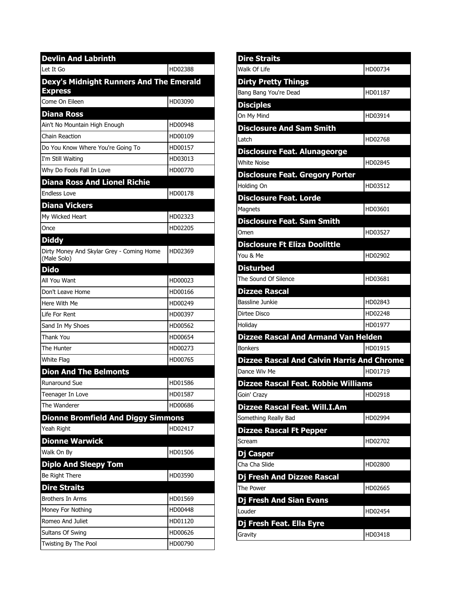| <b>Devlin And Labrinth</b>                                |         |
|-----------------------------------------------------------|---------|
| Let It Go                                                 | HD02388 |
| Dexy's Midnight Runners And The Emerald<br><b>Express</b> |         |
| Come On Eileen                                            | HD03090 |
| <b>Diana Ross</b>                                         |         |
| Ain't No Mountain High Enough                             | HD00948 |
| Chain Reaction                                            | HD00109 |
| Do You Know Where You're Going To                         | HD00157 |
| I'm Still Waiting                                         | HD03013 |
| Why Do Fools Fall In Love                                 | HD00770 |
| <b>Diana Ross And Lionel Richie</b>                       |         |
| <b>Endless Love</b>                                       | HD00178 |
| <b>Diana Vickers</b>                                      |         |
| My Wicked Heart                                           | HD02323 |
| Once                                                      | HD02205 |
| <b>Diddy</b>                                              |         |
| Dirty Money And Skylar Grey - Coming Home<br>(Male Solo)  | HD02369 |
| <b>Dido</b>                                               |         |
| All You Want                                              | HD00023 |
| Don't Leave Home                                          | HD00166 |
| Here With Me                                              | HD00249 |
| Life For Rent                                             | HD00397 |
| Sand In My Shoes                                          | HD00562 |
| Thank You                                                 | HD00654 |
| The Hunter                                                | HD00273 |
| White Flag                                                | HD00765 |
| <b>Dion And The Belmonts</b>                              |         |
| <b>Runaround Sue</b>                                      | HD01586 |
| Teenager In Love                                          | HD01587 |
| The Wanderer                                              | HD00686 |
| <b>Dionne Bromfield And Diggy Simmons</b>                 |         |
| Yeah Right                                                | HD02417 |
| <b>Dionne Warwick</b>                                     |         |
| Walk On By                                                | HD01506 |
| <b>Diplo And Sleepy Tom</b>                               |         |
| Be Right There                                            | HD03590 |
| <b>Dire Straits</b>                                       |         |
| <b>Brothers In Arms</b>                                   | HD01569 |
| Money For Nothing                                         | HD00448 |
| Romeo And Juliet                                          | HD01120 |
| Sultans Of Swing                                          | HD00626 |
| Twisting By The Pool                                      | HD00790 |

| <b>Dire Straits</b>                               |         |
|---------------------------------------------------|---------|
| Walk Of Life                                      | HD00734 |
| <b>Dirty Pretty Things</b>                        |         |
| Bang Bang You're Dead                             | HD01187 |
| <b>Disciples</b>                                  |         |
| On My Mind                                        | HD03914 |
| <b>Disclosure And Sam Smith</b>                   |         |
| I atch                                            | HD02768 |
| <b>Disclosure Feat. Alunageorge</b>               |         |
| <b>White Noise</b>                                | HD02845 |
| <b>Disclosure Feat. Gregory Porter</b>            |         |
| Holding On                                        | HD03512 |
| <b>Disclosure Feat. Lorde</b>                     |         |
| Magnets                                           | HD03601 |
| <b>Disclosure Feat. Sam Smith</b>                 |         |
| Omen                                              | HD03527 |
| <b>Disclosure Ft Eliza Doolittle</b>              |         |
| You & Me                                          | HD02902 |
| <b>Disturbed</b>                                  |         |
| The Sound Of Silence                              | HD03681 |
| <b>Dizzee Rascal</b>                              |         |
|                                                   |         |
| Bassline Junkie                                   | HD02843 |
| Dirtee Disco                                      | HD02248 |
| Holiday                                           | HD01977 |
| <b>Dizzee Rascal And Armand Van Helden</b>        |         |
| <b>Bonkers</b>                                    | HD01915 |
| <b>Dizzee Rascal And Calvin Harris And Chrome</b> |         |
| Dance Wiv Me                                      | HD01719 |
| <b>Dizzee Rascal Feat. Robbie Williams</b>        |         |
| Goin' Crazy                                       | HD02918 |
| Dizzee Rascal Feat. Will. I.Am                    |         |
| Something Really Bad                              | HD02994 |
| <b>Dizzee Rascal Ft Pepper</b>                    |         |
| Scream                                            | HD02702 |
| Dj Casper                                         |         |
| Cha Cha Slide                                     | HD02800 |
| <b>Dj Fresh And Dizzee Rascal</b>                 |         |
| The Power                                         | HD02665 |
| <b>Dj Fresh And Sian Evans</b>                    |         |
| Louder                                            | HD02454 |
| Dj Fresh Feat. Ella Eyre                          |         |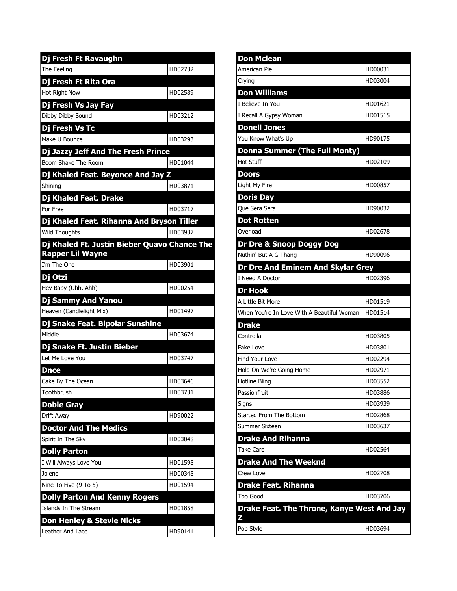| Dj Fresh Ft Ravaughn                         |         |
|----------------------------------------------|---------|
| The Feeling                                  | HD02732 |
| Dj Fresh Ft Rita Ora                         |         |
| <b>Hot Right Now</b>                         | HD02589 |
| Dj Fresh Vs Jay Fay                          |         |
| Dibby Dibby Sound                            | HD03212 |
| Dj Fresh Vs Tc                               |         |
| Make U Bounce                                | HD03293 |
| Dj Jazzy Jeff And The Fresh Prince           |         |
| Boom Shake The Room                          | HD01044 |
| Dj Khaled Feat. Beyonce And Jay Z            |         |
| Shining                                      | HD03871 |
| Dj Khaled Feat. Drake                        |         |
| For Free                                     | HD03717 |
| Dj Khaled Feat. Rihanna And Bryson Tiller    |         |
| <b>Wild Thoughts</b>                         | HD03937 |
| Dj Khaled Ft. Justin Bieber Quavo Chance The |         |
| <b>Rapper Lil Wayne</b>                      |         |
| I'm The One                                  | HD03901 |
| Dj Otzi                                      |         |
| Hey Baby (Uhh, Ahh)                          | HD00254 |
| Dj Sammy And Yanou                           |         |
| Heaven (Candlelight Mix)                     | HD01497 |
| Dj Snake Feat. Bipolar Sunshine              |         |
| Middle                                       | HD03674 |
| Dj Snake Ft. Justin Bieber                   |         |
| Let Me Love You                              | HD03747 |
| Dnce                                         |         |
| Cake By The Ocean                            | HD03646 |
| Toothbrush                                   | HD03731 |
| <b>Dobie Gray</b>                            |         |
| Drift Away                                   | HD90022 |
| <b>Doctor And The Medics</b>                 |         |
| Spirit In The Sky                            | HD03048 |
| <b>Dolly Parton</b>                          |         |
| I Will Always Love You                       | HD01598 |
| Jolene                                       | HD00348 |
| Nine To Five (9 To 5)                        | HD01594 |
| <b>Dolly Parton And Kenny Rogers</b>         |         |
| Islands In The Stream                        | HD01858 |
| <b>Don Henley &amp; Stevie Nicks</b>         |         |
| Leather And Lace                             | HD90141 |

| <b>Don Mclean</b>                                                                                |         |
|--------------------------------------------------------------------------------------------------|---------|
| American Pie                                                                                     | HD00031 |
| Crying                                                                                           | HD03004 |
| <b>Don Williams</b>                                                                              |         |
| I Believe In You                                                                                 | HD01621 |
| I Recall A Gypsy Woman                                                                           | HD01515 |
| <b>Donell Jones</b>                                                                              |         |
| You Know What's Up                                                                               | HD90175 |
| Donna Summer (The Full Monty)                                                                    |         |
| Hot Stuff                                                                                        | HD02109 |
| Doors                                                                                            |         |
| Light My Fire                                                                                    | HD00857 |
| <b>Doris Day</b>                                                                                 |         |
| Que Sera Sera                                                                                    | HD90032 |
| <b>Dot Rotten</b>                                                                                |         |
| Overload                                                                                         | HD02678 |
| Dr Dre & Snoop Doggy Dog                                                                         |         |
| Nuthin' But A G Thang                                                                            | HD90096 |
| <b>Dr Dre And Eminem And Skylar Grey</b>                                                         |         |
| I Need A Doctor                                                                                  | HD02396 |
| <b>Dr Hook</b>                                                                                   |         |
| A Little Bit More                                                                                | HD01519 |
| When You're In Love With A Beautiful Woman                                                       | HD01514 |
| <b>Drake</b>                                                                                     |         |
| Controlla                                                                                        | HD03805 |
| Fake Love                                                                                        | HD03801 |
| Find Your Love                                                                                   | HD02294 |
| Hold On We're Going Home                                                                         | HD02971 |
| Hotline Bling                                                                                    | HD03552 |
| Passionfruit                                                                                     | HD03886 |
| Signs                                                                                            | HD03939 |
| <b>Started From The Bottom</b>                                                                   | HD02868 |
| Summer Sixteen                                                                                   | HD03637 |
| <b>Drake And Rihanna</b>                                                                         |         |
| Take Care                                                                                        | HD02564 |
| <b>Drake And The Weeknd</b>                                                                      |         |
| Crew Love                                                                                        |         |
|                                                                                                  | HD02708 |
|                                                                                                  |         |
|                                                                                                  | HD03706 |
| <b>Drake Feat. Rihanna</b><br><b>Too Good</b><br>Drake Feat. The Throne, Kanye West And Jay<br>Z |         |
| Pop Style                                                                                        | HD03694 |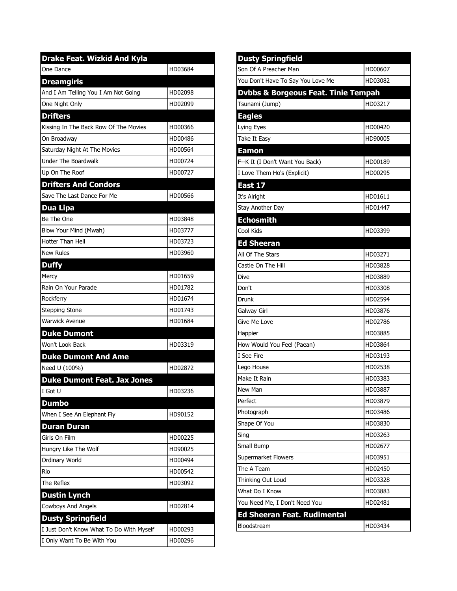| <b>Drake Feat. Wizkid And Kyla</b>       |         |
|------------------------------------------|---------|
| One Dance                                | HD03684 |
| <b>Dreamgirls</b>                        |         |
| And I Am Telling You I Am Not Going      | HD02098 |
| One Night Only                           | HD02099 |
| <b>Drifters</b>                          |         |
| Kissing In The Back Row Of The Movies    | HD00366 |
| On Broadwav                              | HD00486 |
| Saturday Night At The Movies             | HD00564 |
| <b>Under The Boardwalk</b>               | HD00724 |
| Up On The Roof                           | HD00727 |
| <b>Drifters And Condors</b>              |         |
| Save The Last Dance For Me               | HD00566 |
| <b>Dua Lipa</b>                          |         |
| Be The One                               | HD03848 |
| Blow Your Mind (Mwah)                    | HD03777 |
| Hotter Than Hell                         | HD03723 |
| <b>New Rules</b>                         | HD03960 |
| <b>Duffy</b>                             |         |
| Mercy                                    | HD01659 |
| Rain On Your Parade                      | HD01782 |
| Rockferry                                | HD01674 |
| <b>Stepping Stone</b>                    | HD01743 |
| <b>Warwick Avenue</b>                    | HD01684 |
| <b>Duke Dumont</b>                       |         |
| Won't Look Back                          | HD03319 |
| <b>Duke Dumont And Ame</b>               |         |
| Need U (100%)                            | HD02872 |
| <b>Duke Dumont Feat. Jax Jones</b>       |         |
| I Got U                                  | HD03236 |
| <b>Dumbo</b>                             |         |
| When I See An Elephant Fly               | HD90152 |
| <b>Duran Duran</b>                       |         |
| Girls On Film                            | HD00225 |
| Hungry Like The Wolf                     | HD90025 |
| Ordinary World                           | HD00494 |
| Rio                                      | HD00542 |
| The Reflex                               | HD03092 |
| <b>Dustin Lynch</b>                      |         |
| <b>Cowboys And Angels</b>                | HD02814 |
| <b>Dusty Springfield</b>                 |         |
| I Just Don't Know What To Do With Myself | HD00293 |
| I Only Want To Be With You               | HD00296 |

| <b>Dusty Springfield</b>                       |         |
|------------------------------------------------|---------|
| Son Of A Preacher Man                          | HD00607 |
| You Don't Have To Say You Love Me              | HD03082 |
| <b>Dvbbs &amp; Borgeous Feat. Tinie Tempah</b> |         |
| Tsunami (Jump)                                 | HD03217 |
| <b>Eagles</b>                                  |         |
| Lying Eyes                                     | HD00420 |
| Take It Easy                                   | HD90005 |
| <b>Eamon</b>                                   |         |
| F--K It (I Don't Want You Back)                | HD00189 |
| I Love Them Ho's (Explicit)                    | HD00295 |
| East 17                                        |         |
| It's Alright                                   | HD01611 |
| Stay Another Day                               | HD01447 |
| <b>Echosmith</b>                               |         |
| Cool Kids                                      | HD03399 |
| <b>Ed Sheeran</b>                              |         |
| All Of The Stars                               | HD03271 |
| Castle On The Hill                             | HD03828 |
| Dive                                           | HD03889 |
| Don't                                          | HD03308 |
| Drunk                                          | HD02594 |
| Galway Girl                                    | HD03876 |
| Give Me Love                                   | HD02786 |
| Happier                                        | HD03885 |
| How Would You Feel (Paean)                     | HD03864 |
| I See Fire                                     | HD03193 |
| Lego House                                     | HD02538 |
| Make It Rain                                   | HD03383 |
| New Man                                        | HD03887 |
| Perfect                                        | HD03879 |
| Photograph                                     | HD03486 |
| Shape Of You                                   | HD03830 |
| Sing                                           | HD03263 |
| Small Bump                                     | HD02677 |
| Supermarket Flowers                            | HD03951 |
| The A Team                                     | HD02450 |
| Thinking Out Loud                              | HD03328 |
| What Do I Know                                 | HD03883 |
| You Need Me, I Don't Need You                  | HD02481 |
| <b>Ed Sheeran Feat. Rudimental</b>             |         |
| Bloodstream                                    | HD03434 |
|                                                |         |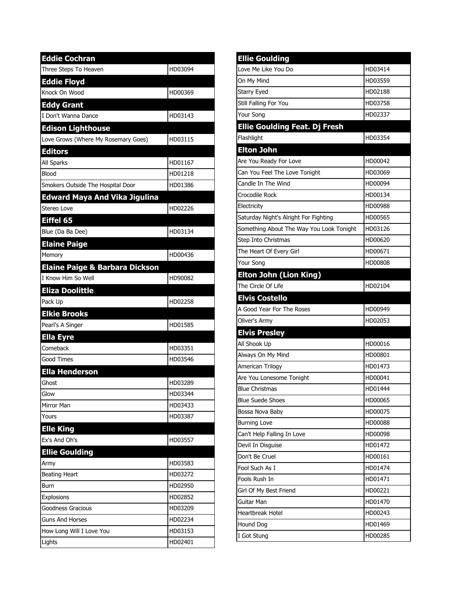| <b>Eddie Cochran</b>                      |         |
|-------------------------------------------|---------|
| Three Steps To Heaven                     | HD03094 |
| <b>Eddie Floyd</b>                        |         |
| Knock On Wood                             | HD00369 |
| <b>Eddy Grant</b>                         |         |
| I Don't Wanna Dance                       | HD03143 |
| <b>Edison Lighthouse</b>                  |         |
| Love Grows (Where My Rosemary Goes)       | HD03115 |
| <b>Editors</b>                            |         |
| <b>All Sparks</b>                         | HD01167 |
| Blood                                     | HD01218 |
| Smokers Outside The Hospital Door         | HD01386 |
| <b>Edward Maya And Vika Jigulina</b>      |         |
| Stereo Love                               | HD02226 |
| Eiffel 65                                 |         |
| Blue (Da Ba Dee)                          | HD03134 |
| <b>Elaine Paige</b>                       |         |
| Memory                                    | HD00436 |
| <b>Elaine Paige &amp; Barbara Dickson</b> |         |
| I Know Him So Well                        | HD90082 |
| <b>Eliza Doolittle</b>                    |         |
| Pack Up                                   | HD02258 |
| <b>Elkie Brooks</b>                       |         |
| Pearl's A Singer                          | HD01585 |
| <b>Ella Eyre</b>                          |         |
| Comeback                                  | HD03351 |
| <b>Good Times</b>                         | HD03546 |
| <b>Ella Henderson</b>                     |         |
| Ghost                                     | HD03289 |
| Glow                                      | HD03344 |
| Mirror Man                                | HD03433 |
| Yours                                     | HD03387 |
| <b>Elle King</b>                          |         |
| Ex's And Oh's                             | HD03557 |
| <b>Ellie Goulding</b>                     |         |
| Army                                      | HD03583 |
| <b>Beating Heart</b>                      | HD03272 |
| Burn                                      | HD02950 |
| Explosions                                | HD02852 |
| Goodness Gracious                         | HD03209 |
| <b>Guns And Horses</b>                    | HD02234 |
| How Long Will I Love You                  | HD03153 |
| Lights                                    | HD02401 |

| <b>Ellie Goulding</b>                    |         |
|------------------------------------------|---------|
| Love Me Like You Do                      | HD03414 |
| On My Mind                               | HD03559 |
| <b>Starry Eyed</b>                       | HD02188 |
| Still Falling For You                    | HD03758 |
| Your Song                                | HD02337 |
| <b>Ellie Goulding Feat. Dj Fresh</b>     |         |
| Flashlight                               | HD03354 |
| <b>Elton John</b>                        |         |
| Are You Ready For Love                   | HD00042 |
| Can You Feel The Love Tonight            | HD03069 |
| Candle In The Wind                       | HD00094 |
| Crocodile Rock                           | HD00134 |
| Electricity                              | HD00988 |
| Saturday Night's Alright For Fighting    | HD00565 |
| Something About The Way You Look Tonight | HD03126 |
| Step Into Christmas                      | HD00620 |
| The Heart Of Every Girl                  | HD00671 |
| Your Song                                | HD00808 |
| <b>Elton John (Lion King)</b>            |         |
| The Circle Of Life                       | HD02104 |
| <b>Elvis Costello</b>                    |         |
| A Good Year For The Roses                | HD00949 |
| Oliver's Army                            | HD02053 |
| <b>Elvis Presley</b>                     |         |
| All Shook Up                             | HD00016 |
| Always On My Mind                        | HD00801 |
| American Trilogy                         | HD01473 |
| Are You Lonesome Tonight                 | HD00041 |
| <b>Blue Christmas</b>                    | HD01444 |
| <b>Blue Suede Shoes</b>                  | HD00065 |
| Bossa Nova Baby                          | HD00075 |
| <b>Burning Love</b>                      | HD00088 |
| Can't Help Falling In Love               | HD00098 |
| Devil In Disguise                        | HD01472 |
| Don't Be Cruel                           | HD00161 |
| Fool Such As I                           | HD01474 |
| Fools Rush In                            | HD01471 |
| Girl Of My Best Friend                   | HD00221 |
| Guitar Man                               | HD01470 |
| <b>Heartbreak Hotel</b>                  | HD00243 |
| Hound Dog                                | HD01469 |
| I Got Stung                              | HD00285 |
|                                          |         |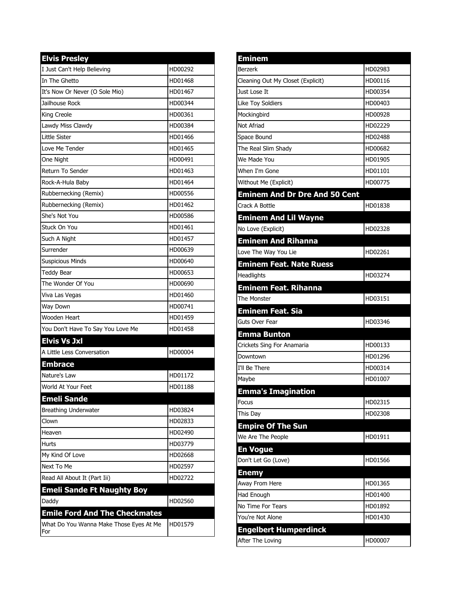| <b>Elvis Presley</b>                    |         |
|-----------------------------------------|---------|
| I Just Can't Help Believing             | HD00292 |
| In The Ghetto                           | HD01468 |
| It's Now Or Never (O Sole Mio)          | HD01467 |
| Jailhouse Rock                          | HD00344 |
| King Creole                             | HD00361 |
| Lawdy Miss Clawdy                       | HD00384 |
| <b>Little Sister</b>                    | HD01466 |
| Love Me Tender                          | HD01465 |
| One Night                               | HD00491 |
| Return To Sender                        | HD01463 |
| Rock-A-Hula Baby                        | HD01464 |
| Rubbernecking (Remix)                   | HD00556 |
| Rubbernecking (Remix)                   | HD01462 |
| She's Not You                           | HD00586 |
| Stuck On You                            | HD01461 |
| Such A Night                            | HD01457 |
| Surrender                               | HD00639 |
| <b>Suspicious Minds</b>                 | HD00640 |
| <b>Teddy Bear</b>                       | HD00653 |
| The Wonder Of You                       | HD00690 |
| Viva Las Vegas                          | HD01460 |
| Way Down                                | HD00741 |
| Wooden Heart                            | HD01459 |
| You Don't Have To Say You Love Me       | HD01458 |
| <b>Elvis Vs Jxl</b>                     |         |
| A Little Less Conversation              | HD00004 |
| <b>Embrace</b>                          |         |
| Nature's Law                            | HD01172 |
| World At Your Feet                      | HD01188 |
| <b>Emeli Sande</b>                      |         |
| <b>Breathing Underwater</b>             | HD03824 |
| Clown                                   | HD02833 |
| Heaven                                  | HD02490 |
| Hurts                                   | HD03779 |
| My Kind Of Love                         | HD02668 |
| Next To Me                              | HD02597 |
| Read All About It (Part Iii)            | HD02722 |
| <b>Emeli Sande Ft Naughty Boy</b>       |         |
| Daddy                                   | HD02560 |
| <b>Emile Ford And The Checkmates</b>    |         |
| What Do You Wanna Make Those Eyes At Me | HD01579 |
| For                                     |         |

| <b>Eminem</b>                        |         |
|--------------------------------------|---------|
| <b>Berzerk</b>                       | HD02983 |
| Cleaning Out My Closet (Explicit)    | HD00116 |
| Just Lose It                         | HD00354 |
| Like Toy Soldiers                    | HD00403 |
| Mockingbird                          | HD00928 |
| Not Afriad                           | HD02229 |
| Space Bound                          | HD02488 |
| The Real Slim Shady                  | HD00682 |
| We Made You                          | HD01905 |
| When I'm Gone                        | HD01101 |
| Without Me (Explicit)                | HD00775 |
| <b>Eminem And Dr Dre And 50 Cent</b> |         |
| Crack A Bottle                       | HD01838 |
| <b>Eminem And Lil Wayne</b>          |         |
| No Love (Explicit)                   | HD02328 |
| <b>Eminem And Rihanna</b>            |         |
| Love The Way You Lie                 | HD02261 |
| <b>Eminem Feat. Nate Ruess</b>       |         |
| Headlights                           | HD03274 |
| <b>Eminem Feat. Rihanna</b>          |         |
| The Monster                          | HD03151 |
| <b>Eminem Feat. Sia</b>              |         |
| Guts Over Fear                       | HD03346 |
| <b>Emma Bunton</b>                   |         |
| Crickets Sing For Anamaria           | HD00133 |
| Downtown                             | HD01296 |
| I'll Be There                        | HD00314 |
| Maybe                                | HD01007 |
| <b>Emma's Imagination</b>            |         |
| Focus                                | HD02315 |
| This Day                             | HD02308 |
| <b>Empire Of The Sun</b>             |         |
| We Are The People                    | HD01911 |
| <b>En Vogue</b>                      |         |
| Don't Let Go (Love)                  | HD01566 |
| <b>Enemy</b>                         |         |
| Away From Here                       | HD01365 |
| Had Enough                           | HD01400 |
| No Time For Tears                    | HD01892 |
| You're Not Alone                     | HD01430 |
| <b>Engelbert Humperdinck</b>         |         |
| After The Loving                     | HD00007 |
|                                      |         |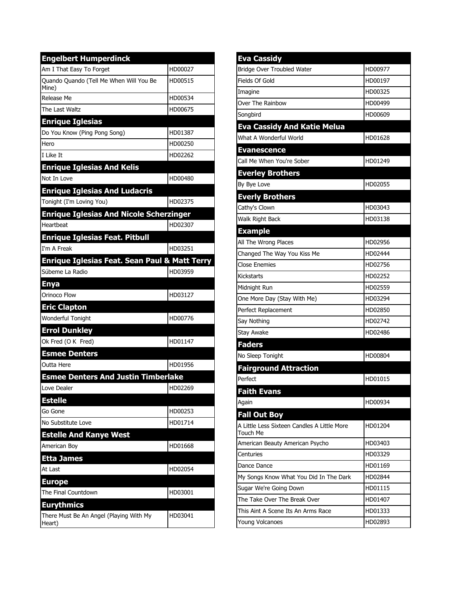| <b>Engelbert Humperdinck</b>                             |         |
|----------------------------------------------------------|---------|
| Am I That Easy To Forget                                 | HD00027 |
| Quando Quando (Tell Me When Will You Be<br>Mine)         | HD00515 |
| Release Me                                               | HD00534 |
| The Last Waltz                                           | HD00675 |
| <b>Enrique Iglesias</b>                                  |         |
| Do You Know (Ping Pong Song)                             | HD01387 |
| Hero                                                     | HD00250 |
| I Like It                                                | HD02262 |
| <b>Enrique Iglesias And Kelis</b>                        |         |
| Not In Love                                              | HD00480 |
| <b>Enrique Iglesias And Ludacris</b>                     |         |
| Tonight (I'm Loving You)                                 | HD02375 |
| <b>Enrique Iglesias And Nicole Scherzinger</b>           |         |
| Heartbeat                                                | HD02307 |
| <b>Enrique Iglesias Feat. Pitbull</b>                    |         |
| I'm A Freak                                              | HD03251 |
| <b>Enrique Iglesias Feat. Sean Paul &amp; Matt Terry</b> |         |
| Súbeme La Radio                                          | HD03959 |
| <b>Enya</b>                                              |         |
|                                                          |         |
| Orinoco Flow                                             | HD03127 |
| <b>Eric Clapton</b>                                      |         |
| Wonderful Tonight                                        | HD00776 |
| <b>Errol Dunkley</b>                                     |         |
| Ok Fred (O K Fred)                                       | HD01147 |
| <b>Esmee Denters</b>                                     |         |
| Outta Here                                               | HD01956 |
| <b>Esmee Denters And Justin Timberlake</b>               |         |
| Love Dealer                                              | HD02269 |
| <b>Estelle</b>                                           |         |
| Go Gone                                                  | HD00253 |
| No Substitute Love                                       | HD01714 |
| <b>Estelle And Kanye West</b>                            |         |
| American Boy                                             | HD01668 |
| <b>Etta James</b>                                        |         |
| At Last                                                  | HD02054 |
| <b>Europe</b>                                            |         |
| The Final Countdown                                      | HD03001 |
| <b>Eurythmics</b>                                        |         |

| <b>Eva Cassidy</b>                                      |         |
|---------------------------------------------------------|---------|
| Bridge Over Troubled Water                              | HD00977 |
| Fields Of Gold                                          | HD00197 |
| Imagine                                                 | HD00325 |
| Over The Rainbow                                        | HD00499 |
| Songbird                                                | HD00609 |
| <b>Eva Cassidy And Katie Melua</b>                      |         |
| What A Wonderful World                                  | HD01628 |
| <b>Evanescence</b>                                      |         |
| Call Me When You're Sober                               | HD01249 |
| <b>Everley Brothers</b>                                 |         |
| By Bye Love                                             | HD02055 |
| <b>Everly Brothers</b>                                  |         |
| Cathy's Clown                                           | HD03043 |
| Walk Right Back                                         | HD03138 |
| <b>Example</b>                                          |         |
| All The Wrong Places                                    | HD02956 |
| Changed The Way You Kiss Me                             | HD02444 |
| <b>Close Enemies</b>                                    | HD02756 |
| <b>Kickstarts</b>                                       | HD02252 |
| Midnight Run                                            | HD02559 |
| One More Day (Stay With Me)                             | HD03294 |
| Perfect Replacement                                     | HD02850 |
| Say Nothing                                             | HD02742 |
| Stay Awake                                              | HD02486 |
| <b>Faders</b>                                           |         |
| No Sleep Tonight                                        | HD00804 |
| <b>Fairground Attraction</b>                            |         |
| Perfect                                                 | HD01015 |
| <b>Faith Evans</b>                                      |         |
| Again                                                   | HD00934 |
| <b>Fall Out Boy</b>                                     |         |
| A Little Less Sixteen Candles A Little More<br>Touch Me | HD01204 |
| American Beauty American Psycho                         | HD03403 |
| Centuries                                               | HD03329 |
| Dance Dance                                             | HD01169 |
| My Songs Know What You Did In The Dark                  | HD02844 |
| Sugar We're Going Down                                  | HD01115 |
| The Take Over The Break Over                            | HD01407 |
| This Aint A Scene Its An Arms Race                      | HD01333 |
| Young Volcanoes                                         | HD02893 |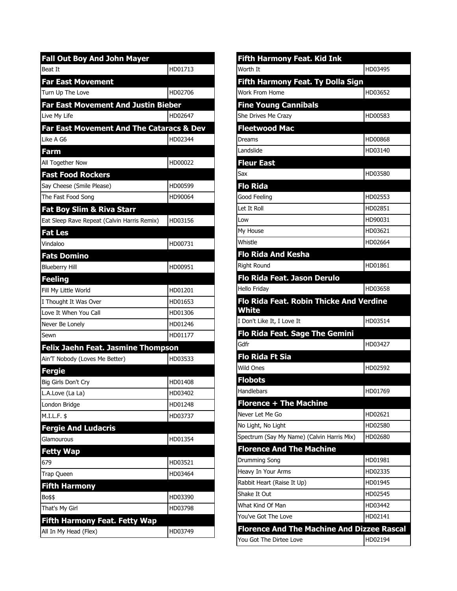| <b>Fall Out Boy And John Mayer</b>          |         |
|---------------------------------------------|---------|
| <b>Beat It</b>                              | HD01713 |
| <b>Far East Movement</b>                    |         |
| Turn Up The Love                            | HD02706 |
| <b>Far East Movement And Justin Bieber</b>  |         |
| Live My Life                                | HD02647 |
| Far East Movement And The Cataracs & Dev    |         |
| Like A G6                                   | HD02344 |
| <b>Farm</b>                                 |         |
| All Together Now                            | HD00022 |
| <b>Fast Food Rockers</b>                    |         |
| Say Cheese (Smile Please)                   | HD00599 |
| The Fast Food Song                          | HD90064 |
| <b>Fat Boy Slim &amp; Riva Starr</b>        |         |
| Eat Sleep Rave Repeat (Calvin Harris Remix) | HD03156 |
| <b>Fat Les</b>                              |         |
| Vindaloo                                    | HD00731 |
| <b>Fats Domino</b>                          |         |
| <b>Blueberry Hill</b>                       | HD00951 |
| <b>Feeling</b>                              |         |
| Fill My Little World                        | HD01201 |
| I Thought It Was Over                       | HD01653 |
| Love It When You Call                       | HD01306 |
| Never Be Lonely                             | HD01246 |
| Sewn                                        | HD01177 |
| <b>Felix Jaehn Feat. Jasmine Thompson</b>   |         |
| Ain'T Nobody (Loves Me Better)              | HD03533 |
| <b>Fergie</b>                               |         |
| Big Girls Don't Cry                         | HD01408 |
| L.A.Love (La La)                            | HD03402 |
| London Bridge                               | HD01248 |
| M.I.L.F. \$                                 | HD03737 |
| <b>Fergie And Ludacris</b>                  |         |
| Glamourous                                  | HD01354 |
| <b>Fetty Wap</b>                            |         |
| 679                                         | HD03521 |
| Trap Queen                                  | HD03464 |
| <b>Fifth Harmony</b>                        |         |
| Bo\$\$                                      | HD03390 |
| That's My Girl                              | HD03798 |
| <b>Fifth Harmony Feat. Fetty Wap</b>        |         |
| All In My Head (Flex)                       | HD03749 |

| Fifth Harmony Feat. Kid Ink                       |         |
|---------------------------------------------------|---------|
| Worth It                                          | HD03495 |
| <b>Fifth Harmony Feat. Ty Dolla Sign</b>          |         |
| Work From Home                                    | HD03652 |
| <b>Fine Young Cannibals</b>                       |         |
| She Drives Me Crazy                               | HD00583 |
| <b>Fleetwood Mac</b>                              |         |
| Dreams                                            | HD00868 |
| Landslide                                         | HD03140 |
| <b>Fleur East</b>                                 |         |
| Sax                                               | HD03580 |
| <b>Flo Rida</b>                                   |         |
| Good Feeling                                      | HD02553 |
| Let It Roll                                       | HD02851 |
| Low                                               | HD90031 |
| My House                                          | HD03621 |
| Whistle                                           | HD02664 |
| <b>Flo Rida And Kesha</b>                         |         |
| <b>Right Round</b>                                | HD01861 |
| Flo Rida Feat. Jason Derulo                       |         |
| <b>Hello Friday</b>                               | HD03658 |
| Flo Rida Feat. Robin Thicke And Verdine           |         |
| White                                             |         |
| I Don't Like It, I Love It                        | HD03514 |
| Flo Rida Feat. Sage The Gemini                    |         |
| Gdfr                                              | HD03427 |
| <b>Flo Rida Ft Sia</b>                            |         |
| <b>Wild Ones</b>                                  | HD02592 |
| <b>Flobots</b>                                    |         |
| Handlebars                                        | HD01769 |
| <b>Florence + The Machine</b>                     |         |
| Never Let Me Go                                   | HD02621 |
| No Light, No Light                                | HD02580 |
| Spectrum (Say My Name) (Calvin Harris Mix)        | HD02680 |
| <b>Florence And The Machine</b>                   |         |
| Drumming Song                                     | HD01981 |
| Heavy In Your Arms                                | HD02335 |
| Rabbit Heart (Raise It Up)                        | HD01945 |
| Shake It Out                                      | HD02545 |
| What Kind Of Man                                  | HD03442 |
| You've Got The Love                               | HD02141 |
| <b>Florence And The Machine And Dizzee Rascal</b> |         |
| You Got The Dirtee Love                           | HD02194 |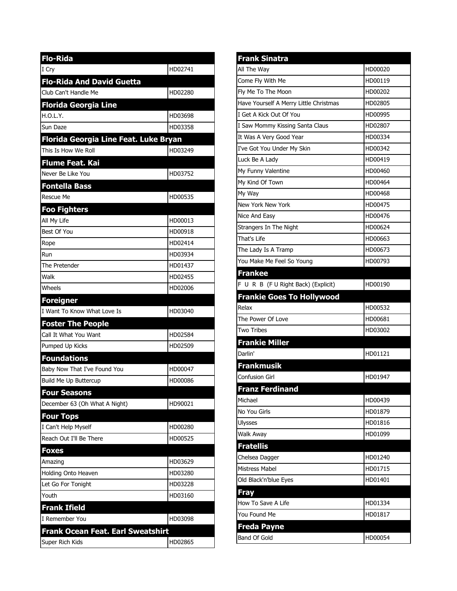| <b>Flo-Rida</b>                          |         |
|------------------------------------------|---------|
| I Cry                                    | HD02741 |
| <b>Flo-Rida And David Guetta</b>         |         |
| Club Can't Handle Me                     | HD02280 |
| <b>Florida Georgia Line</b>              |         |
| H.O.L.Y.                                 | HD03698 |
| Sun Daze                                 | HD03358 |
| Florida Georgia Line Feat. Luke Bryan    |         |
| This Is How We Roll                      | HD03249 |
| Flume Feat. Kai                          |         |
| Never Be Like You                        | HD03752 |
| <b>Fontella Bass</b>                     |         |
| Rescue Me                                | HD00535 |
| <b>Foo Fighters</b>                      |         |
| All My Life                              | HD00013 |
| Best Of You                              | HD00918 |
| Rope                                     | HD02414 |
| Run                                      | HD03934 |
| The Pretender                            | HD01437 |
| Walk                                     | HD02455 |
| Wheels                                   | HD02006 |
| <b>Foreigner</b>                         |         |
|                                          |         |
| I Want To Know What Love Is              | HD03040 |
| <b>Foster The People</b>                 |         |
| Call It What You Want                    | HD02584 |
| Pumped Up Kicks                          | HD02509 |
| <b>Foundations</b>                       |         |
| Baby Now That I've Found You             | HD00047 |
| <b>Build Me Up Buttercup</b>             | HD00086 |
| <b>Four Seasons</b>                      |         |
| December 63 (Oh What A Night)            | HD90021 |
| <b>Four Tops</b>                         |         |
| I Can't Help Myself                      | HD00280 |
| Reach Out I'll Be There                  | HD00525 |
| <b>Foxes</b>                             |         |
| Amazing                                  | HD03629 |
| Holding Onto Heaven                      | HD03280 |
| Let Go For Tonight                       | HD03228 |
| Youth                                    | HD03160 |
| <b>Frank Ifield</b>                      |         |
| I Remember You                           | HD03098 |
| <b>Frank Ocean Feat. Earl Sweatshirt</b> |         |

| <b>Frank Sinatra</b>                                                       |         |
|----------------------------------------------------------------------------|---------|
| All The Way                                                                | HD00020 |
| Come Fly With Me                                                           | HD00119 |
| Fly Me To The Moon                                                         | HD00202 |
| Have Yourself A Merry Little Christmas                                     | HD02805 |
| I Get A Kick Out Of You                                                    | HD00995 |
| I Saw Mommy Kissing Santa Claus                                            | HD02807 |
| It Was A Very Good Year                                                    | HD00334 |
| I've Got You Under My Skin                                                 | HD00342 |
| Luck Be A Lady                                                             | HD00419 |
| My Funny Valentine                                                         | HD00460 |
| My Kind Of Town                                                            | HD00464 |
| My Way                                                                     | HD00468 |
| New York New York                                                          | HD00475 |
| Nice And Easy                                                              | HD00476 |
| Strangers In The Night                                                     | HD00624 |
| That's Life                                                                | HD00663 |
| The Lady Is A Tramp                                                        | HD00673 |
| You Make Me Feel So Young                                                  | HD00793 |
| <b>Frankee</b>                                                             |         |
| F U R B (F U Right Back) (Explicit)                                        | HD00190 |
| <b>Frankie Goes To Hollywood</b>                                           |         |
|                                                                            |         |
| Relax                                                                      | HD00532 |
| The Power Of Love                                                          | HD00681 |
| <b>Two Tribes</b>                                                          | HD03002 |
| <b>Frankie Miller</b>                                                      |         |
| Darlin'                                                                    | HD01121 |
| <b>Frankmusik</b>                                                          |         |
| Confusion Girl                                                             | HD01947 |
|                                                                            |         |
| <b>Franz Ferdinand</b><br>Michael                                          | HD00439 |
|                                                                            | HD01879 |
| No You Girls<br><b>Ulysses</b>                                             | HD01816 |
| Walk Away                                                                  | HD01099 |
| <b>Fratellis</b>                                                           |         |
| Chelsea Dagger                                                             | HD01240 |
| Mistress Mabel                                                             | HD01715 |
|                                                                            | HD01401 |
|                                                                            |         |
|                                                                            | HD01334 |
| Old Black'n'blue Eyes<br><b>Fray</b><br>How To Save A Life<br>You Found Me | HD01817 |
|                                                                            |         |
| <b>Freda Payne</b><br>Band Of Gold                                         | HD00054 |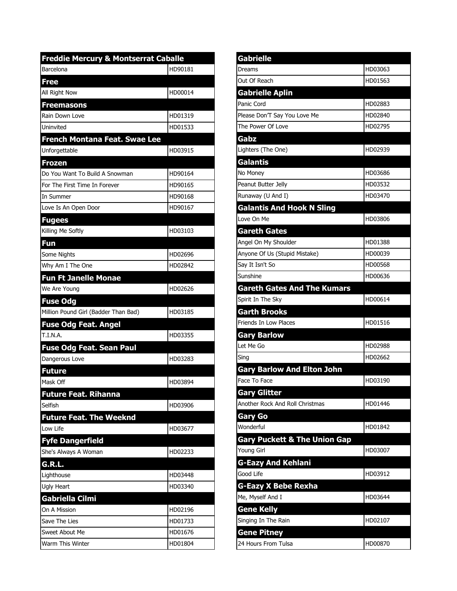| <b>Freddie Mercury &amp; Montserrat Caballe</b> |         |
|-------------------------------------------------|---------|
| Barcelona                                       | HD90181 |
| Free                                            |         |
| All Right Now                                   | HD00014 |
| <b>Freemasons</b>                               |         |
| Rain Down Love                                  | HD01319 |
| Uninvited                                       | HD01533 |
| French Montana Feat. Swae Lee                   |         |
| Unforgettable                                   | HD03915 |
| <b>Frozen</b>                                   |         |
| Do You Want To Build A Snowman                  | HD90164 |
| For The First Time In Forever                   | HD90165 |
| In Summer                                       | HD90168 |
| Love Is An Open Door                            | HD90167 |
| <b>Fugees</b>                                   |         |
| Killing Me Softly                               | HD03103 |
| Fun                                             |         |
| Some Nights                                     | HD02696 |
| Why Am I The One                                | HD02842 |
| <b>Fun Ft Janelle Monae</b>                     |         |
| We Are Young                                    | HD02626 |
| <b>Fuse Odg</b>                                 |         |
| Million Pound Girl (Badder Than Bad)            | HD03185 |
| <b>Fuse Odg Feat. Angel</b>                     |         |
| T.I.N.A.                                        | HD03355 |
| <b>Fuse Odg Feat. Sean Paul</b>                 |         |
| Dangerous Love                                  | HD03283 |
| <b>Future</b>                                   |         |
| Mask Off                                        | HD03894 |
| <b>Future Feat. Rihanna</b>                     |         |
| Selfish                                         | HD03906 |
| <b>Future Feat. The Weeknd</b>                  |         |
| Low Life                                        | HD03677 |
| <b>Fyfe Dangerfield</b>                         |         |
| She's Always A Woman                            | HD02233 |
| G.R.L.                                          |         |
| Lighthouse                                      | HD03448 |
| Ugly Heart                                      | HD03340 |
| <b>Gabriella Cilmi</b>                          |         |
| On A Mission                                    | HD02196 |
| Save The Lies                                   | HD01733 |
| Sweet About Me                                  | HD01676 |
| Warm This Winter                                | HD01804 |

| <b>Gabrielle</b>                        |         |
|-----------------------------------------|---------|
| Dreams                                  | HD03063 |
| Out Of Reach                            | HD01563 |
| <b>Gabrielle Aplin</b>                  |         |
| Panic Cord                              | HD02883 |
| Please Don'T Say You Love Me            | HD02840 |
| The Power Of Love                       | HD02795 |
| Gabz                                    |         |
| Lighters (The One)                      | HD02939 |
| <b>Galantis</b>                         |         |
| No Money                                | HD03686 |
| Peanut Butter Jelly                     | HD03532 |
| Runaway (U And I)                       | HD03470 |
| <b>Galantis And Hook N Sling</b>        |         |
| Love On Me                              | HD03806 |
| <b>Gareth Gates</b>                     |         |
| Angel On My Shoulder                    | HD01388 |
| Anyone Of Us (Stupid Mistake)           | HD00039 |
| Say It Isn't So                         | HD00568 |
| Sunshine                                | HD00636 |
| <b>Gareth Gates And The Kumars</b>      |         |
| Spirit In The Sky                       | HD00614 |
| <b>Garth Brooks</b>                     |         |
| <b>Friends In Low Places</b>            | HD01516 |
| <b>Gary Barlow</b>                      |         |
| Let Me Go                               | HD02988 |
| Sing                                    | HD02662 |
| <b>Gary Barlow And Elton John</b>       |         |
| Face To Face                            | HD03190 |
| <b>Gary Glitter</b>                     |         |
| Another Rock And Roll Christmas         | HD01446 |
| Gary Go                                 |         |
| Wonderful                               | HD01842 |
| <b>Gary Puckett &amp; The Union Gap</b> |         |
| Young Girl                              | HD03007 |
| <b>G-Eazy And Kehlani</b>               |         |
| Good Life                               | HD03912 |
| <b>G-Eazy X Bebe Rexha</b>              |         |
| Me, Myself And I                        | HD03644 |
| <b>Gene Kelly</b>                       |         |
| Singing In The Rain                     | HD02107 |
| <b>Gene Pitney</b>                      |         |
| 24 Hours From Tulsa                     | HD00870 |
|                                         |         |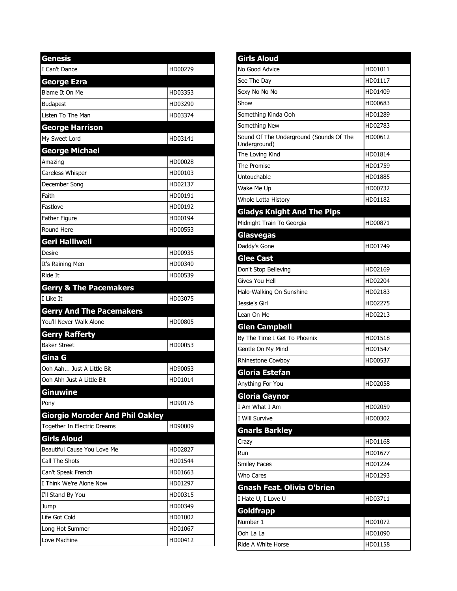| <b>Genesis</b>                         |         |
|----------------------------------------|---------|
| I Can't Dance                          | HD00279 |
| <b>George Ezra</b>                     |         |
| Blame It On Me                         | HD03353 |
| <b>Budapest</b>                        | HD03290 |
| Listen To The Man                      | HD03374 |
| <b>George Harrison</b>                 |         |
| My Sweet Lord                          | HD03141 |
| <b>George Michael</b>                  |         |
| Amazing                                | HD00028 |
| Careless Whisper                       | HD00103 |
| December Song                          | HD02137 |
| Faith                                  | HD00191 |
| Fastlove                               | HD00192 |
| Father Figure                          | HD00194 |
| Round Here                             | HD00553 |
| <b>Geri Halliwell</b>                  |         |
| Desire                                 | HD00935 |
| It's Raining Men                       | HD00340 |
| Ride It                                | HD00539 |
| <b>Gerry &amp; The Pacemakers</b>      |         |
| I Like It                              | HD03075 |
| <b>Gerry And The Pacemakers</b>        |         |
| You'll Never Walk Alone                | HD00805 |
| <b>Gerry Rafferty</b>                  |         |
| <b>Baker Street</b>                    | HD00053 |
| Gina G                                 |         |
| Ooh Aah Just A Little Bit              | HD90053 |
| Ooh Ahh Just A Little Bit              | HD01014 |
| <b>Ginuwine</b>                        |         |
| Pony                                   | HD90176 |
| <b>Giorgio Moroder And Phil Oakley</b> |         |
| <b>Together In Electric Dreams</b>     | HD90009 |
| <b>Girls Aloud</b>                     |         |
| Beautiful Cause You Love Me            | HD02827 |
| Call The Shots                         | HD01544 |
| Can't Speak French                     | HD01663 |
| I Think We're Alone Now                | HD01297 |
| I'll Stand By You                      | HD00315 |
| Jump                                   | HD00349 |
| Life Got Cold                          | HD01002 |
| Long Hot Summer                        | HD01067 |
| Love Machine                           | HD00412 |

| <b>Girls Aloud</b>                                      |         |
|---------------------------------------------------------|---------|
| No Good Advice                                          | HD01011 |
| See The Day                                             | HD01117 |
| Sexy No No No                                           | HD01409 |
| Show                                                    | HD00683 |
| Something Kinda Ooh                                     | HD01289 |
| Something New                                           | HD02783 |
| Sound Of The Underground (Sounds Of The<br>Underground) | HD00612 |
| The Loving Kind                                         | HD01814 |
| The Promise                                             | HD01759 |
| Untouchable                                             | HD01885 |
| Wake Me Up                                              | HD00732 |
| Whole Lotta History                                     | HD01182 |
| <b>Gladys Knight And The Pips</b>                       |         |
| Midnight Train To Georgia                               | HD00871 |
| Glasvegas                                               |         |
| Daddy's Gone                                            | HD01749 |
| <b>Glee Cast</b>                                        |         |
| Don't Stop Believing                                    | HD02169 |
| Gives You Hell                                          | HD02204 |
| Halo-Walking On Sunshine                                | HD02183 |
| Jessie's Girl                                           | HD02275 |
| Lean On Me                                              | HD02213 |
| <b>Glen Campbell</b>                                    |         |
| By The Time I Get To Phoenix                            | HD01518 |
| Gentle On My Mind                                       | HD01547 |
| Rhinestone Cowboy                                       | HD00537 |
| Gloria Estefan                                          |         |
| Anything For You                                        | HD02058 |
| Gloria Gaynor                                           |         |
| I Am What I Am                                          | HD02059 |
| I Will Survive                                          | HD00302 |
| <b>Gnarls Barkley</b>                                   |         |
| Crazy                                                   | HD01168 |
| Run                                                     | HD01677 |
| <b>Smiley Faces</b>                                     | HD01224 |
| Who Cares                                               | HD01293 |
| <b>Gnash Feat. Olivia O'brien</b>                       |         |
| I Hate U, I Love U                                      | HD03711 |
| Goldfrapp                                               |         |
| Number 1                                                | HD01072 |
| Ooh La La                                               | HD01090 |
| Ride A White Horse                                      | HD01158 |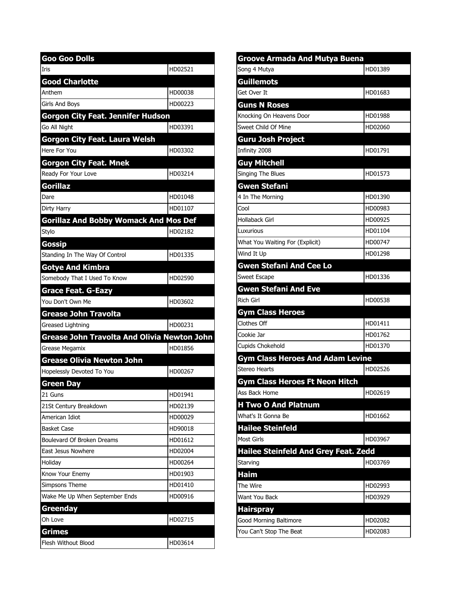| Goo Goo Dolls                                      |         |
|----------------------------------------------------|---------|
| Iris                                               | HD02521 |
| <b>Good Charlotte</b>                              |         |
| Anthem                                             | HD00038 |
| Girls And Boys                                     | HD00223 |
| <b>Gorgon City Feat. Jennifer Hudson</b>           |         |
| Go All Night                                       | HD03391 |
| Gorgon City Feat. Laura Welsh                      |         |
| Here For You                                       | HD03302 |
| <b>Gorgon City Feat. Mnek</b>                      |         |
| Ready For Your Love                                | HD03214 |
| <b>Gorillaz</b>                                    |         |
| Dare                                               | HD01048 |
| Dirty Harry                                        | HD01107 |
| <b>Gorillaz And Bobby Womack And Mos Def</b>       |         |
| Stylo                                              | HD02182 |
| <b>Gossip</b>                                      |         |
| Standing In The Way Of Control                     | HD01335 |
| <b>Gotye And Kimbra</b>                            |         |
| Somebody That I Used To Know                       | HD02590 |
| <b>Grace Feat. G-Eazy</b>                          |         |
| You Don't Own Me                                   | HD03602 |
| Grease John Travolta                               |         |
| Greased Lightning                                  | HD00231 |
| <b>Grease John Travolta And Olivia Newton John</b> |         |
| Grease Megamix                                     | HD01856 |
| <b>Grease Olivia Newton John</b>                   |         |
| Hopelessly Devoted To You                          | HD00267 |
| <b>Green Day</b>                                   |         |
| 21 Guns                                            | HD01941 |
| 21St Century Breakdown                             | HD02139 |
| American Idiot                                     | HD00029 |
| Basket Case                                        | HD90018 |
| Boulevard Of Broken Dreams                         | HD01612 |
| East Jesus Nowhere                                 | HD02004 |
| Holiday                                            | HD00264 |
| Know Your Enemy                                    | HD01903 |
| Simpsons Theme                                     | HD01410 |
| Wake Me Up When September Ends                     | HD00916 |
| Greenday                                           |         |
| Oh Love                                            | HD02715 |
| <b>Grimes</b>                                      |         |
| Flesh Without Blood                                | HD03614 |

| <b>Groove Armada And Mutya Buena</b>        |         |  |
|---------------------------------------------|---------|--|
| Song 4 Mutya                                | HD01389 |  |
| <b>Guillemots</b>                           |         |  |
| Get Over It                                 | HD01683 |  |
| <b>Guns N Roses</b>                         |         |  |
| Knocking On Heavens Door                    | HD01988 |  |
| Sweet Child Of Mine                         | HD02060 |  |
| <b>Guru Josh Project</b>                    |         |  |
| Infinity 2008                               | HD01791 |  |
| <b>Guy Mitchell</b>                         |         |  |
| Singing The Blues                           | HD01573 |  |
| <b>Gwen Stefani</b>                         |         |  |
| 4 In The Morning                            | HD01390 |  |
| Cool                                        | HD00983 |  |
| Hollaback Girl                              | HD00925 |  |
| Luxurious                                   | HD01104 |  |
| What You Waiting For (Explicit)             | HD00747 |  |
| Wind It Up                                  | HD01298 |  |
| <b>Gwen Stefani And Cee Lo</b>              |         |  |
| <b>Sweet Escape</b>                         | HD01336 |  |
| <b>Gwen Stefani And Eve</b>                 |         |  |
| <b>Rich Girl</b>                            | HD00538 |  |
| <b>Gym Class Heroes</b>                     |         |  |
| Clothes Off                                 | HD01411 |  |
| Cookie Jar                                  | HD01762 |  |
| Cupids Chokehold                            | HD01370 |  |
| <b>Gym Class Heroes And Adam Levine</b>     |         |  |
| <b>Stereo Hearts</b>                        | HD02526 |  |
| <b>Gym Class Heroes Ft Neon Hitch</b>       |         |  |
| Ass Back Home                               | HD02619 |  |
| <b>H Two O And Platnum</b>                  |         |  |
| What's It Gonna Be                          | HD01662 |  |
| <b>Hailee Steinfeld</b>                     |         |  |
| <b>Most Girls</b>                           | HD03967 |  |
| <b>Hailee Steinfeld And Grey Feat. Zedd</b> |         |  |
| Starving                                    | HD03769 |  |
| Haim                                        |         |  |
| The Wire                                    | HD02993 |  |
| Want You Back                               | HD03929 |  |
| <b>Hairspray</b>                            |         |  |
| Good Morning Baltimore                      | HD02082 |  |
| You Can't Stop The Beat                     | HD02083 |  |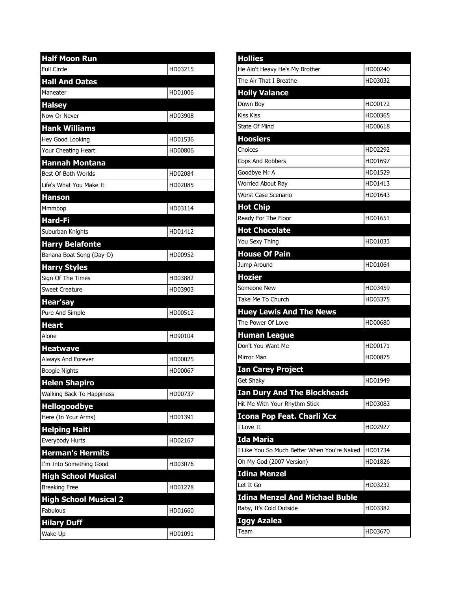| <b>Half Moon Run</b>         |         |
|------------------------------|---------|
| <b>Full Circle</b>           | HD03215 |
| <b>Hall And Oates</b>        |         |
| Maneater                     | HD01006 |
| <b>Halsey</b>                |         |
| Now Or Never                 | HD03908 |
| <b>Hank Williams</b>         |         |
| Hey Good Looking             | HD01536 |
| Your Cheating Heart          | HD00806 |
| <b>Hannah Montana</b>        |         |
| Best Of Both Worlds          | HD02084 |
| Life's What You Make It      | HD02085 |
| <b>Hanson</b>                |         |
| Mmmbop                       | HD03114 |
| <b>Hard-Fi</b>               |         |
| Suburban Knights             | HD01412 |
| <b>Harry Belafonte</b>       |         |
| Banana Boat Song (Day-O)     | HD00952 |
| <b>Harry Styles</b>          |         |
| Sign Of The Times            | HD03882 |
| <b>Sweet Creature</b>        | HD03903 |
| Hear'say                     |         |
| Pure And Simple              | HD00512 |
| <b>Heart</b>                 |         |
| Alone                        | HD90104 |
| <b>Heatwave</b>              |         |
| Always And Forever           | HD00025 |
| <b>Boogie Nights</b>         | HD00067 |
| <b>Helen Shapiro</b>         |         |
| Walking Back To Happiness    | HD00737 |
| <b>Hellogoodbye</b>          |         |
| Here (In Your Arms)          | HD01391 |
| <b>Helping Haiti</b>         |         |
| Everybody Hurts              | HD02167 |
| <b>Herman's Hermits</b>      |         |
| I'm Into Something Good      | HD03076 |
| <b>High School Musical</b>   |         |
| <b>Breaking Free</b>         | HD01278 |
| <b>High School Musical 2</b> |         |
| Fabulous                     | HD01660 |
| <b>Hilary Duff</b>           |         |
| Wake Up                      | HD01091 |

| <b>Hollies</b>                              |         |
|---------------------------------------------|---------|
| He Ain't Heavy He's My Brother              | HD00240 |
| The Air That I Breathe                      | HD03032 |
| <b>Holly Valance</b>                        |         |
| Down Boy                                    | HD00172 |
| <b>Kiss Kiss</b>                            | HD00365 |
| <b>State Of Mind</b>                        | HD00618 |
| <b>Hoosiers</b>                             |         |
| Choices                                     | HD02292 |
| Cops And Robbers                            | HD01697 |
| Goodbye Mr A                                | HD01529 |
| <b>Worried About Ray</b>                    | HD01413 |
| Worst Case Scenario                         | HD01643 |
| <b>Hot Chip</b>                             |         |
| Ready For The Floor                         | HD01651 |
| <b>Hot Chocolate</b>                        |         |
| You Sexy Thing                              | HD01033 |
| <b>House Of Pain</b>                        |         |
| Jump Around                                 | HD01064 |
| <b>Hozier</b>                               |         |
| Someone New                                 | HD03459 |
| Take Me To Church                           | HD03375 |
| <b>Huey Lewis And The News</b>              |         |
| The Power Of Love                           | HD00680 |
| <b>Human League</b>                         |         |
| Don't You Want Me                           | HD00171 |
| Mirror Man                                  | HD00875 |
| <b>Ian Carey Project</b>                    |         |
| Get Shaky                                   | HD01949 |
| <b>Ian Dury And The Blockheads</b>          |         |
| Hit Me With Your Rhythm Stick               | HD03083 |
| <b>Icona Pop Feat. Charli Xcx</b>           |         |
| I Love It                                   | HD02927 |
| <b>Ida Maria</b>                            |         |
| I Like You So Much Better When You're Naked | HD01734 |
| Oh My God (2007 Version)                    | HD01826 |
| <b>Idina Menzel</b>                         |         |
| Let It Go                                   | HD03232 |
| <b>Idina Menzel And Michael Buble</b>       |         |
| Baby, It's Cold Outside                     | HD03382 |
| Iggy Azalea                                 |         |
| Team                                        | HD03670 |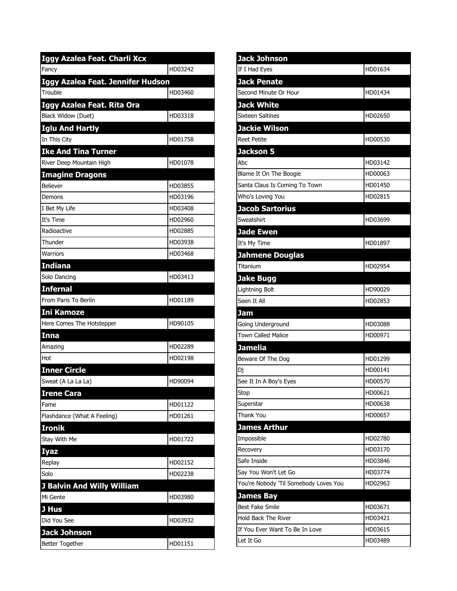| Iggy Azalea Feat. Charli Xcx      |         |
|-----------------------------------|---------|
| Fancy                             | HD03242 |
| Iggy Azalea Feat. Jennifer Hudson |         |
| Trouble                           | HD03460 |
| Iggy Azalea Feat. Rita Ora        |         |
| Black Widow (Duet)                | HD03318 |
| <b>Iglu And Hartly</b>            |         |
| In This City                      | HD01758 |
| <b>Ike And Tina Turner</b>        |         |
| River Deep Mountain High          | HD01078 |
| <b>Imagine Dragons</b>            |         |
| Believer                          | HD03855 |
| Demons                            | HD03196 |
| I Bet My Life                     | HD03408 |
| It's Time                         | HD02960 |
| Radioactive                       | HD02885 |
| Thunder                           | HD03938 |
| <b>Warriors</b>                   | HD03468 |
| <b>Indiana</b>                    |         |
| Solo Dancing                      | HD03413 |
| <b>Infernal</b>                   |         |
| From Paris To Berlin              | HD01189 |
| <b>Ini Kamoze</b>                 |         |
| Here Comes The Hotstepper         | HD90105 |
| Inna                              |         |
| Amazing                           | HD02289 |
| Hot                               | HD02198 |
| <b>Inner Circle</b>               |         |
| Sweat (A La La La)                | HD90094 |
| <b>Irene Cara</b>                 |         |
| Fame                              | HD01122 |
| Flashdance (What A Feeling)       | HD01261 |
| <b>Ironik</b>                     |         |
| Stay With Me                      | HD01722 |
| <b>Iyaz</b>                       |         |
| Replay                            | HD02152 |
| Solo                              | HD02238 |
| <b>J Balvin And Willy William</b> |         |
| Mi Gente                          | HD03980 |
| J Hus                             |         |
| Did You See                       | HD03932 |
| <b>Jack Johnson</b>               |         |
| <b>Better Together</b>            | HD01151 |

| <b>Jack Johnson</b>                   |         |
|---------------------------------------|---------|
| If I Had Eyes                         | HD01634 |
| <b>Jack Penate</b>                    |         |
| Second Minute Or Hour                 | HD01434 |
| <b>Jack White</b>                     |         |
| <b>Sixteen Saltines</b>               | HD02650 |
| <b>Jackie Wilson</b>                  |         |
| <b>Reet Petite</b>                    | HD00530 |
| Jackson 5                             |         |
| Abc                                   | HD03142 |
| Blame It On The Boogie                | HD00063 |
| Santa Claus Is Coming To Town         | HD01450 |
| Who's Loving You                      | HD02815 |
| <b>Jacob Sartorius</b>                |         |
| Sweatshirt                            | HD03699 |
| <b>Jade Ewen</b>                      |         |
| It's My Time                          | HD01897 |
| <b>Jahmene Douglas</b>                |         |
| Titanium                              | HD02954 |
| <b>Jake Bugg</b>                      |         |
| Lightning Bolt                        | HD90029 |
| Seen It All                           | HD02853 |
| Jam                                   |         |
| Going Underground                     | HD03088 |
| <b>Town Called Malice</b>             | HD00971 |
| Jamelia                               |         |
| Beware Of The Dog                     | HD01299 |
| Dj                                    | HD00141 |
| See It In A Boy's Eyes                | HD00570 |
| Stop                                  | HD00621 |
| Superstar                             | HD00638 |
| Thank You                             | HD00657 |
| <b>James Arthur</b>                   |         |
| Impossible                            | HD02780 |
| Recovery                              | HD03170 |
| Safe Inside                           | HD03846 |
| Say You Won't Let Go                  | HD03774 |
| You're Nobody 'Til Somebody Loves You | HD02963 |
| <b>James Bay</b>                      |         |
| <b>Best Fake Smile</b>                | HD03671 |
| <b>Hold Back The River</b>            | HD03421 |
| If You Ever Want To Be In Love        | HD03615 |
| Let It Go                             | HD03489 |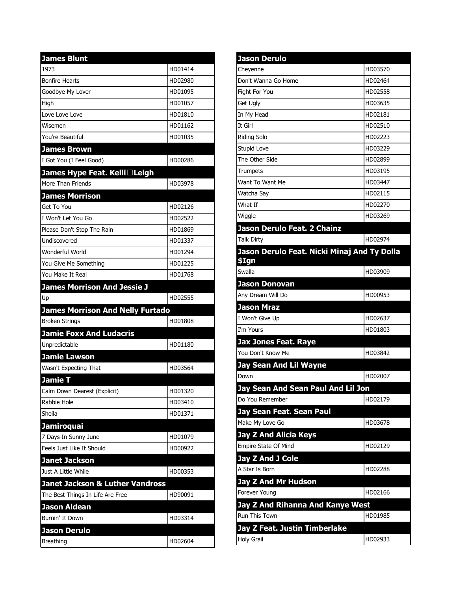| <b>James Blunt</b>                                                             |         |
|--------------------------------------------------------------------------------|---------|
| 1973                                                                           | HD01414 |
| <b>Bonfire Hearts</b>                                                          | HD02980 |
| Goodbye My Lover                                                               | HD01095 |
| High                                                                           | HD01057 |
| Love Love Love                                                                 | HD01810 |
| Wisemen                                                                        | HD01162 |
| You're Beautiful                                                               | HD01035 |
| <b>James Brown</b>                                                             |         |
| I Got You (I Feel Good)                                                        | HD00286 |
| James Hype Feat. Kelli□Leigh                                                   |         |
| More Than Friends                                                              | HD03978 |
| <b>James Morrison</b>                                                          |         |
| Get To You                                                                     | HD02126 |
| I Won't Let You Go                                                             | HD02522 |
| Please Don't Stop The Rain                                                     | HD01869 |
| Undiscovered                                                                   | HD01337 |
| Wonderful World                                                                | HD01294 |
| You Give Me Something                                                          | HD01225 |
| You Make It Real                                                               | HD01768 |
| <b>James Morrison And Jessie J</b>                                             |         |
| Up                                                                             | HD02555 |
|                                                                                |         |
| <b>James Morrison And Nelly Furtado</b>                                        |         |
| <b>Broken Strings</b>                                                          | HD01808 |
| <b>Jamie Foxx And Ludacris</b>                                                 |         |
| Unpredictable                                                                  | HD01180 |
| <b>Jamie Lawson</b>                                                            |         |
| Wasn't Expecting That                                                          | HD03564 |
| <b>Jamie T</b>                                                                 |         |
| Calm Down Dearest (Explicit)                                                   | HD01320 |
| Rabbie Hole                                                                    | HD03410 |
| Sheila                                                                         | HD01371 |
| <b>Jamiroquai</b>                                                              |         |
| 7 Days In Sunny June                                                           | HD01079 |
| Feels Just Like It Should                                                      | HD00922 |
|                                                                                |         |
| <b>Janet Jackson</b><br>Just A Little While                                    | HD00353 |
|                                                                                |         |
| <b>Janet Jackson &amp; Luther Vandross</b><br>The Best Things In Life Are Free | HD90091 |
|                                                                                |         |
| <b>Jason Aldean</b><br>Burnin' It Down                                         | HD03314 |
| <b>Jason Derulo</b>                                                            |         |

| <b>Jason Derulo</b>                                  |         |
|------------------------------------------------------|---------|
| Cheyenne                                             | HD03570 |
| Don't Wanna Go Home                                  | HD02464 |
| Fight For You                                        | HD02558 |
| Get Ugly                                             | HD03635 |
| In My Head                                           | HD02181 |
| It Girl                                              | HD02510 |
| <b>Riding Solo</b>                                   | HD02223 |
| Stupid Love                                          | HD03229 |
| The Other Side                                       | HD02899 |
| <b>Trumpets</b>                                      | HD03195 |
| Want To Want Me                                      | HD03447 |
| Watcha Say                                           | HD02115 |
| What If                                              | HD02270 |
| Wiggle                                               | HD03269 |
| Jason Derulo Feat. 2 Chainz                          |         |
| <b>Talk Dirty</b>                                    | HD02974 |
| Jason Derulo Feat. Nicki Minaj And Ty Dolla<br>\$Ign |         |
| Swalla                                               | HD03909 |
| <b>Jason Donovan</b>                                 |         |
| Any Dream Will Do                                    | HD00953 |
| <b>Jason Mraz</b>                                    |         |
| I Won't Give Up                                      | HD02637 |
| I'm Yours                                            | HD01803 |
| <b>Jax Jones Feat. Raye</b>                          |         |
| You Don't Know Me                                    | HD03842 |
| <b>Jay Sean And Lil Wayne</b>                        |         |
| Down                                                 | HD02007 |
| Jay Sean And Sean Paul And Lil Jon                   |         |
| Do You Remember                                      | HD02179 |
| Jay Sean Feat. Sean Paul                             |         |
| Make My Love Go                                      | HD03678 |
| <b>Jay Z And Alicia Keys</b>                         |         |
| Empire State Of Mind                                 | HD02129 |
| <b>Jay Z And J Cole</b>                              |         |
| A Star Is Born                                       | HD02288 |
| <b>Jay Z And Mr Hudson</b>                           |         |
| Forever Young                                        | HD02166 |
| Jay Z And Rihanna And Kanye West                     |         |
| Run This Town                                        | HD01985 |
| Jay Z Feat. Justin Timberlake                        |         |
| <b>Holy Grail</b>                                    | HD02933 |
|                                                      |         |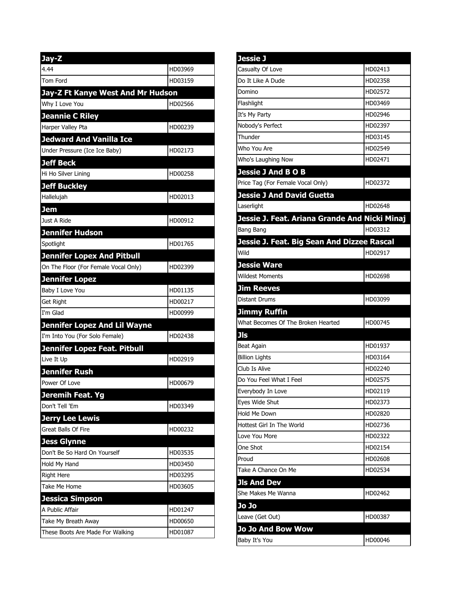| Jay-Z                                |         |
|--------------------------------------|---------|
| 4.44                                 | HD03969 |
| Tom Ford                             | HD03159 |
| Jay-Z Ft Kanye West And Mr Hudson    |         |
| Why I Love You                       | HD02566 |
| <b>Jeannie C Riley</b>               |         |
| Harper Valley Pta                    | HD00239 |
| <b>Jedward And Vanilla Ice</b>       |         |
| Under Pressure (Ice Ice Baby)        | HD02173 |
| <b>Jeff Beck</b>                     |         |
| Hi Ho Silver Lining                  | HD00258 |
| <b>Jeff Buckley</b>                  |         |
| Hallelujah                           | HD02013 |
| Jem                                  |         |
| Just A Ride                          | HD00912 |
| Jennifer Hudson                      |         |
| Spotlight                            | HD01765 |
| <b>Jennifer Lopex And Pitbull</b>    |         |
| On The Floor (For Female Vocal Only) | HD02399 |
| Jennifer Lopez                       |         |
| Baby I Love You                      | HD01135 |
| Get Right                            | HD00217 |
| I'm Glad                             | HD00999 |
| Jennifer Lopez And Lil Wayne         |         |
| I'm Into You (For Solo Female)       | HD02438 |
| Jennifer Lopez Feat. Pitbull         |         |
| Live It Up                           | HD02919 |
| <b>Jennifer Rush</b>                 |         |
| Power Of Love                        | HD00679 |
| Jeremih Feat. Yg                     |         |
| Don't Tell 'Em                       | HD03349 |
| <b>Jerry Lee Lewis</b>               |         |
| Great Balls Of Fire                  | HD00232 |
| <b>Jess Glynne</b>                   |         |
| Don't Be So Hard On Yourself         | HD03535 |
| Hold My Hand                         | HD03450 |
| <b>Right Here</b>                    | HD03295 |
| Take Me Home                         | HD03605 |
| <b>Jessica Simpson</b>               |         |
| A Public Affair                      | HD01247 |
| Take My Breath Away                  | HD00650 |
| These Boots Are Made For Walking     | HD01087 |

| <u>Jessie J</u>                               |         |
|-----------------------------------------------|---------|
| Casualty Of Love                              | HD02413 |
| Do It Like A Dude                             | HD02358 |
| Domino                                        | HD02572 |
| Flashlight                                    | HD03469 |
| It's My Party                                 | HD02946 |
| Nobody's Perfect                              | HD02397 |
| Thunder                                       | HD03145 |
| Who You Are                                   | HD02549 |
| Who's Laughing Now                            | HD02471 |
| <b>Jessie J And B O B</b>                     |         |
| Price Tag (For Female Vocal Only)             | HD02372 |
| Jessie J And David Guetta                     |         |
| Laserlight                                    | HD02648 |
| Jessie J. Feat. Ariana Grande And Nicki Minaj |         |
| Bang Bang                                     | HD03312 |
| Jessie J. Feat. Big Sean And Dizzee Rascal    |         |
| Wild                                          | HD02917 |
| <b>Jessie Ware</b>                            |         |
| <b>Wildest Moments</b>                        | HD02698 |
| <b>Jim Reeves</b>                             |         |
| Distant Drums                                 | HD03099 |
| Jimmy Ruffin                                  |         |
| What Becomes Of The Broken Hearted            | HD00745 |
| Jls                                           |         |
| Beat Again                                    | HD01937 |
| <b>Billion Lights</b>                         | HD03164 |
| Club Is Alive                                 | HD02240 |
| Do You Feel What I Feel                       | HD02575 |
| Everybody In Love                             | HD02119 |
| Eyes Wide Shut                                | HD02373 |
| <b>Hold Me Down</b>                           | HD02820 |
| Hottest Girl In The World                     | HD02736 |
| Love You More                                 | HD02322 |
| One Shot                                      | HD02154 |
| Proud                                         | HD02608 |
| Take A Chance On Me                           | HD02534 |
| <b>Jls And Dev</b>                            |         |
| She Makes Me Wanna                            | HD02462 |
| Jo Jo                                         |         |
| Leave (Get Out)                               | HD00387 |
| <b>Jo Jo And Bow Wow</b>                      |         |
|                                               |         |
| Baby It's You                                 | HD00046 |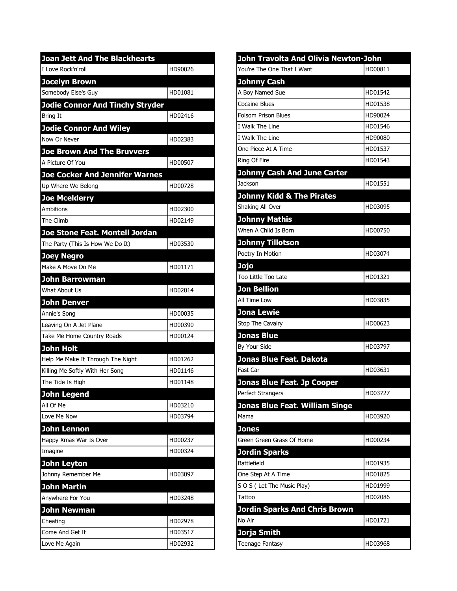| <b>Joan Jett And The Blackhearts</b>   |         |
|----------------------------------------|---------|
| I Love Rock'n'roll                     | HD90026 |
| <b>Jocelyn Brown</b>                   |         |
| Somebody Else's Guy                    | HD01081 |
| <b>Jodie Connor And Tinchy Stryder</b> |         |
| <b>Bring It</b>                        | HD02416 |
| <b>Jodie Connor And Wiley</b>          |         |
| Now Or Never                           | HD02383 |
| <b>Joe Brown And The Bruvvers</b>      |         |
| A Picture Of You                       | HD00507 |
| <b>Joe Cocker And Jennifer Warnes</b>  |         |
| Up Where We Belong                     | HD00728 |
| <b>Joe Mcelderry</b>                   |         |
| Ambitions                              | HD02300 |
| The Climb                              | HD02149 |
| Joe Stone Feat. Montell Jordan         |         |
| The Party (This Is How We Do It)       | HD03530 |
| <b>Joey Negro</b>                      |         |
| Make A Move On Me                      | HD01171 |
| <b>John Barrowman</b>                  |         |
| What About Us                          | HD02014 |
| <b>John Denver</b>                     |         |
| Annie's Song                           | HD00035 |
| Leaving On A Jet Plane                 | HD00390 |
| Take Me Home Country Roads             | HD00124 |
| <b>John Holt</b>                       |         |
| Help Me Make It Through The Night      | HD01262 |
| Killing Me Softly With Her Song        | HD01146 |
| The Tide Is High                       | HD01148 |
| <b>John Legend</b>                     |         |
| All Of Me                              | HD03210 |
| Love Me Now                            | HD03794 |
| <b>John Lennon</b>                     |         |
| Happy Xmas War Is Over                 | HD00237 |
| Imagine                                | HD00324 |
| <b>John Leyton</b>                     |         |
| Johnny Remember Me                     | HD03097 |
| <b>John Martin</b>                     |         |
| Anywhere For You                       | HD03248 |
| John Newman                            |         |
| Cheating                               | HD02978 |
| Come And Get It                        | HD03517 |
| Love Me Again                          | HD02932 |

| John Travolta And Olivia Newton-John |         |
|--------------------------------------|---------|
| You're The One That I Want           | HD00811 |
| <b>Johnny Cash</b>                   |         |
| A Boy Named Sue                      | HD01542 |
| <b>Cocaine Blues</b>                 | HD01538 |
| <b>Folsom Prison Blues</b>           | HD90024 |
| I Walk The Line                      | HD01546 |
| <b>I Walk The Line</b>               | HD90080 |
| One Piece At A Time                  | HD01537 |
| Ring Of Fire                         | HD01543 |
| <b>Johnny Cash And June Carter</b>   |         |
| Jackson                              | HD01551 |
| <b>Johnny Kidd &amp; The Pirates</b> |         |
| Shaking All Over                     | HD03095 |
| <b>Johnny Mathis</b>                 |         |
| When A Child Is Born                 | HD00750 |
| <b>Johnny Tillotson</b>              |         |
| Poetry In Motion                     | HD03074 |
| Jojo                                 |         |
| Too Little Too Late                  | HD01321 |
| <b>Jon Bellion</b>                   |         |
| All Time Low                         | HD03835 |
| <b>Jona Lewie</b>                    |         |
| Stop The Cavalry                     | HD00623 |
| <b>Jonas Blue</b>                    |         |
| By Your Side                         | HD03797 |
| Jonas Blue Feat. Dakota              |         |
| Fast Car                             | HD03631 |
| <b>Jonas Blue Feat. Jp Cooper</b>    |         |
| Perfect Strangers                    | HD03727 |
| Jonas Blue Feat. William Singe       |         |
| Mama                                 | HD03920 |
| <b>Jones</b>                         |         |
| Green Green Grass Of Home            | HD00234 |
| <b>Jordin Sparks</b>                 |         |
| <b>Battlefield</b>                   | HD01935 |
| One Step At A Time                   | HD01825 |
| S O S (Let The Music Play)           | HD01999 |
| Tattoo                               | HD02086 |
| <b>Jordin Sparks And Chris Brown</b> |         |
| No Air                               | HD01721 |
| Jorja Smith                          |         |
| <b>Teenage Fantasy</b>               | HD03968 |
|                                      |         |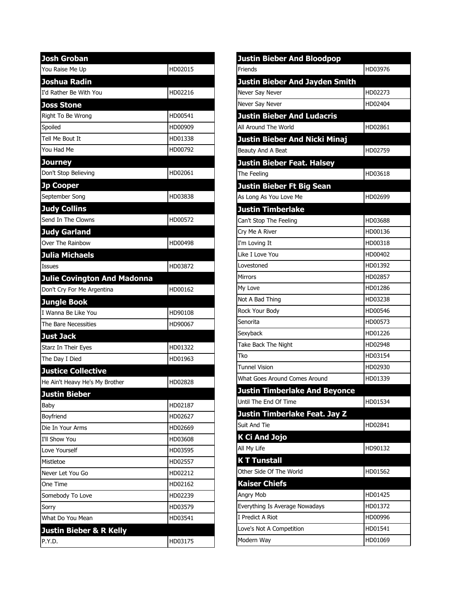| <b>Josh Groban</b>                 |         |
|------------------------------------|---------|
| You Raise Me Up                    | HD02015 |
| Joshua Radin                       |         |
| I'd Rather Be With You             | HD02216 |
| <b>Joss Stone</b>                  |         |
| Right To Be Wrong                  | HD00541 |
| Spoiled                            | HD00909 |
| Tell Me Bout It                    | HD01338 |
| You Had Me                         | HD00792 |
| Journey                            |         |
| Don't Stop Believing               | HD02061 |
| <b>Jp Cooper</b>                   |         |
| September Song                     | HD03838 |
| <b>Judy Collins</b>                |         |
| Send In The Clowns                 | HD00572 |
| <b>Judy Garland</b>                |         |
| Over The Rainbow                   | HD00498 |
| <b>Julia Michaels</b>              |         |
| Issues                             | HD03872 |
| <b>Julie Covington And Madonna</b> |         |
| Don't Cry For Me Argentina         | HD00162 |
| <b>Jungle Book</b>                 |         |
| I Wanna Be Like You                | HD90108 |
| The Bare Necessities               | HD90067 |
| <b>Just Jack</b>                   |         |
| Starz In Their Eyes                | HD01322 |
| The Day I Died                     | HD01963 |
| <b>Justice Collective</b>          |         |
| He Ain't Heavy He's My Brother     | HD02828 |
| <b>Justin Bieber</b>               |         |
| Baby                               | HD02187 |
| Boyfriend                          | HD02627 |
| Die In Your Arms                   | HD02669 |
| I'll Show You                      | HD03608 |
| Love Yourself                      | HD03595 |
| Mistletoe                          | HD02557 |
| Never Let You Go                   | HD02212 |
| One Time                           | HD02162 |
| Somebody To Love                   | HD02239 |
| Sorry                              | HD03579 |
| What Do You Mean                   | HD03541 |
| <b>Justin Bieber &amp; R Kelly</b> |         |
| P.Y.D.                             | HD03175 |

| <b>Justin Bieber And Bloodpop</b>     |         |
|---------------------------------------|---------|
| Friends                               | HD03976 |
| <b>Justin Bieber And Jayden Smith</b> |         |
| Never Say Never                       | HD02273 |
| Never Say Never                       | HD02404 |
| <b>Justin Bieber And Ludacris</b>     |         |
| All Around The World                  | HD02861 |
| <b>Justin Bieber And Nicki Minaj</b>  |         |
| Beauty And A Beat                     | HD02759 |
| <b>Justin Bieber Feat. Halsey</b>     |         |
| The Feeling                           | HD03618 |
| <b>Justin Bieber Ft Big Sean</b>      |         |
| As Long As You Love Me                | HD02699 |
| <b>Justin Timberlake</b>              |         |
| Can't Stop The Feeling                | HD03688 |
| Cry Me A River                        | HD00136 |
| I'm Loving It                         | HD00318 |
| Like I Love You                       | HD00402 |
| Lovestoned                            | HD01392 |
| <b>Mirrors</b>                        | HD02857 |
| My Love                               | HD01286 |
| Not A Bad Thing                       | HD03238 |
| Rock Your Body                        | HD00546 |
| Senorita                              | HD00573 |
| Sexyback                              | HD01226 |
| Take Back The Night                   | HD02948 |
| Tko                                   | HD03154 |
| <b>Tunnel Vision</b>                  | HD02930 |
| What Goes Around Comes Around         | HD01339 |
| <b>Justin Timberlake And Beyonce</b>  |         |
| Until The End Of Time                 | HD01534 |
| Justin Timberlake Feat. Jay Z         |         |
| Suit And Tie                          | HD02841 |
| K Ci And Jojo                         |         |
| All My Life                           | HD90132 |
| <b>KT Tunstall</b>                    |         |
| Other Side Of The World               | HD01562 |
| <b>Kaiser Chiefs</b>                  |         |
| Angry Mob                             | HD01425 |
| Everything Is Average Nowadays        | HD01372 |
| I Predict A Riot                      | HD00996 |
| Love's Not A Competition              | HD01541 |
| Modern Way                            | HD01069 |
|                                       |         |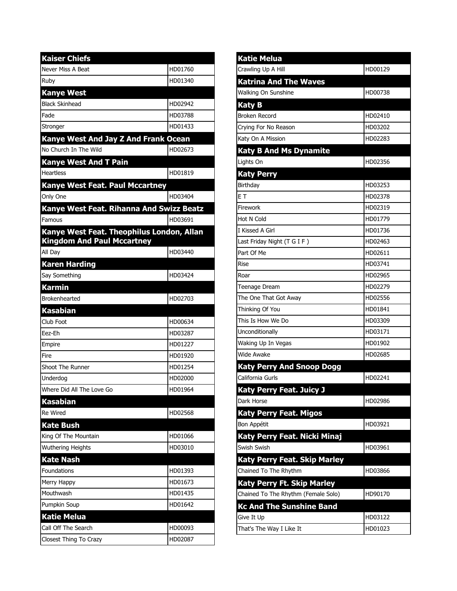| <b>Kaiser Chiefs</b>                      |         |
|-------------------------------------------|---------|
| Never Miss A Beat                         | HD01760 |
| Ruby                                      | HD01340 |
| <b>Kanye West</b>                         |         |
| <b>Black Skinhead</b>                     | HD02942 |
| Fade                                      | HD03788 |
| Stronger                                  | HD01433 |
| Kanye West And Jay Z And Frank Ocean      |         |
| No Church In The Wild                     | HD02673 |
| <b>Kanye West And T Pain</b>              |         |
| <b>Heartless</b>                          | HD01819 |
| Kanye West Feat. Paul Mccartney           |         |
| Only One                                  | HD03404 |
| Kanye West Feat. Rihanna And Swizz Beatz  |         |
| Famous                                    | HD03691 |
| Kanye West Feat. Theophilus London, Allan |         |
| <b>Kingdom And Paul Mccartney</b>         |         |
| All Dav                                   | HD03440 |
| <b>Karen Harding</b>                      |         |
| Say Something                             | HD03424 |
| <b>Karmin</b>                             |         |
|                                           |         |
| <b>Brokenhearted</b>                      | HD02703 |
| <b>Kasabian</b>                           |         |
| Club Foot                                 | HD00634 |
| Eez-Eh                                    | HD03287 |
| Empire                                    | HD01227 |
| Fire                                      | HD01920 |
| <b>Shoot The Runner</b>                   | HD01254 |
| Underdog                                  | HD02000 |
| Where Did All The Love Go                 | HD01964 |
| <b>Kasabian</b>                           |         |
| <b>Re Wired</b>                           | HD02568 |
| <b>Kate Bush</b>                          |         |
| King Of The Mountain                      | HD01066 |
| <b>Wuthering Heights</b>                  | HD03010 |
| <b>Kate Nash</b>                          |         |
| Foundations                               | HD01393 |
| Merry Happy                               | HD01673 |
| Mouthwash                                 | HD01435 |
| Pumpkin Soup                              | HD01642 |
| <b>Katie Melua</b>                        |         |
| Call Off The Search                       | HD00093 |

| <b>Katie Melua</b>                  |         |
|-------------------------------------|---------|
| Crawling Up A Hill                  | HD00129 |
| <b>Katrina And The Waves</b>        |         |
| Walking On Sunshine                 | HD00738 |
| <b>Katy B</b>                       |         |
| <b>Broken Record</b>                | HD02410 |
| Crying For No Reason                | HD03202 |
| Katy On A Mission                   | HD02283 |
| <b>Katy B And Ms Dynamite</b>       |         |
| Lights On                           | HD02356 |
| <b>Katy Perry</b>                   |         |
| Birthday                            | HD03253 |
| ET                                  | HD02378 |
| Firework                            | HD02319 |
| Hot N Cold                          | HD01779 |
| I Kissed A Girl                     | HD01736 |
| Last Friday Night (T G I F)         | HD02463 |
| Part Of Me                          | HD02611 |
| Rise                                | HD03741 |
| Roar                                | HD02965 |
| Teenage Dream                       | HD02279 |
| The One That Got Away               | HD02556 |
| Thinking Of You                     | HD01841 |
| This Is How We Do                   | HD03309 |
| Unconditionally                     | HD03171 |
| Waking Up In Vegas                  | HD01902 |
| Wide Awake                          | HD02685 |
| <b>Katy Perry And Snoop Dogg</b>    |         |
| California Gurls                    | HD02241 |
| Katy Perry Feat. Juicy J            |         |
| Dark Horse                          | HD02986 |
| <b>Katy Perry Feat. Migos</b>       |         |
| Bon Appétit                         | HD03921 |
| Katy Perry Feat. Nicki Minaj        |         |
| Swish Swish                         | HD03961 |
| <b>Katy Perry Feat. Skip Marley</b> |         |
| Chained To The Rhythm               | HD03866 |
| <b>Katy Perry Ft. Skip Marley</b>   |         |
| Chained To The Rhythm (Female Solo) | HD90170 |
| <b>Kc And The Sunshine Band</b>     |         |
| Give It Up                          | HD03122 |
| That's The Way I Like It            | HD01023 |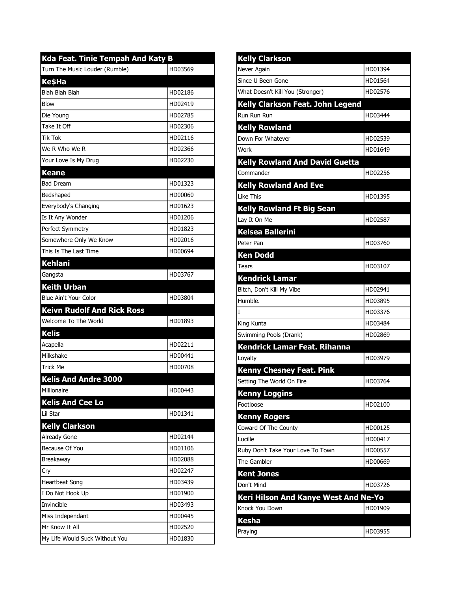| Kda Feat. Tinie Tempah And Katy B |         |
|-----------------------------------|---------|
| Turn The Music Louder (Rumble)    | HD03569 |
| <b>KesHa</b>                      |         |
| Blah Blah Blah                    | HD02186 |
| <b>Blow</b>                       | HD02419 |
| Die Young                         | HD02785 |
| Take It Off                       | HD02306 |
| <b>Tik Tok</b>                    | HD02116 |
| We R Who We R                     | HD02366 |
| Your Love Is My Drug              | HD02230 |
| <b>Keane</b>                      |         |
| <b>Bad Dream</b>                  | HD01323 |
| Bedshaped                         | HD00060 |
| Everybody's Changing              | HD01623 |
| Is It Any Wonder                  | HD01206 |
| Perfect Symmetry                  | HD01823 |
| Somewhere Only We Know            | HD02016 |
| This Is The Last Time             | HD00694 |
| <b>Kehlani</b>                    |         |
| Gangsta                           | HD03767 |
| <b>Keith Urban</b>                |         |
| Blue Ain't Your Color             | HD03804 |
| <b>Keivn Rudolf And Rick Ross</b> |         |
| Welcome To The World              | HD01893 |
| <b>Kelis</b>                      |         |
| Acapella                          | HD02211 |
| Milkshake                         | HD00441 |
| <b>Trick Me</b>                   | HD00708 |
| <b>Kelis And Andre 3000</b>       |         |
| Millionaire                       | HD00443 |
| <b>Kelis And Cee Lo</b>           |         |
| Lil Star                          | HD01341 |
| <b>Kelly Clarkson</b>             |         |
| Already Gone                      | HD02144 |
| Because Of You                    | HD01106 |
| Breakaway                         | HD02088 |
| Cry                               | HD02247 |
| <b>Heartbeat Song</b>             | HD03439 |
| I Do Not Hook Up                  | HD01900 |
| Invincible                        | HD03493 |
| Miss Independant                  | HD00445 |
| Mr Know It All                    | HD02520 |
| My Life Would Suck Without You    | HD01830 |

| <b>Kelly Clarkson</b>                 |         |
|---------------------------------------|---------|
| Never Again                           | HD01394 |
| Since U Been Gone                     | HD01564 |
| What Doesn't Kill You (Stronger)      | HD02576 |
| Kelly Clarkson Feat. John Legend      |         |
| Run Run Run                           | HD03444 |
| <b>Kelly Rowland</b>                  |         |
| Down For Whatever                     | HD02539 |
| Work                                  | HD01649 |
| <b>Kelly Rowland And David Guetta</b> |         |
| Commander                             | HD02256 |
| <b>Kelly Rowland And Eve</b>          |         |
| Like This                             | HD01395 |
| <b>Kelly Rowland Ft Big Sean</b>      |         |
| Lay It On Me                          | HD02587 |
| <b>Kelsea Ballerini</b>               |         |
| Peter Pan                             | HD03760 |
| <b>Ken Dodd</b>                       |         |
| Tears                                 | HD03107 |
| <b>Kendrick Lamar</b>                 |         |
| Bitch, Don't Kill My Vibe             | HD02941 |
| Humble.                               | HD03895 |
| I                                     | HD03376 |
| King Kunta                            | HD03484 |
| Swimming Pools (Drank)                | HD02869 |
| Kendrick Lamar Feat. Rihanna          |         |
| Loyalty                               | HD03979 |
| <b>Kenny Chesney Feat. Pink</b>       |         |
| Setting The World On Fire             | HD03764 |
| <b>Kenny Loggins</b>                  |         |
| Footloose                             | HD02100 |
| <b>Kenny Rogers</b>                   |         |
| Coward Of The County                  | HD00125 |
| Lucille                               | HD00417 |
| Ruby Don't Take Your Love To Town     | HD00557 |
| The Gambler                           | HD00669 |
| <b>Kent Jones</b>                     |         |
| Don't Mind                            | HD03726 |
| Keri Hilson And Kanye West And Ne-Yo  |         |
| Knock You Down                        | HD01909 |
| <b>Kesha</b>                          |         |
| Praying                               | HD03955 |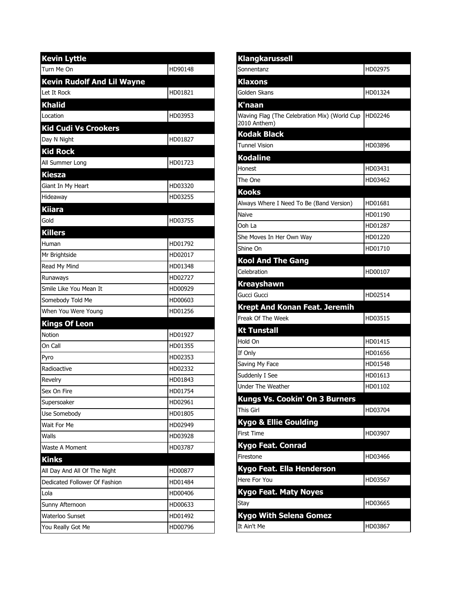| <b>Kevin Lyttle</b>               |         |
|-----------------------------------|---------|
| Turn Me On                        | HD90148 |
| <b>Kevin Rudolf And Lil Wayne</b> |         |
| Let It Rock                       | HD01821 |
| <b>Khalid</b>                     |         |
| Location                          | HD03953 |
| <b>Kid Cudi Vs Crookers</b>       |         |
| Day N Night                       | HD01827 |
| <b>Kid Rock</b>                   |         |
| All Summer Long                   | HD01723 |
| <b>Kiesza</b>                     |         |
| Giant In My Heart                 | HD03320 |
| Hideaway                          | HD03255 |
| <b>Kiiara</b>                     |         |
| Gold                              | HD03755 |
| <b>Killers</b>                    |         |
| Human                             | HD01792 |
| Mr Brightside                     | HD02017 |
| Read My Mind                      | HD01348 |
| Runaways                          | HD02727 |
| Smile Like You Mean It            | HD00929 |
| Somebody Told Me                  | HD00603 |
| When You Were Young               | HD01256 |
| <b>Kings Of Leon</b>              |         |
| Notion                            | HD01927 |
| On Call                           | HD01355 |
| Pyro                              | HD02353 |
| Radioactive                       | HD02332 |
| Revelry                           | HD01843 |
| Sex On Fire                       | HD01754 |
| Supersoaker                       | HD02961 |
| Use Somebody                      | HD01805 |
| Wait For Me                       | HD02949 |
| Walls                             | HD03928 |
| Waste A Moment                    | HD03787 |
| <b>Kinks</b>                      |         |
| All Day And All Of The Night      | HD00877 |
| Dedicated Follower Of Fashion     | HD01484 |
| Lola                              | HD00406 |
| Sunny Afternoon                   | HD00633 |
| Waterloo Sunset                   | HD01492 |
| You Really Got Me                 | HD00796 |

| <b>Klangkarussell</b>                                        |         |
|--------------------------------------------------------------|---------|
| Sonnentanz                                                   | HD02975 |
| <b>Klaxons</b>                                               |         |
| Golden Skans                                                 | HD01324 |
| K'naan                                                       |         |
| Waving Flag (The Celebration Mix) (World Cup<br>2010 Anthem) | HD02246 |
| <b>Kodak Black</b>                                           |         |
| <b>Tunnel Vision</b>                                         | HD03896 |
| <b>Kodaline</b>                                              |         |
| Honest                                                       | HD03431 |
| The One                                                      | HD03462 |
| <b>Kooks</b>                                                 |         |
| Always Where I Need To Be (Band Version)                     | HD01681 |
| Naive                                                        | HD01190 |
| Ooh La                                                       | HD01287 |
| She Moves In Her Own Way                                     | HD01220 |
| Shine On                                                     | HD01710 |
| <b>Kool And The Gang</b>                                     |         |
| Celebration                                                  | HD00107 |
| <b>Kreayshawn</b>                                            |         |
| Gucci Gucci                                                  | HD02514 |
| <b>Krept And Konan Feat. Jeremih</b>                         |         |
| Freak Of The Week                                            | HD03515 |
| <b>Kt Tunstall</b>                                           |         |
| Hold On                                                      | HD01415 |
| If Only                                                      | HD01656 |
| Saving My Face                                               | HD01548 |
| Suddenly I See                                               | HD01613 |
| <b>Under The Weather</b>                                     | HD01102 |
| Kungs Vs. Cookin' On 3 Burners<br>This Girl                  | HD03704 |
| <b>Kygo &amp; Ellie Goulding</b>                             |         |
| <b>First Time</b>                                            | HD03907 |
| Kygo Feat. Conrad                                            |         |
| Firestone                                                    | HD03466 |
| Kygo Feat. Ella Henderson                                    |         |
| Here For You                                                 | HD03567 |
| <b>Kygo Feat. Maty Noyes</b>                                 |         |
| Stay                                                         | HD03665 |
| <b>Kygo With Selena Gomez</b>                                |         |
| It Ain't Me                                                  | HD03867 |
|                                                              |         |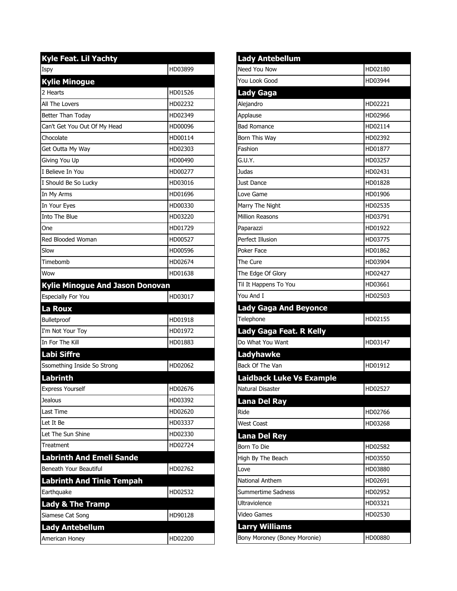| <b>Kyle Feat. Lil Yachty</b>           |         |
|----------------------------------------|---------|
| Ispy                                   | HD03899 |
| <b>Kylie Minogue</b>                   |         |
| 2 Hearts                               | HD01526 |
| All The Lovers                         | HD02232 |
| Better Than Today                      | HD02349 |
| Can't Get You Out Of My Head           | HD00096 |
| Chocolate                              | HD00114 |
| Get Outta My Way                       | HD02303 |
| Giving You Up                          | HD00490 |
| I Believe In You                       | HD00277 |
| I Should Be So Lucky                   | HD03016 |
| In My Arms                             | HD01696 |
| In Your Eyes                           | HD00330 |
| <b>Into The Blue</b>                   | HD03220 |
| One                                    | HD01729 |
| Red Blooded Woman                      | HD00527 |
| Slow                                   | HD00596 |
| Timebomb                               | HD02674 |
| Wow                                    | HD01638 |
| <b>Kylie Minogue And Jason Donovan</b> |         |
| <b>Especially For You</b>              | HD03017 |
| La Roux                                |         |
| Bulletproof                            | HD01918 |
| I'm Not Your Toy                       | HD01972 |
| In For The Kill                        | HD01883 |
| Labi Siffre                            |         |
| Ssomething Inside So Strong            | HD02062 |
| <b>Labrinth</b>                        |         |
| <b>Express Yourself</b>                | HD02676 |
| <b>Jealous</b>                         | HD03392 |
| Last Time                              | HD02620 |
| Let It Be                              | HD03337 |
| Let The Sun Shine                      | HD02330 |
| Treatment                              | HD02724 |
| <b>Labrinth And Emeli Sande</b>        |         |
| Beneath Your Beautiful                 | HD02762 |
| <b>Labrinth And Tinie Tempah</b>       |         |
| Earthquake                             | HD02532 |
| <b>Lady &amp; The Tramp</b>            |         |
| Siamese Cat Song                       | HD90128 |
| <b>Lady Antebellum</b>                 |         |
| American Honey                         | HD02200 |

| <b>Lady Antebellum</b>                                                                                |         |
|-------------------------------------------------------------------------------------------------------|---------|
| Need You Now                                                                                          | HD02180 |
| You Look Good                                                                                         | HD03944 |
| <b>Lady Gaga</b>                                                                                      |         |
| Alejandro                                                                                             | HD02221 |
| Applause                                                                                              | HD02966 |
| <b>Bad Romance</b>                                                                                    | HD02114 |
| Born This Way                                                                                         | HD02392 |
| Fashion                                                                                               | HD01877 |
| G.U.Y.                                                                                                | HD03257 |
| Judas                                                                                                 | HD02431 |
| Just Dance                                                                                            | HD01828 |
| Love Game                                                                                             | HD01906 |
| Marry The Night                                                                                       | HD02535 |
| <b>Million Reasons</b>                                                                                | HD03791 |
| Paparazzi                                                                                             | HD01922 |
| Perfect Illusion                                                                                      | HD03775 |
| Poker Face                                                                                            | HD01862 |
| The Cure                                                                                              | HD03904 |
| The Edge Of Glory                                                                                     | HD02427 |
| Til It Happens To You                                                                                 | HD03661 |
| You And I                                                                                             | HD02503 |
| <b>Lady Gaga And Beyonce</b>                                                                          |         |
|                                                                                                       |         |
| Telephone                                                                                             | HD02155 |
| Lady Gaga Feat. R Kelly                                                                               |         |
|                                                                                                       | HD03147 |
| <b>Ladyhawke</b>                                                                                      |         |
|                                                                                                       | HD01912 |
| <b>Laidback Luke Vs Example</b>                                                                       |         |
|                                                                                                       | HD02527 |
| Do What You Want<br><b>Lana Del Ray</b>                                                               |         |
| Ride                                                                                                  | HD02766 |
| <b>West Coast</b>                                                                                     | HD03268 |
| <b>Lana Del Rey</b>                                                                                   |         |
|                                                                                                       | HD02582 |
|                                                                                                       | HD03550 |
|                                                                                                       | HD03880 |
| National Anthem                                                                                       | HD02691 |
| <b>Summertime Sadness</b>                                                                             | HD02952 |
| Ultraviolence                                                                                         | HD03321 |
| Back Of The Van<br>Natural Disaster<br>Born To Die<br>High By The Beach<br>Love<br><b>Video Games</b> | HD02530 |
| <b>Larry Williams</b>                                                                                 |         |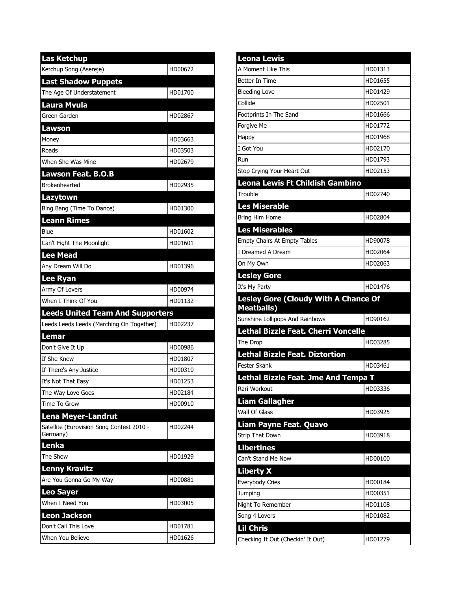| <b>Las Ketchup</b>                                    |         |
|-------------------------------------------------------|---------|
| Ketchup Song (Asereje)                                | HD00672 |
| <b>Last Shadow Puppets</b>                            |         |
| The Age Of Understatement                             | HD01700 |
| <b>Laura Mvula</b>                                    |         |
| Green Garden                                          | HD02867 |
| Lawson                                                |         |
| Money                                                 | HD03663 |
| Roads                                                 | HD03503 |
| When She Was Mine                                     | HD02679 |
| Lawson Feat. B.O.B                                    |         |
| <b>Brokenhearted</b>                                  | HD02935 |
| <b>Lazytown</b>                                       |         |
| Bing Bang (Time To Dance)                             | HD01300 |
| <b>Leann Rimes</b>                                    |         |
| Blue                                                  | HD01602 |
| Can't Fight The Moonlight                             | HD01601 |
| <b>Lee Mead</b>                                       |         |
| Any Dream Will Do                                     | HD01396 |
| <b>Lee Ryan</b>                                       |         |
| Army Of Lovers                                        | HD00974 |
| When I Think Of You                                   | HD01132 |
|                                                       |         |
| <b>Leeds United Team And Supporters</b>               |         |
| Leeds Leeds Leeds (Marching On Together)              | HD02237 |
| Lemar                                                 |         |
| Don't Give It Up                                      | HD00986 |
| If She Knew                                           | HD01807 |
| If There's Any Justice                                | HD00310 |
| It's Not That Easy                                    | HD01253 |
| The Way Love Goes                                     | HD02184 |
| Time To Grow                                          | HD00910 |
| <b>Lena Meyer-Landrut</b>                             |         |
| Satellite (Eurovision Song Contest 2010 -<br>Germany) | HD02244 |
| Lenka                                                 |         |
| The Show                                              | HD01929 |
| <b>Lenny Kravitz</b>                                  |         |
| Are You Gonna Go My Way                               | HD00881 |
| <b>Leo Sayer</b>                                      |         |
| When I Need You                                       | HD03005 |
| <b>Leon Jackson</b>                                   |         |
| Don't Call This Love                                  | HD01781 |

| <b>Leona Lewis</b>                                               |         |
|------------------------------------------------------------------|---------|
| A Moment Like This                                               | HD01313 |
| <b>Better In Time</b>                                            | HD01655 |
| <b>Bleeding Love</b>                                             | HD01429 |
| Collide                                                          | HD02501 |
| Footprints In The Sand                                           | HD01666 |
| Forgive Me                                                       | HD01772 |
| Happy                                                            | HD01968 |
| I Got You                                                        | HD02170 |
| Run                                                              | HD01793 |
| Stop Crying Your Heart Out                                       | HD02153 |
| Leona Lewis Ft Childish Gambino                                  |         |
| Trouble                                                          | HD02740 |
| <b>Les Miserable</b>                                             |         |
| Bring Him Home                                                   | HD02804 |
| <b>Les Miserables</b>                                            |         |
| Empty Chairs At Empty Tables                                     | HD90078 |
| I Dreamed A Dream                                                | HD02064 |
| On My Own                                                        | HD02063 |
| <b>Lesley Gore</b>                                               |         |
| It's My Party                                                    | HD01476 |
| <b>Lesley Gore (Cloudy With A Chance Of</b><br><b>Meatballs)</b> |         |
| Sunshine Lollipops And Rainbows                                  | HD90162 |
| Lethal Bizzle Feat. Cherri Voncelle                              |         |
| The Drop                                                         | HD03285 |
| <b>Lethal Bizzle Feat. Diztortion</b>                            |         |
| <b>Fester Skank</b>                                              | HD03461 |
| Lethal Bizzle Feat. Jme And Tempa T                              |         |
| Rari Workout                                                     | HD03336 |
| <b>Liam Gallagher</b>                                            |         |
| Wall Of Glass                                                    | HD03925 |
| <b>Liam Payne Feat. Quavo</b>                                    |         |
| Strip That Down                                                  | HD03918 |
| <b>Libertines</b>                                                |         |
| Can't Stand Me Now                                               | HD00100 |
| Liberty X                                                        |         |
| Everybody Cries                                                  | HD00184 |
| Jumping                                                          | HD00351 |
| Night To Remember                                                | HD01108 |
| Song 4 Lovers                                                    | HD01082 |
| <b>Lil Chris</b>                                                 |         |
|                                                                  | HD01279 |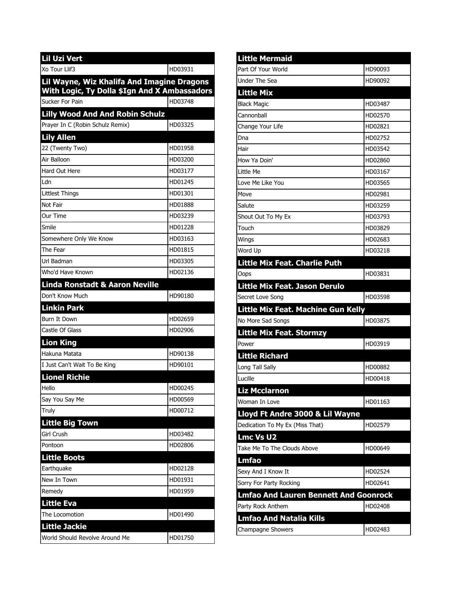| <b>Lil Uzi Vert</b>                                                                        |         |
|--------------------------------------------------------------------------------------------|---------|
| Xo Tour Llif3                                                                              | HD03931 |
| Lil Wayne, Wiz Khalifa And Imagine Dragons<br>With Logic, Ty Dolla \$Ign And X Ambassadors |         |
| Sucker For Pain                                                                            | HD03748 |
| <b>Lilly Wood And And Robin Schulz</b>                                                     |         |
| Prayer In C (Robin Schulz Remix)                                                           | HD03325 |
| Lily Allen                                                                                 |         |
| 22 (Twenty Two)                                                                            | HD01958 |
| Air Balloon                                                                                | HD03200 |
| Hard Out Here                                                                              | HD03177 |
| Ldn                                                                                        | HD01245 |
| Littlest Things                                                                            | HD01301 |
| Not Fair                                                                                   | HD01888 |
| Our Time                                                                                   | HD03239 |
| Smile                                                                                      | HD01228 |
| Somewhere Only We Know                                                                     | HD03163 |
| The Fear                                                                                   | HD01815 |
| Url Badman                                                                                 | HD03305 |
| Who'd Have Known                                                                           | HD02136 |
| <b>Linda Ronstadt &amp; Aaron Neville</b>                                                  |         |
| Don't Know Much                                                                            | HD90180 |
| <b>Linkin Park</b>                                                                         |         |
| Burn It Down                                                                               | HD02659 |
| Castle Of Glass                                                                            | HD02906 |
| <b>Lion King</b>                                                                           |         |
| Hakuna Matata                                                                              | HD90138 |
| I Just Can't Wait To Be King                                                               | HD90101 |
| <b>Lionel Richie</b>                                                                       |         |
| Hello                                                                                      | HD00245 |
| Say You Say Me                                                                             | HD00569 |
| Truly                                                                                      | HD00712 |
| Little Big Town                                                                            |         |
| Girl Crush                                                                                 | HD03482 |
| Pontoon                                                                                    | HD02806 |
| <b>Little Boots</b>                                                                        |         |
| Earthquake                                                                                 | HD02128 |
| New In Town                                                                                | HD01931 |
| Remedy                                                                                     | HD01959 |
| <b>Little Eva</b>                                                                          |         |
| The Locomotion                                                                             | HD01490 |
| Little Jackie                                                                              |         |
| World Should Revolve Around Me                                                             | HD01750 |

| <b>Little Mermaid</b>                        |         |
|----------------------------------------------|---------|
| Part Of Your World                           | HD90093 |
| <b>Under The Sea</b>                         | HD90092 |
| <b>Little Mix</b>                            |         |
| <b>Black Magic</b>                           | HD03487 |
| Cannonball                                   | HD02570 |
| Change Your Life                             | HD02821 |
| Dna                                          | HD02752 |
| Hair                                         | HD03542 |
| How Ya Doin'                                 | HD02860 |
| Little Me                                    | HD03167 |
| Love Me Like You                             | HD03565 |
| Move                                         | HD02981 |
| Salute                                       | HD03259 |
| Shout Out To My Ex                           | HD03793 |
| Touch                                        | HD03829 |
| Wings                                        | HD02683 |
| Word Up                                      | HD03218 |
| <b>Little Mix Feat. Charlie Puth</b>         |         |
| Oops                                         | HD03831 |
| Little Mix Feat. Jason Derulo                |         |
| Secret Love Song                             | HD03598 |
| Little Mix Feat. Machine Gun Kelly           |         |
| No More Sad Songs                            | HD03875 |
| <b>Little Mix Feat. Stormzy</b>              |         |
| Power                                        | HD03919 |
| <b>Little Richard</b>                        |         |
| Long Tall Sally                              | HD00882 |
| Lucille                                      | HD00418 |
| <b>Liz Mcclarnon</b>                         |         |
| Woman In Love                                | HD01163 |
| Lloyd Ft Andre 3000 & Lil Wayne              |         |
| Dedication To My Ex (Miss That)              | HD02579 |
| <b>Lmc Vs U2</b>                             |         |
| Take Me To The Clouds Above                  | HD00649 |
| Lmfao                                        |         |
| Sexy And I Know It                           | HD02524 |
| Sorry For Party Rocking                      | HD02641 |
| <b>Lmfao And Lauren Bennett And Goonrock</b> |         |
| Party Rock Anthem                            | HD02408 |
| <b>Lmfao And Natalia Kills</b>               |         |
| Champagne Showers                            | HD02483 |
|                                              |         |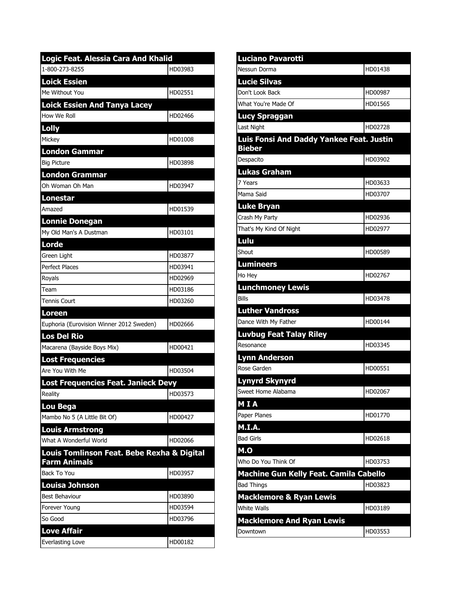| Logic Feat. Alessia Cara And Khalid        |         |  |
|--------------------------------------------|---------|--|
| 1-800-273-8255                             | HD03983 |  |
| <b>Loick Essien</b>                        |         |  |
| Me Without You                             | HD02551 |  |
| <b>Loick Essien And Tanya Lacey</b>        |         |  |
| How We Roll                                | HD02466 |  |
| Lolly                                      |         |  |
| Mickey                                     | HD01008 |  |
| <b>London Gammar</b>                       |         |  |
| <b>Big Picture</b>                         | HD03898 |  |
| <b>London Grammar</b>                      |         |  |
| Oh Woman Oh Man                            | HD03947 |  |
| <b>Lonestar</b>                            |         |  |
| Amazed                                     | HD01539 |  |
| <b>Lonnie Donegan</b>                      |         |  |
| My Old Man's A Dustman                     | HD03101 |  |
| <b>Lorde</b>                               |         |  |
| Green Light                                | HD03877 |  |
| <b>Perfect Places</b>                      | HD03941 |  |
| Royals                                     | HD02969 |  |
| Team                                       | HD03186 |  |
| Tennis Court                               | HD03260 |  |
| <u>Loreen</u>                              |         |  |
| Euphoria (Eurovision Winner 2012 Sweden)   | HD02666 |  |
| <b>Los Del Rio</b>                         |         |  |
| Macarena (Bayside Boys Mix)                | HD00421 |  |
| <b>Lost Frequencies</b>                    |         |  |
| Are You With Me                            | HD03504 |  |
| Lost Frequencies Feat. Janieck Devy        |         |  |
| Reality                                    | HD03573 |  |
| Lou Bega                                   |         |  |
| Mambo No 5 (A Little Bit Of)               | HD00427 |  |
| <b>Louis Armstrong</b>                     |         |  |
| What A Wonderful World                     | HD02066 |  |
| Louis Tomlinson Feat. Bebe Rexha & Digital |         |  |
| <b>Farm Animals</b>                        |         |  |
| Back To You                                | HD03957 |  |
| Louisa Johnson                             |         |  |
| <b>Best Behaviour</b>                      | HD03890 |  |
| Forever Young                              | HD03594 |  |
| So Good                                    | HD03796 |  |
| <b>Love Affair</b>                         |         |  |
| Everlasting Love                           | HD00182 |  |

| <b>Luciano Pavarotti</b>                                  |         |
|-----------------------------------------------------------|---------|
| Nessun Dorma                                              | HD01438 |
| <b>Lucie Silvas</b>                                       |         |
| Don't Look Back                                           | HD00987 |
| What You're Made Of                                       | HD01565 |
| <b>Lucy Spraggan</b>                                      |         |
| <b>Last Night</b>                                         | HD02728 |
| Luis Fonsi And Daddy Yankee Feat. Justin<br><b>Bieber</b> |         |
| Despacito                                                 | HD03902 |
| <b>Lukas Graham</b>                                       |         |
| 7 Years                                                   | HD03633 |
| Mama Said                                                 | HD03707 |
| <b>Luke Bryan</b>                                         |         |
| Crash My Party                                            | HD02936 |
| That's My Kind Of Night                                   | HD02977 |
| Lulu                                                      |         |
| Shout                                                     | HD00589 |
| <b>Lumineers</b>                                          |         |
| Ho Hey                                                    | HD02767 |
| <b>Lunchmoney Lewis</b>                                   |         |
| <b>Bills</b>                                              | HD03478 |
| <b>Luther Vandross</b>                                    |         |
| Dance With My Father                                      | HD00144 |
| <b>Luvbug Feat Talay Riley</b>                            |         |
| Resonance                                                 | HD03345 |
| Lynn Anderson                                             |         |
| Rose Garden                                               | HD00551 |
| <b>Lynyrd Skynyrd</b>                                     |         |
| Sweet Home Alabama                                        | HD02067 |
| MIA                                                       |         |
| Paper Planes                                              | HD01770 |
| M.I.A.                                                    |         |
| <b>Bad Girls</b>                                          | HD02618 |
| M.O                                                       |         |
| Who Do You Think Of                                       | HD03753 |
| Machine Gun Kelly Feat. Camila Cabello                    |         |
| <b>Bad Things</b>                                         | HD03823 |
| <b>Macklemore &amp; Ryan Lewis</b><br><b>White Walls</b>  |         |
|                                                           | HD03189 |
| <b>Macklemore And Ryan Lewis</b>                          |         |
| Downtown                                                  | HD03553 |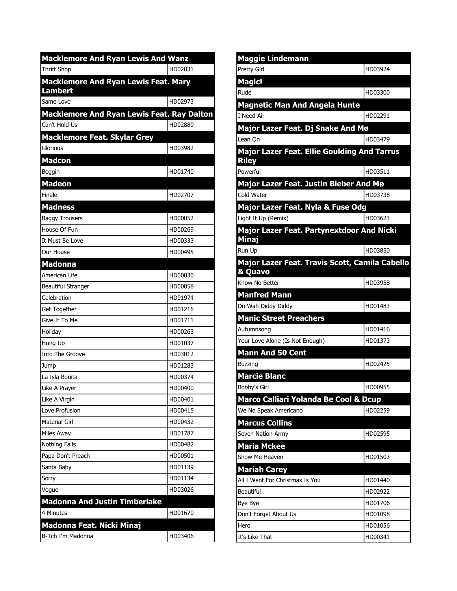| <b>Macklemore And Ryan Lewis And Wanz</b>                     |         |
|---------------------------------------------------------------|---------|
| <b>Thrift Shop</b>                                            | HD02831 |
| <b>Macklemore And Ryan Lewis Feat. Mary</b><br><b>Lambert</b> |         |
| Same Love                                                     | HD02973 |
| Macklemore And Ryan Lewis Feat. Ray Dalton                    |         |
| Can't Hold Us                                                 | HD02880 |
| <b>Macklemore Feat. Skylar Grey</b>                           |         |
| Glorious                                                      | HD03982 |
| <b>Madcon</b>                                                 |         |
| Beggin                                                        | HD01740 |
| <b>Madeon</b>                                                 |         |
| Finale                                                        | HD02707 |
| <b>Madness</b>                                                |         |
| <b>Baggy Trousers</b>                                         | HD00052 |
| House Of Fun                                                  | HD00269 |
| It Must Be Love                                               | HD00333 |
| Our House                                                     | HD00495 |
| <b>Madonna</b>                                                |         |
| American Life                                                 | HD00030 |
| <b>Beautiful Stranger</b>                                     | HD00058 |
| Celebration                                                   | HD01974 |
| Get Together                                                  | HD01216 |
| Give It To Me                                                 | HD01711 |
| Holiday                                                       | HD00263 |
| Hung Up                                                       | HD01037 |
| Into The Groove                                               | HD03012 |
| Jump                                                          | HD01283 |
| La Isla Bonita                                                | HD00374 |
| Like A Prayer                                                 | HD00400 |
| Like A Virgin                                                 | HD00401 |
| Love Profusion                                                | HD00415 |
| Material Girl                                                 | HD00432 |
| Miles Away                                                    | HD01787 |
| Nothing Fails                                                 | HD00482 |
| Papa Don't Preach                                             | HD00501 |
| Santa Baby                                                    | HD01139 |
| Sorry                                                         | HD01134 |
| Vogue                                                         | HD03026 |
| <b>Madonna And Justin Timberlake</b>                          |         |
| 4 Minutes                                                     | HD01670 |
| Madonna Feat. Nicki Minaj                                     |         |
| B-Tch I'm Madonna                                             | HD03406 |

| <b>Maggie Lindemann</b>                                   |         |
|-----------------------------------------------------------|---------|
| Pretty Girl                                               | HD03924 |
| <b>Magic!</b>                                             |         |
| Rude                                                      | HD03300 |
| <b>Magnetic Man And Angela Hunte</b>                      |         |
| lI Need Air                                               | HD02291 |
| Major Lazer Feat. Dj Snake And Mø                         |         |
| Lean On                                                   | HD03479 |
| <b>Major Lazer Feat. Ellie Goulding And Tarrus</b>        |         |
| <b>Riley</b>                                              |         |
| Powerful                                                  | HD03511 |
| Major Lazer Feat. Justin Bieber And Mø                    |         |
| Cold Water                                                | HD03738 |
| Major Lazer Feat. Nyla & Fuse Odg                         |         |
| Light It Up (Remix)                                       | HD03623 |
| <b>Major Lazer Feat. Partynextdoor And Nicki</b>          |         |
| Minaj                                                     |         |
| Run Up                                                    | HD03850 |
| Major Lazer Feat. Travis Scott, Camila Cabello<br>& Quavo |         |
| Know No Better                                            | HD03958 |
| <b>Manfred Mann</b>                                       |         |
| Do Wah Diddy Diddy                                        | HD01483 |
| <b>Manic Street Preachers</b>                             |         |
| Autumnsong                                                | HD01416 |
| Your Love Alone (Is Not Enough)                           | HD01373 |
| <b>Mann And 50 Cent</b>                                   |         |
| <b>Buzzing</b>                                            | HD02425 |
| <b>Marcie Blanc</b>                                       |         |
| Bobby's Girl                                              | HD00955 |
| Marco Calliari Yolanda Be Cool & Dcup                     |         |
| We No Speak Americano                                     | HD02259 |
| <b>Marcus Collins</b>                                     |         |
| Seven Nation Army                                         | HD02595 |
| <b>Maria Mckee</b>                                        |         |
| Show Me Heaven                                            | HD01503 |
| <b>Mariah Carey</b>                                       |         |
| All I Want For Christmas Is You                           | HD01440 |
| Beautiful                                                 | HD02922 |
| Bye Bye                                                   | HD01706 |
| Don't Forget About Us                                     | HD01098 |
| Hero                                                      | HD01056 |
| It's Like That                                            | HD00341 |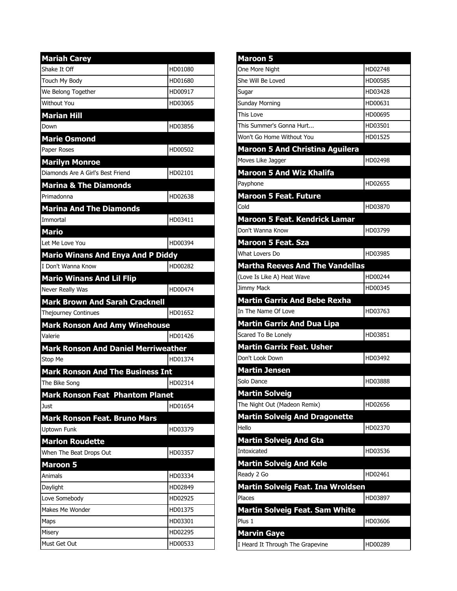| <b>Mariah Carey</b>                        |         |
|--------------------------------------------|---------|
| Shake It Off                               | HD01080 |
| Touch My Body                              | HD01680 |
| We Belong Together                         | HD00917 |
| <b>Without You</b>                         | HD03065 |
| <b>Marian Hill</b>                         |         |
| Down                                       | HD03856 |
| <b>Marie Osmond</b>                        |         |
| Paper Roses                                | HD00502 |
| <b>Marilyn Monroe</b>                      |         |
| Diamonds Are A Girl's Best Friend          | HD02101 |
| <b>Marina &amp; The Diamonds</b>           |         |
| Primadonna                                 | HD02638 |
| <b>Marina And The Diamonds</b>             |         |
| Immortal                                   | HD03411 |
| <b>Mario</b>                               |         |
| Let Me Love You                            | HD00394 |
| <b>Mario Winans And Enya And P Diddy</b>   |         |
| I Don't Wanna Know                         | HD00282 |
| <b>Mario Winans And Lil Flip</b>           |         |
| Never Really Was                           | HD00474 |
| <b>Mark Brown And Sarah Cracknell</b>      |         |
| <b>Thejourney Continues</b>                | HD01652 |
| <b>Mark Ronson And Amy Winehouse</b>       |         |
| Valerie                                    | HD01426 |
| <b>Mark Ronson And Daniel Merriweather</b> |         |
| Stop Me                                    | HD01374 |
| <b>Mark Ronson And The Business Int</b>    |         |
| The Bike Song                              | HD02314 |
| <b>Mark Ronson Feat Phantom Planet</b>     |         |
| Just                                       | HD01654 |
| <b>Mark Ronson Feat. Bruno Mars</b>        |         |
| <b>Uptown Funk</b>                         | HD03379 |
| <b>Marlon Roudette</b>                     |         |
| When The Beat Drops Out                    | HD03357 |
| <b>Maroon 5</b>                            |         |
| Animals                                    | HD03334 |
| Daylight                                   | HD02849 |
| Love Somebody                              | HD02925 |
| Makes Me Wonder                            | HD01375 |
| Maps                                       | HD03301 |
| Misery                                     | HD02295 |
| Must Get Out                               | HD00533 |

| <b>Maroon 5</b>                                       |         |
|-------------------------------------------------------|---------|
| One More Night                                        | HD02748 |
| She Will Be Loved                                     | HD00585 |
| Sugar                                                 | HD03428 |
| <b>Sunday Morning</b>                                 | HD00631 |
| This Love                                             | HD00695 |
| This Summer's Gonna Hurt                              | HD03501 |
| Won't Go Home Without You                             | HD01525 |
| <b>Maroon 5 And Christina Aguilera</b>                |         |
| Moves Like Jagger                                     | HD02498 |
| <b>Maroon 5 And Wiz Khalifa</b>                       |         |
| Payphone                                              | HD02655 |
| <b>Maroon 5 Feat. Future</b>                          |         |
| Cold                                                  | HD03870 |
| <b>Maroon 5 Feat. Kendrick Lamar</b>                  |         |
| Don't Wanna Know                                      | HD03799 |
| <b>Maroon 5 Feat. Sza</b>                             |         |
| What Lovers Do                                        | HD03985 |
| <b>Martha Reeves And The Vandellas</b>                |         |
| (Love Is Like A) Heat Wave                            | HD00244 |
| Jimmy Mack                                            | HD00345 |
| <b>Martin Garrix And Bebe Rexha</b>                   |         |
| In The Name Of Love                                   | HD03763 |
| <b>Martin Garrix And Dua Lipa</b>                     |         |
| Scared To Be Lonely                                   | HD03851 |
| <b>Martin Garrix Feat. Usher</b>                      |         |
| Don't Look Down                                       | HD03492 |
|                                                       |         |
| <b>Martin Jensen</b><br>Solo Dance                    | HD03888 |
|                                                       |         |
| <b>Martin Solveig</b><br>The Night Out (Madeon Remix) |         |
|                                                       | HD02656 |
| <b>Martin Solveig And Dragonette</b>                  |         |
| Hello                                                 | HD02370 |
| <b>Martin Solveig And Gta</b>                         |         |
| Intoxicated                                           | HD03536 |
| <b>Martin Solveig And Kele</b>                        |         |
| Ready 2 Go                                            | HD02461 |
| Martin Solveig Feat. Ina Wroldsen                     |         |
| Places                                                | HD03897 |
| <b>Martin Solveig Feat. Sam White</b>                 |         |
| Plus 1                                                | HD03606 |
| <b>Marvin Gaye</b>                                    |         |
| I Heard It Through The Grapevine                      | HD00289 |
|                                                       |         |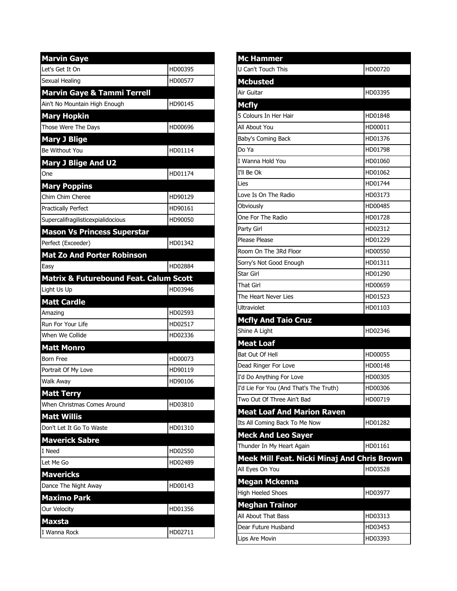| <b>Marvin Gaye</b>                                |         |
|---------------------------------------------------|---------|
| Let's Get It On                                   | HD00395 |
| Sexual Healing                                    | HD00577 |
| <b>Marvin Gaye &amp; Tammi Terrell</b>            |         |
| Ain't No Mountain High Enough                     | HD90145 |
| <b>Mary Hopkin</b>                                |         |
| Those Were The Days                               | HD00696 |
| <b>Mary J Blige</b>                               |         |
| Be Without You                                    | HD01114 |
| <b>Mary J Blige And U2</b>                        |         |
| One                                               | HD01174 |
| <b>Mary Poppins</b>                               |         |
| Chim Chim Cheree                                  | HD90129 |
| <b>Practically Perfect</b>                        | HD90161 |
| Supercalifragilisticexpialidocious                | HD90050 |
| <b>Mason Vs Princess Superstar</b>                |         |
| Perfect (Exceeder)                                | HD01342 |
| <b>Mat Zo And Porter Robinson</b>                 |         |
| Easy                                              | HD02884 |
| <b>Matrix &amp; Futurebound Feat. Calum Scott</b> |         |
| Light Us Up                                       | HD03946 |
| <b>Matt Cardle</b>                                |         |
| Amazing                                           | HD02593 |
| Run For Your Life                                 | HD02517 |
| When We Collide                                   | HD02336 |
| <b>Matt Monro</b>                                 |         |
| <b>Born Free</b>                                  | HD00073 |
| Portrait Of My Love                               | HD90119 |
| <b>Walk Away</b>                                  | HD90106 |
| <b>Matt Terry</b>                                 |         |
| When Christmas Comes Around                       | HD03810 |
| <b>Matt Willis</b>                                |         |
| Don't Let It Go To Waste                          | HD01310 |
| <b>Maverick Sabre</b>                             |         |
| I Need                                            | HD02550 |
| Let Me Go                                         | HD02489 |
| <b>Mavericks</b>                                  |         |
| Dance The Night Away                              | HD00143 |
| <b>Maximo Park</b>                                |         |
| Our Velocity                                      | HD01356 |
| <b>Maxsta</b>                                     |         |
| I Wanna Rock                                      | HD02711 |

| <b>Mc Hammer</b>                                                         |         |
|--------------------------------------------------------------------------|---------|
| U Can't Touch This                                                       | HD00720 |
| <b>Mcbusted</b>                                                          |         |
| Air Guitar                                                               | HD03395 |
| <b>Mcfly</b>                                                             |         |
| 5 Colours In Her Hair                                                    | HD01848 |
| All About You                                                            | HD00011 |
| Baby's Coming Back                                                       | HD01376 |
| Do Ya                                                                    | HD01798 |
| I Wanna Hold You                                                         | HD01060 |
| I'll Be Ok                                                               | HD01062 |
| Lies                                                                     | HD01744 |
| Love Is On The Radio                                                     | HD03173 |
| Obviously                                                                | HD00485 |
| One For The Radio                                                        | HD01728 |
| Party Girl                                                               | HD02312 |
| Please Please                                                            | HD01229 |
| Room On The 3Rd Floor                                                    | HD00550 |
| Sorry's Not Good Enough                                                  | HD01311 |
| Star Girl                                                                | HD01290 |
| That Girl                                                                | HD00659 |
| The Heart Never Lies                                                     | HD01523 |
| <b>Ultraviolet</b>                                                       | HD01103 |
| <b>Mcfly And Taio Cruz</b>                                               |         |
| Shine A Light                                                            | HD02346 |
| <b>Meat Loaf</b>                                                         |         |
|                                                                          |         |
|                                                                          | HD00055 |
| Bat Out Of Hell<br>Dead Ringer For Love                                  | HD00148 |
| I'd Do Anything For Love                                                 | HD00305 |
| I'd Lie For You (And That's The Truth)                                   | HD00306 |
| Two Out Of Three Ain't Bad                                               | HD00719 |
| <b>Meat Loaf And Marion Raven</b>                                        |         |
| Its All Coming Back To Me Now                                            | HD01282 |
| <b>Meck And Leo Sayer</b>                                                |         |
| Thunder In My Heart Again                                                | HD01161 |
| Meek Mill Feat. Nicki Minaj And Chris Brown                              |         |
| All Eyes On You                                                          | HD03528 |
| <b>Megan Mckenna</b>                                                     |         |
|                                                                          | HD03977 |
|                                                                          |         |
| <b>High Heeled Shoes</b><br><b>Meghan Trainor</b><br>All About That Bass | HD03313 |
| Dear Future Husband                                                      | HD03453 |
| Lips Are Movin                                                           | HD03393 |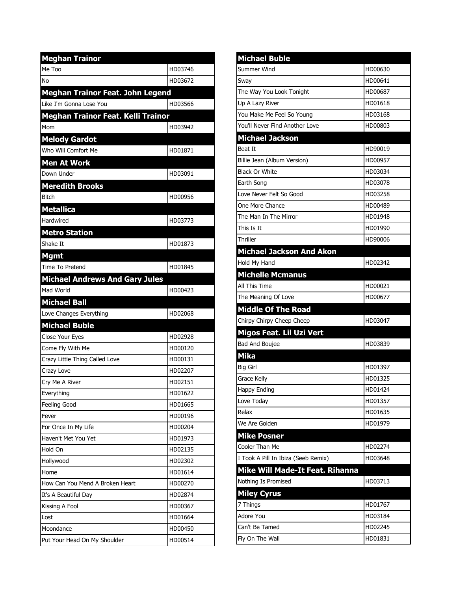| <b>Meghan Trainor</b>                   |         |
|-----------------------------------------|---------|
| Me Too                                  | HD03746 |
| No                                      | HD03672 |
| <b>Meghan Trainor Feat. John Legend</b> |         |
| Like I'm Gonna Lose You                 | HD03566 |
| Meghan Trainor Feat. Kelli Trainor      |         |
| Mom                                     | HD03942 |
| <b>Melody Gardot</b>                    |         |
| Who Will Comfort Me                     | HD01871 |
| <b>Men At Work</b>                      |         |
| Down Under                              | HD03091 |
| <b>Meredith Brooks</b>                  |         |
| <b>Bitch</b>                            | HD00956 |
| <b>Metallica</b>                        |         |
| Hardwired                               | HD03773 |
| <b>Metro Station</b>                    |         |
| Shake It                                | HD01873 |
| <b>Mgmt</b>                             |         |
| Time To Pretend                         | HD01845 |
| <b>Michael Andrews And Gary Jules</b>   |         |
| Mad World                               | HD00423 |
|                                         |         |
| <b>Michael Ball</b>                     |         |
| Love Changes Everything                 | HD02068 |
| <b>Michael Buble</b>                    |         |
| Close Your Eyes                         | HD02928 |
| Come Fly With Me                        | HD00120 |
| Crazy Little Thing Called Love          | HD00131 |
| Crazy Love                              | HD02207 |
| Cry Me A River                          | HD02151 |
| Everything                              | HD01622 |
| Feeling Good                            | HD01665 |
| Fever                                   | HD00196 |
| For Once In My Life                     | HD00204 |
| Haven't Met You Yet                     | HD01973 |
| Hold On                                 | HD02135 |
| Hollywood                               | HD02302 |
| Home                                    | HD01614 |
| How Can You Mend A Broken Heart         | HD00270 |
| It's A Beautiful Day                    | HD02874 |
| Kissing A Fool                          | HD00367 |
| Lost                                    | HD01664 |
| Moondance                               | HD00450 |

| <b>Michael Buble</b>                   |         |
|----------------------------------------|---------|
| Summer Wind                            | HD00630 |
| Sway                                   | HD00641 |
| The Way You Look Tonight               | HD00687 |
| Up A Lazy River                        | HD01618 |
| You Make Me Feel So Young              | HD03168 |
| You'll Never Find Another Love         | HD00803 |
| <b>Michael Jackson</b>                 |         |
| Beat It                                | HD90019 |
| Billie Jean (Album Version)            | HD00957 |
| <b>Black Or White</b>                  | HD03034 |
| Earth Song                             | HD03078 |
| Love Never Felt So Good                | HD03258 |
| One More Chance                        | HD00489 |
| The Man In The Mirror                  | HD01948 |
| This Is It                             | HD01990 |
| Thriller                               | HD90006 |
| <b>Michael Jackson And Akon</b>        |         |
| Hold My Hand                           | HD02342 |
| <b>Michelle Mcmanus</b>                |         |
| All This Time                          | HD00021 |
| The Meaning Of Love                    | HD00677 |
| <b>Middle Of The Road</b>              |         |
| Chirpy Chirpy Cheep Cheep              | HD03047 |
| Migos Feat. Lil Uzi Vert               |         |
| Bad And Boujee                         | HD03839 |
| <b>Mika</b>                            |         |
| <b>Big Girl</b>                        | HD01397 |
| Grace Kelly                            | HD01325 |
| Happy Ending                           | HD01424 |
| Love Today                             | HD01357 |
| Relax                                  | HD01635 |
| We Are Golden                          | HD01979 |
| <b>Mike Posner</b>                     |         |
| Cooler Than Me                         | HD02274 |
| I Took A Pill In Ibiza (Seeb Remix)    | HD03648 |
| <b>Mike Will Made-It Feat. Rihanna</b> |         |
| Nothing Is Promised                    | HD03713 |
| <b>Miley Cyrus</b>                     |         |
| 7 Things                               | HD01767 |
| Adore You                              | HD03184 |
| Can't Be Tamed                         | HD02245 |
| Fly On The Wall                        | HD01831 |
|                                        |         |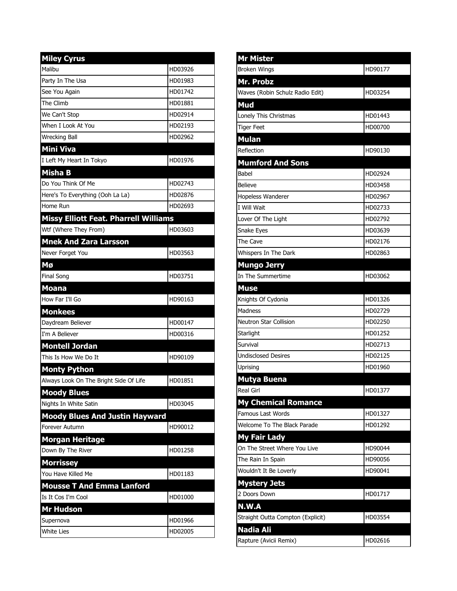| <b>Miley Cyrus</b>                     |         |
|----------------------------------------|---------|
| Malibu                                 | HD03926 |
| Party In The Usa                       | HD01983 |
| See You Again                          | HD01742 |
| The Climb                              | HD01881 |
| We Can't Stop                          | HD02914 |
| When I Look At You                     | HD02193 |
| <b>Wrecking Ball</b>                   | HD02962 |
| <b>Mini Viva</b>                       |         |
| I Left My Heart In Tokyo               | HD01976 |
| <b>Misha B</b>                         |         |
| Do You Think Of Me                     | HD02743 |
| Here's To Everything (Ooh La La)       | HD02876 |
| Home Run                               | HD02693 |
| Missy Elliott Feat. Pharrell Williams  |         |
| Wtf (Where They From)                  | HD03603 |
| <b>Mnek And Zara Larsson</b>           |         |
| Never Forget You                       | HD03563 |
| Mø                                     |         |
| Final Song                             | HD03751 |
| <b>Moana</b>                           |         |
| How Far I'll Go                        | HD90163 |
| <b>Monkees</b>                         |         |
| Daydream Believer                      | HD00147 |
| I'm A Believer                         | HD00316 |
| <b>Montell Jordan</b>                  |         |
| This Is How We Do It                   | HD90109 |
| <b>Monty Python</b>                    |         |
| Always Look On The Bright Side Of Life | HD01851 |
| <b>Moody Blues</b>                     |         |
| Nights In White Satin                  | HD03045 |
| <b>Moody Blues And Justin Hayward</b>  |         |
| Forever Autumn                         | HD90012 |
| <b>Morgan Heritage</b>                 |         |
| Down By The River                      | HD01258 |
| <b>Morrissey</b>                       |         |
| You Have Killed Me                     | HD01183 |
| <b>Mousse T And Emma Lanford</b>       |         |
| Is It Cos I'm Cool                     | HD01000 |
| Mr Hudson                              |         |
| Supernova                              | HD01966 |
| <b>White Lies</b>                      | HD02005 |

| <b>Mr Mister</b>                  |         |
|-----------------------------------|---------|
| <b>Broken Wings</b>               | HD90177 |
| Mr. Probz                         |         |
| Waves (Robin Schulz Radio Edit)   | HD03254 |
| Mud                               |         |
| Lonely This Christmas             | HD01443 |
| <b>Tiger Feet</b>                 | HD00700 |
| <b>Mulan</b>                      |         |
| Reflection                        | HD90130 |
| <b>Mumford And Sons</b>           |         |
| Babel                             | HD02924 |
| <b>Believe</b>                    | HD03458 |
| Hopeless Wanderer                 | HD02967 |
| I Will Wait                       | HD02733 |
| Lover Of The Light                | HD02792 |
| <b>Snake Eyes</b>                 | HD03639 |
| The Cave                          | HD02176 |
| Whispers In The Dark              | HD02863 |
| <b>Mungo Jerry</b>                |         |
| In The Summertime                 | HD03062 |
| <b>Muse</b>                       |         |
| Knights Of Cydonia                | HD01326 |
| Madness                           | HD02729 |
| Neutron Star Collision            | HD02250 |
| Starlight                         | HD01252 |
| Survival                          | HD02713 |
| <b>Undisclosed Desires</b>        | HD02125 |
| Uprising                          | HD01960 |
| <b>Mutya Buena</b>                |         |
| Real Girl                         | HD01377 |
| <b>My Chemical Romance</b>        |         |
| <b>Famous Last Words</b>          | HD01327 |
| Welcome To The Black Parade       | HD01292 |
| <b>My Fair Lady</b>               |         |
| On The Street Where You Live      | HD90044 |
| The Rain In Spain                 | HD90056 |
| Wouldn't It Be Loverly            | HD90041 |
| <b>Mystery Jets</b>               |         |
| 2 Doors Down                      | HD01717 |
| N.W.A                             |         |
| Straight Outta Compton (Explicit) | HD03554 |
| Nadia Ali                         |         |
| Rapture (Avicii Remix)            | HD02616 |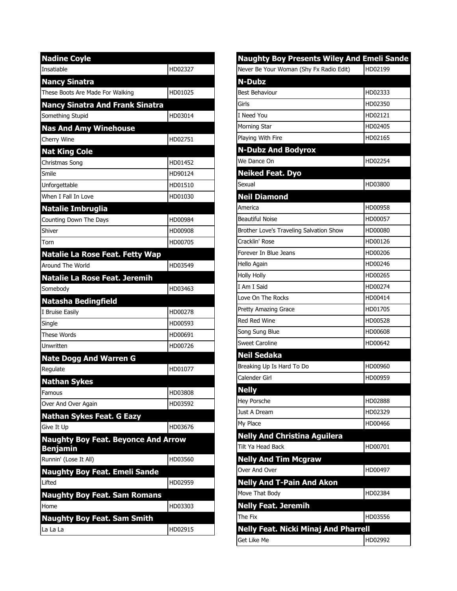| <b>Nadine Coyle</b>                                           |         |
|---------------------------------------------------------------|---------|
| Insatiable                                                    | HD02327 |
| <b>Nancy Sinatra</b>                                          |         |
| These Boots Are Made For Walking                              | HD01025 |
| <b>Nancy Sinatra And Frank Sinatra</b>                        |         |
| Something Stupid                                              | HD03014 |
| <b>Nas And Amy Winehouse</b>                                  |         |
| Cherry Wine                                                   | HD02751 |
| <b>Nat King Cole</b>                                          |         |
| Christmas Song                                                | HD01452 |
| Smile                                                         | HD90124 |
| Unforgettable                                                 | HD01510 |
| When I Fall In Love                                           | HD01030 |
| <b>Natalie Imbruglia</b>                                      |         |
| Counting Down The Days                                        | HD00984 |
| Shiver                                                        | HD00908 |
| Torn                                                          | HD00705 |
| <b>Natalie La Rose Feat. Fetty Wap</b>                        |         |
| Around The World                                              | HD03549 |
| <b>Natalie La Rose Feat. Jeremih</b>                          |         |
| Somebody                                                      | HD03463 |
| <b>Natasha Bedingfield</b>                                    |         |
| I Bruise Easily                                               | HD00278 |
| Single                                                        | HD00593 |
| <b>These Words</b>                                            | HD00691 |
| Unwritten                                                     | HD00726 |
| <b>Nate Dogg And Warren G</b>                                 |         |
| Regulate                                                      | HD01077 |
| <b>Nathan Sykes</b>                                           |         |
| Famous                                                        | HD03808 |
| Over And Over Again                                           | HD03592 |
| <b>Nathan Sykes Feat. G Eazy</b>                              |         |
| Give It Up                                                    | HD03676 |
| <b>Naughty Boy Feat. Beyonce And Arrow</b><br><b>Benjamin</b> |         |
| Runnin' (Lose It All)                                         | HD03560 |
| <b>Naughty Boy Feat. Emeli Sande</b>                          |         |
| Lifted                                                        | HD02959 |
| <b>Naughty Boy Feat. Sam Romans</b>                           |         |
| Home                                                          | HD03303 |
| <b>Naughty Boy Feat. Sam Smith</b>                            |         |
| La La La                                                      | HD02915 |

| <b>Naughty Boy Presents Wiley And Emeli Sande</b> |         |
|---------------------------------------------------|---------|
| Never Be Your Woman (Shy Fx Radio Edit)           | HD02199 |
| <b>N-Dubz</b>                                     |         |
| <b>Best Behaviour</b>                             | HD02333 |
| Girls                                             | HD02350 |
| I Need You                                        | HD02121 |
| Morning Star                                      | HD02405 |
| Playing With Fire                                 | HD02165 |
| <b>N-Dubz And Bodyrox</b>                         |         |
| We Dance On                                       | HD02254 |
| <b>Neiked Feat. Dyo</b>                           |         |
| Sexual                                            | HD03800 |
| <b>Neil Diamond</b>                               |         |
| America                                           | HD00958 |
| <b>Beautiful Noise</b>                            | HD00057 |
| Brother Love's Traveling Salvation Show           | HD00080 |
| Cracklin' Rose                                    | HD00126 |
| Forever In Blue Jeans                             | HD00206 |
| Hello Again                                       | HD00246 |
| <b>Holly Holly</b>                                | HD00265 |
| I Am I Said                                       | HD00274 |
| Love On The Rocks                                 | HD00414 |
| Pretty Amazing Grace                              | HD01705 |
| <b>Red Red Wine</b>                               | HD00528 |
| Song Sung Blue                                    | HD00608 |
| <b>Sweet Caroline</b>                             | HD00642 |
| <b>Neil Sedaka</b>                                |         |
| Breaking Up Is Hard To Do                         | HD00960 |
| Calender Girl                                     | HD00959 |
| <b>Nelly</b>                                      |         |
| Hey Porsche                                       | HD02888 |
| Just A Dream                                      | HD02329 |
| My Place                                          | HD00466 |
| <b>Nelly And Christina Aguilera</b>               |         |
| Tilt Ya Head Back                                 | HD00701 |
| <b>Nelly And Tim Mcgraw</b>                       |         |
| Over And Over                                     | HD00497 |
| <b>Nelly And T-Pain And Akon</b>                  |         |
| Move That Body                                    | HD02384 |
| <b>Nelly Feat. Jeremih</b>                        |         |
| The Fix                                           | HD03556 |
| <b>Nelly Feat. Nicki Minaj And Pharrell</b>       |         |
| Get Like Me                                       | HD02992 |
|                                                   |         |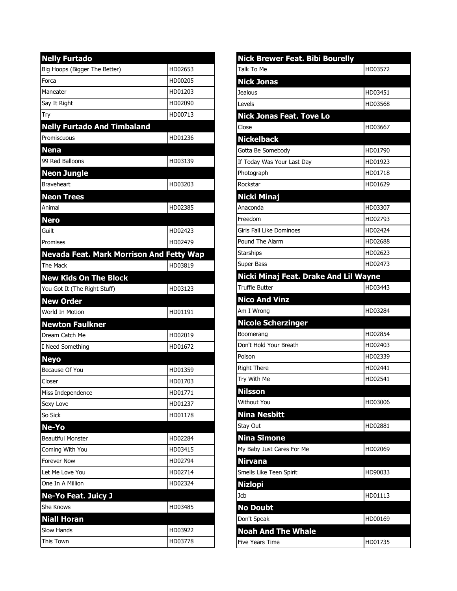| <b>Nelly Furtado</b>                     |         |
|------------------------------------------|---------|
| Big Hoops (Bigger The Better)            | HD02653 |
| Forca                                    | HD00205 |
| Maneater                                 | HD01203 |
| Say It Right                             | HD02090 |
| Try                                      | HD00713 |
| <b>Nelly Furtado And Timbaland</b>       |         |
| Promiscuous                              | HD01236 |
| <b>Nena</b>                              |         |
| 99 Red Balloons                          | HD03139 |
| <b>Neon Jungle</b>                       |         |
| <b>Braveheart</b>                        | HD03203 |
| <b>Neon Trees</b>                        |         |
| Animal                                   | HD02385 |
| <b>Nero</b>                              |         |
| Guilt                                    | HD02423 |
| Promises                                 | HD02479 |
| Nevada Feat. Mark Morrison And Fetty Wap |         |
| The Mack                                 | HD03819 |
| <b>New Kids On The Block</b>             |         |
| You Got It (The Right Stuff)             | HD03123 |
|                                          |         |
| <b>New Order</b>                         |         |
| World In Motion                          | HD01191 |
| <b>Newton Faulkner</b>                   |         |
| Dream Catch Me                           | HD02019 |
| I Need Something                         | HD01672 |
| <b>Neyo</b>                              |         |
| Because Of You                           | HD01359 |
| Closer                                   | HD01703 |
| Miss Independence                        | HD01771 |
| Sexy Love                                | HD01237 |
| So Sick                                  | HD01178 |
| Ne-Yo                                    |         |
| <b>Beautiful Monster</b>                 | HD02284 |
| Coming With You                          | HD03415 |
| <b>Forever Now</b>                       | HD02794 |
| Let Me Love You                          | HD02714 |
| One In A Million                         | HD02324 |
| <b>Ne-Yo Feat. Juicy J</b>               |         |
| <b>She Knows</b>                         | HD03485 |
| <b>Niall Horan</b>                       |         |
| <b>Slow Hands</b>                        | HD03922 |

| <b>Nick Brewer Feat. Bibi Bourelly</b> |         |
|----------------------------------------|---------|
| Talk To Me                             | HD03572 |
| <b>Nick Jonas</b>                      |         |
| Jealous                                | HD03451 |
| Levels                                 | HD03568 |
| <b>Nick Jonas Feat. Tove Lo</b>        |         |
| Close                                  | HD03667 |
| <b>Nickelback</b>                      |         |
| Gotta Be Somebody                      | HD01790 |
| If Today Was Your Last Day             | HD01923 |
| Photograph                             | HD01718 |
| Rockstar                               | HD01629 |
| <b>Nicki Minaj</b>                     |         |
| Anaconda                               | HD03307 |
| Freedom                                | HD02793 |
| Girls Fall Like Dominoes               | HD02424 |
| Pound The Alarm                        | HD02688 |
| Starships                              | HD02623 |
| Super Bass                             | HD02473 |
| Nicki Minaj Feat. Drake And Lil Wayne  |         |
| <b>Truffle Butter</b>                  | HD03443 |
| <b>Nico And Vinz</b>                   |         |
| Am I Wrong                             | HD03284 |
| <b>Nicole Scherzinger</b>              |         |
| Boomerang                              | HD02854 |
| Don't Hold Your Breath                 | HD02403 |
| Poison                                 | HD02339 |
| <b>Right There</b>                     | HD02441 |
| Try With Me                            | HD02541 |
| <b>Nilsson</b>                         |         |
| <b>Without You</b>                     | HD03006 |
| <b>Nina Nesbitt</b>                    |         |
| Stay Out                               | HD02881 |
| <b>Nina Simone</b>                     |         |
| My Baby Just Cares For Me              | HD02069 |
| <b>Nirvana</b>                         |         |
| Smells Like Teen Spirit                | HD90033 |
| <b>Nizlopi</b>                         |         |
| Jcb                                    | HD01113 |
| <b>No Doubt</b>                        |         |
| Don't Speak                            | HD00169 |
| <b>Noah And The Whale</b>              |         |
| <b>Five Years Time</b>                 | HD01735 |
|                                        |         |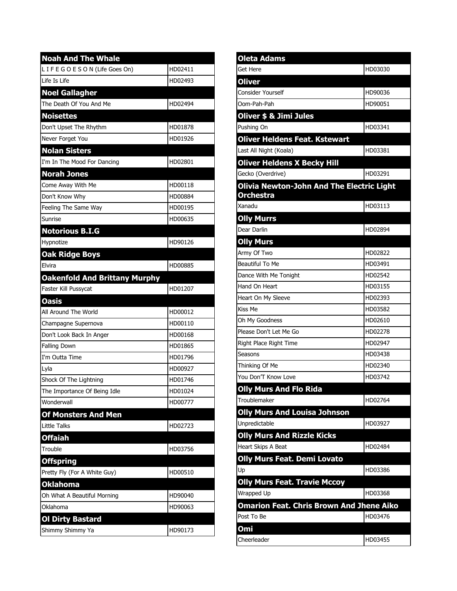| <b>Noah And The Whale</b>            |         |
|--------------------------------------|---------|
| LIFEGOESON (Life Goes On)            | HD02411 |
| Life Is Life                         | HD02493 |
| <b>Noel Gallagher</b>                |         |
| The Death Of You And Me              | HD02494 |
| <b>Noisettes</b>                     |         |
| Don't Upset The Rhythm               | HD01878 |
| Never Forget You                     | HD01926 |
| <b>Nolan Sisters</b>                 |         |
| I'm In The Mood For Dancing          | HD02801 |
| <b>Norah Jones</b>                   |         |
| Come Away With Me                    | HD00118 |
| Don't Know Why                       | HD00884 |
| Feeling The Same Way                 | HD00195 |
| Sunrise                              | HD00635 |
| <b>Notorious B.I.G</b>               |         |
| Hypnotize                            | HD90126 |
| <b>Oak Ridge Boys</b>                |         |
| Elvira                               | HD00885 |
| <b>Oakenfold And Brittany Murphy</b> |         |
| Faster Kill Pussycat                 | HD01207 |
|                                      |         |
| <b>Oasis</b>                         |         |
| All Around The World                 | HD00012 |
| Champagne Supernova                  | HD00110 |
| Don't Look Back In Anger             | HD00168 |
| <b>Falling Down</b>                  | HD01865 |
| I'm Outta Time                       | HD01796 |
| Lyla                                 | HD00927 |
| Shock Of The Lightning               | HD01746 |
| The Importance Of Being Idle         | HD01024 |
| Wonderwall                           | HD00777 |
| <b>Of Monsters And Men</b>           |         |
| Little Talks                         | HD02723 |
| <b>Offaiah</b>                       |         |
| Trouble                              | HD03756 |
| <b>Offspring</b>                     |         |
| Pretty Fly (For A White Guy)         | HD00510 |
| <b>Oklahoma</b>                      |         |
| Oh What A Beautiful Morning          | HD90040 |
| Oklahoma                             | HD90063 |
| <b>Ol Dirty Bastard</b>              |         |

| Oleta Adams                                     |         |
|-------------------------------------------------|---------|
| Get Here                                        | HD03030 |
| <b>Oliver</b>                                   |         |
| <b>Consider Yourself</b>                        | HD90036 |
| Oom-Pah-Pah                                     | HD90051 |
| Oliver \$ & Jimi Jules                          |         |
| Pushing On                                      | HD03341 |
| <b>Oliver Heldens Feat. Kstewart</b>            |         |
| Last All Night (Koala)                          | HD03381 |
| <b>Oliver Heldens X Becky Hill</b>              |         |
| Gecko (Overdrive)                               | HD03291 |
| Olivia Newton-John And The Electric Light       |         |
| Orchestra                                       |         |
| Xanadu                                          | HD03113 |
| <b>Olly Murrs</b>                               |         |
| Dear Darlin                                     | HD02894 |
| <b>Olly Murs</b>                                |         |
| Army Of Two                                     | HD02822 |
| Beautiful To Me                                 | HD03491 |
| Dance With Me Tonight                           | HD02542 |
| Hand On Heart                                   | HD03155 |
| Heart On My Sleeve                              | HD02393 |
| <b>Kiss Me</b>                                  | HD03582 |
| Oh My Goodness                                  | HD02610 |
| Please Don't Let Me Go                          | HD02278 |
| Right Place Right Time                          | HD02947 |
| Seasons                                         | HD03438 |
| Thinking Of Me                                  | HD02340 |
| You Don'T Know Love                             | HD03742 |
| <b>Olly Murs And Flo Rida</b>                   |         |
| Troublemaker                                    | HD02764 |
| <b>Olly Murs And Louisa Johnson</b>             |         |
| Unpredictable                                   | HD03927 |
| <b>Olly Murs And Rizzle Kicks</b>               |         |
| Heart Skips A Beat                              | HD02484 |
| <b>Olly Murs Feat. Demi Lovato</b>              |         |
| Up                                              | HD03386 |
| <b>Olly Murs Feat. Travie Mccoy</b>             |         |
| Wrapped Up                                      | HD03368 |
| <b>Omarion Feat. Chris Brown And Jhene Aiko</b> |         |
| Post To Be                                      | HD03476 |
| <b>Omi</b>                                      |         |
| Cheerleader                                     | HD03455 |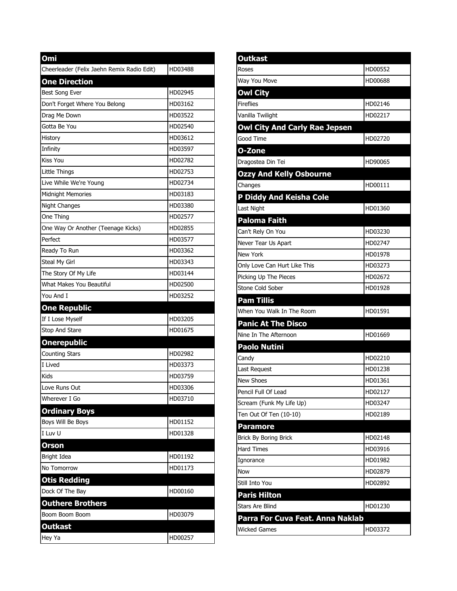| Omi                                        |         |
|--------------------------------------------|---------|
| Cheerleader (Felix Jaehn Remix Radio Edit) | HD03488 |
| <b>One Direction</b>                       |         |
| <b>Best Song Ever</b>                      | HD02945 |
| Don't Forget Where You Belong              | HD03162 |
| Drag Me Down                               | HD03522 |
| Gotta Be You                               | HD02540 |
| History                                    | HD03612 |
| Infinity                                   | HD03597 |
| Kiss You                                   | HD02782 |
| Little Things                              | HD02753 |
| Live While We're Young                     | HD02734 |
| <b>Midnight Memories</b>                   | HD03183 |
| <b>Night Changes</b>                       | HD03380 |
| One Thing                                  | HD02577 |
| One Way Or Another (Teenage Kicks)         | HD02855 |
| Perfect                                    | HD03577 |
| Ready To Run                               | HD03362 |
| Steal My Girl                              | HD03343 |
| The Story Of My Life                       | HD03144 |
| <b>What Makes You Beautiful</b>            | HD02500 |
| You And I                                  | HD03252 |
| <b>One Republic</b>                        |         |
| If I Lose Myself                           | HD03205 |
| Stop And Stare                             | HD01675 |
| <b>Onerepublic</b>                         |         |
| <b>Counting Stars</b>                      | HD02982 |
| I Lived                                    | HD03373 |
| Kids                                       | HD03759 |
| Love Runs Out                              | HD03306 |
| Wherever I Go                              | HD03710 |
| <b>Ordinary Boys</b>                       |         |
| Boys Will Be Boys                          | HD01152 |
| I Luv U                                    | HD01328 |
| <b>Orson</b>                               |         |
| Bright Idea                                | HD01192 |
| No Tomorrow                                | HD01173 |
| <b>Otis Redding</b>                        |         |
| Dock Of The Bay                            | HD00160 |
| <b>Outhere Brothers</b>                    |         |
| Boom Boom Boom                             | HD03079 |
| Outkast                                    |         |
| Hey Ya                                     | HD00257 |

| <b>Outkast</b>                       |         |
|--------------------------------------|---------|
| Roses                                | HD00552 |
| Way You Move                         | HD00688 |
| <b>Owl City</b>                      |         |
| <b>Fireflies</b>                     | HD02146 |
| Vanilla Twilight                     | HD02217 |
| <b>Owl City And Carly Rae Jepsen</b> |         |
| Good Time                            | HD02720 |
| O-Zone                               |         |
| Dragostea Din Tei                    | HD90065 |
| <b>Ozzy And Kelly Osbourne</b>       |         |
| Changes                              | HD00111 |
| P Diddy And Keisha Cole              |         |
| Last Night                           | HD01360 |
| Paloma Faith                         |         |
| Can't Rely On You                    | HD03230 |
| Never Tear Us Apart                  | HD02747 |
| <b>New York</b>                      | HD01978 |
| Only Love Can Hurt Like This         | HD03273 |
| Picking Up The Pieces                | HD02672 |
| Stone Cold Sober                     | HD01928 |
| Pam Tillis                           |         |
| When You Walk In The Room            | HD01591 |
| <b>Panic At The Disco</b>            |         |
| Nine In The Afternoon                | HD01669 |
| <b>Paolo Nutini</b>                  |         |
| Candy                                | HD02210 |
| Last Request                         | HD01238 |
| <b>New Shoes</b>                     | HD01361 |
| Pencil Full Of Lead                  | HD02127 |
| Scream (Funk My Life Up)             | HD03247 |
| Ten Out Of Ten (10-10)               | HD02189 |
| <b>Paramore</b>                      |         |
| Brick By Boring Brick                | HD02148 |
| <b>Hard Times</b>                    | HD03916 |
| Ignorance                            | HD01982 |
| Now                                  | HD02879 |
| Still Into You                       | HD02892 |
| <b>Paris Hilton</b>                  |         |
| <b>Stars Are Blind</b>               | HD01230 |
| Parra For Cuva Feat. Anna Naklab     |         |
| Wicked Games                         | HD03372 |
|                                      |         |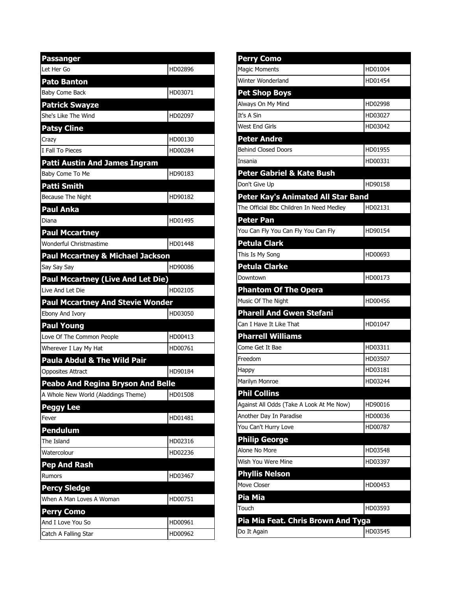| <b>Passanger</b>                            |         |
|---------------------------------------------|---------|
| lLet Her Go                                 | HD02896 |
| <b>Pato Banton</b>                          |         |
| Baby Come Back                              | HD03071 |
| <b>Patrick Swayze</b>                       |         |
| She's Like The Wind                         | HD02097 |
| <b>Patsy Cline</b>                          |         |
| Crazy                                       | HD00130 |
| I Fall To Pieces                            | HD00284 |
| <b>Patti Austin And James Ingram</b>        |         |
| Baby Come To Me                             | HD90183 |
| <b>Patti Smith</b>                          |         |
| Because The Night                           | HD90182 |
| Paul Anka                                   |         |
| Diana                                       | HD01495 |
| <b>Paul Mccartney</b>                       |         |
| Wonderful Christmastime                     | HD01448 |
| <b>Paul Mccartney &amp; Michael Jackson</b> |         |
| Say Say Say                                 | HD90086 |
| <b>Paul Mccartney (Live And Let Die)</b>    |         |
| Live And Let Die                            | HD02105 |
| <b>Paul Mccartney And Stevie Wonder</b>     |         |
| Ebony And Ivory                             | HD03050 |
| <b>Paul Young</b>                           |         |
| Love Of The Common People                   | HD00413 |
| Wherever I Lay My Hat                       | HD00761 |
| Paula Abdul & The Wild Pair                 |         |
| <b>Opposites Attract</b>                    | HD90184 |
|                                             |         |
| <b>Peabo And Regina Bryson And Belle</b>    |         |
| A Whole New World (Aladdings Theme)         | HD01508 |
| <b>Peggy Lee</b>                            |         |
| Fever                                       | HD01481 |
| <b>Pendulum</b>                             |         |
| The Island                                  | HD02316 |
| Watercolour                                 | HD02236 |
| <b>Pep And Rash</b>                         |         |
| <b>Rumors</b>                               | HD03467 |
| <b>Percy Sledge</b>                         |         |
| When A Man Loves A Woman                    | HD00751 |
| <b>Perry Como</b>                           |         |
| And I Love You So<br>Catch A Falling Star   | HD00961 |

| <b>Perry Como</b>                        |         |
|------------------------------------------|---------|
| Magic Moments                            | HD01004 |
| Winter Wonderland                        | HD01454 |
| <b>Pet Shop Boys</b>                     |         |
| Always On My Mind                        | HD02998 |
| It's A Sin                               | HD03027 |
| West End Girls                           | HD03042 |
| <b>Peter Andre</b>                       |         |
| <b>Behind Closed Doors</b>               | HD01955 |
| Insania                                  | HD00331 |
| <b>Peter Gabriel &amp; Kate Bush</b>     |         |
| Don't Give Up                            | HD90158 |
| Peter Kay's Animated All Star Band       |         |
| The Official Bbc Children In Need Medley | HD02131 |
| Peter Pan                                |         |
| You Can Fly You Can Fly You Can Fly      | HD90154 |
| Petula Clark                             |         |
| This Is My Song                          | HD00693 |
| <b>Petula Clarke</b>                     |         |
| Downtown                                 | HD00173 |
| <b>Phantom Of The Opera</b>              |         |
| Music Of The Night                       | HD00456 |
| <b>Pharell And Gwen Stefani</b>          |         |
| Can I Have It Like That                  | HD01047 |
| <b>Pharrell Williams</b>                 |         |
| Come Get It Bae                          | HD03311 |
| Freedom                                  | HD03507 |
| Happy                                    | HD03181 |
| Marilyn Monroe                           | HD03244 |
| <b>Phil Collins</b>                      |         |
| Against All Odds (Take A Look At Me Now) | HD90016 |
| Another Day In Paradise                  | HD00036 |
| You Can't Hurry Love                     | HD00787 |
| <b>Philip George</b>                     |         |
| Alone No More                            | HD03548 |
| Wish You Were Mine                       | HD03397 |
| <b>Phyllis Nelson</b>                    |         |
| Move Closer                              | HD00453 |
| Pia Mia                                  |         |
| Touch                                    | HD03593 |
|                                          |         |
| Pia Mia Feat. Chris Brown And Tyga       |         |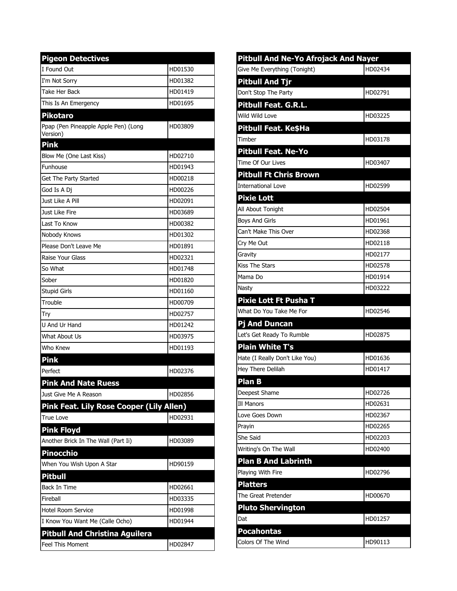| <b>Pigeon Detectives</b>                                                 |         |
|--------------------------------------------------------------------------|---------|
| I Found Out                                                              | HD01530 |
| I'm Not Sorry                                                            | HD01382 |
| Take Her Back                                                            | HD01419 |
| This Is An Emergency                                                     | HD01695 |
| <b>Pikotaro</b>                                                          |         |
| Ppap (Pen Pineapple Apple Pen) (Long<br>Version)                         | HD03809 |
| <b>Pink</b>                                                              |         |
| Blow Me (One Last Kiss)                                                  | HD02710 |
| Funhouse                                                                 | HD01943 |
| Get The Party Started                                                    | HD00218 |
| God Is A Dj                                                              | HD00226 |
| Just Like A Pill                                                         | HD02091 |
| Just Like Fire                                                           | HD03689 |
| Last To Know                                                             | HD00382 |
| Nobody Knows                                                             | HD01302 |
| Please Don't Leave Me                                                    | HD01891 |
| Raise Your Glass                                                         | HD02321 |
| So What                                                                  | HD01748 |
| Sober                                                                    | HD01820 |
| <b>Stupid Girls</b>                                                      | HD01160 |
| Trouble                                                                  | HD00709 |
| Try                                                                      | HD02757 |
| U And Ur Hand                                                            | HD01242 |
| What About Us                                                            | HD03975 |
| Who Knew                                                                 | HD01193 |
| <b>Pink</b>                                                              |         |
| Perfect                                                                  | HD02376 |
| <b>Pink And Nate Ruess</b>                                               |         |
| Just Give Me A Reason                                                    | HD02856 |
| Pink Feat. Lily Rose Cooper (Lily Allen)                                 |         |
| <b>True Love</b>                                                         | HD02931 |
| <b>Pink Floyd</b>                                                        |         |
| Another Brick In The Wall (Part Ii)                                      | HD03089 |
| <b>Pinocchio</b>                                                         |         |
| When You Wish Upon A Star                                                | HD90159 |
| <b>Pitbull</b>                                                           |         |
| Back In Time                                                             | HD02661 |
|                                                                          |         |
| Fireball                                                                 | HD03335 |
|                                                                          | HD01998 |
| <b>Hotel Room Service</b>                                                | HD01944 |
| I Know You Want Me (Calle Ocho)<br><b>Pitbull And Christina Aguilera</b> |         |

| Pitbull And Ne-Yo Afrojack And Nayer |         |
|--------------------------------------|---------|
| Give Me Everything (Tonight)         | HD02434 |
| <b>Pitbull And Tjr</b>               |         |
| Don't Stop The Party                 | HD02791 |
| <b>Pitbull Feat. G.R.L.</b>          |         |
| Wild Wild Love                       | HD03225 |
| Pitbull Feat. Ke\$Ha                 |         |
| Timber                               | HD03178 |
| <b>Pitbull Feat. Ne-Yo</b>           |         |
| Time Of Our Lives                    | HD03407 |
| <b>Pitbull Ft Chris Brown</b>        |         |
| <b>International Love</b>            | HD02599 |
| <b>Pixie Lott</b>                    |         |
| All About Tonight                    | HD02504 |
| <b>Boys And Girls</b>                | HD01961 |
| Can't Make This Over                 | HD02368 |
| Cry Me Out                           | HD02118 |
| Gravity                              | HD02177 |
| <b>Kiss The Stars</b>                | HD02578 |
| Mama Do                              | HD01914 |
| Nasty                                | HD03222 |
| <b>Pixie Lott Ft Pusha T</b>         |         |
| What Do You Take Me For              | HD02546 |
| <b>Pj And Duncan</b>                 |         |
| Let's Get Ready To Rumble            | HD02875 |
| <b>Plain White T's</b>               |         |
| Hate (I Really Don't Like You)       | HD01636 |
| Hey There Delilah                    | HD01417 |
| Plan B                               |         |
| Deepest Shame                        | HD02726 |
| Ill Manors                           | HD02631 |
| Love Goes Down                       | HD02367 |
| Prayin                               | HD02265 |
| She Said                             | HD02203 |
| Writing's On The Wall                | HD02400 |
| <b>Plan B And Labrinth</b>           |         |
| Playing With Fire                    | HD02796 |
| <b>Platters</b>                      |         |
| The Great Pretender                  | HD00670 |
| <b>Pluto Shervington</b>             |         |
| Dat                                  | HD01257 |
| <b>Pocahontas</b>                    |         |
| Colors Of The Wind                   | HD90113 |
|                                      |         |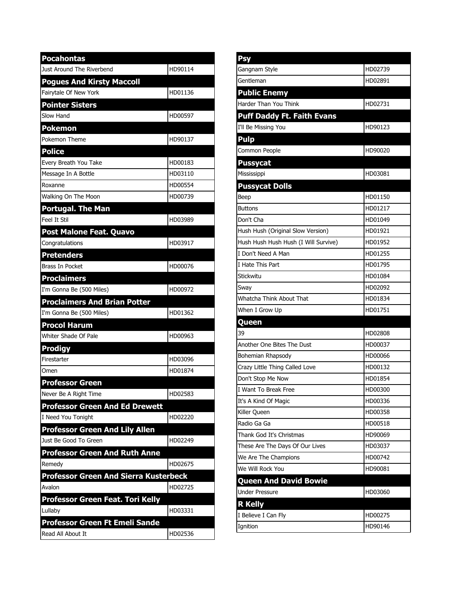| <b>Pocahontas</b>                            |         |
|----------------------------------------------|---------|
| Just Around The Riverbend                    | HD90114 |
| <b>Pogues And Kirsty Maccoll</b>             |         |
| Fairytale Of New York                        | HD01136 |
| <b>Pointer Sisters</b>                       |         |
| Slow Hand                                    | HD00597 |
| <b>Pokemon</b>                               |         |
| Pokemon Theme                                | HD90137 |
| <b>Police</b>                                |         |
| Every Breath You Take                        | HD00183 |
| Message In A Bottle                          | HD03110 |
| Roxanne                                      | HD00554 |
| Walking On The Moon                          | HD00739 |
| <b>Portugal. The Man</b>                     |         |
| Feel It Stil                                 | HD03989 |
| Post Malone Feat. Quavo                      |         |
| Congratulations                              | HD03917 |
| <b>Pretenders</b>                            |         |
| <b>Brass In Pocket</b>                       | HD00076 |
| <b>Proclaimers</b>                           |         |
| I'm Gonna Be (500 Miles)                     | HD00972 |
| <b>Proclaimers And Brian Potter</b>          |         |
| I'm Gonna Be (500 Miles)                     | HD01362 |
| <b>Procol Harum</b>                          |         |
| Whiter Shade Of Pale                         | HD00963 |
| <b>Prodigy</b>                               |         |
| Firestarter                                  | HD03096 |
| Omen                                         | HD01874 |
| <b>Professor Green</b>                       |         |
| Never Be A Right Time                        | HD02583 |
| <b>Professor Green And Ed Drewett</b>        |         |
| I Need You Tonight                           | HD02220 |
| <b>Professor Green And Lily Allen</b>        |         |
| Just Be Good To Green                        | HD02249 |
| <b>Professor Green And Ruth Anne</b>         |         |
| Remedy                                       | HD02675 |
| <b>Professor Green And Sierra Kusterbeck</b> |         |
| Avalon                                       | HD02725 |
| Professor Green Feat. Tori Kelly             |         |
| Lullaby                                      | HD03331 |
| <b>Professor Green Ft Emeli Sande</b>        |         |
| Read All About It                            | HD02536 |

| <b>Psy</b>                           |         |
|--------------------------------------|---------|
| Gangnam Style                        | HD02739 |
| Gentleman                            | HD02891 |
| <b>Public Enemy</b>                  |         |
| Harder Than You Think                | HD02731 |
| <b>Puff Daddy Ft. Faith Evans</b>    |         |
| I'll Be Missing You                  | HD90123 |
| <b>Pulp</b>                          |         |
| Common People                        | HD90020 |
| <b>Pussycat</b>                      |         |
| Mississippi                          | HD03081 |
| <b>Pussycat Dolls</b>                |         |
| Beep                                 | HD01150 |
| Buttons                              | HD01217 |
| Don't Cha                            | HD01049 |
| Hush Hush (Original Slow Version)    | HD01921 |
| Hush Hush Hush Hush (I Will Survive) | HD01952 |
| I Don't Need A Man                   | HD01255 |
| I Hate This Part                     | HD01795 |
| Stickwitu                            | HD01084 |
| Sway                                 | HD02092 |
| Whatcha Think About That             | HD01834 |
| When I Grow Up                       | HD01751 |
| Queen                                |         |
| 39                                   | HD02808 |
| Another One Bites The Dust           | HD00037 |
| Bohemian Rhapsody                    | HD00066 |
| Crazy Little Thing Called Love       | HD00132 |
| Don't Stop Me Now                    | HD01854 |
| I Want To Break Free                 | HD00300 |
| It's A Kind Of Magic                 | HD00336 |
| Killer Queen                         | HD00358 |
| Radio Ga Ga                          | HD00518 |
| Thank God It's Christmas             | HD90069 |
| These Are The Days Of Our Lives      | HD03037 |
| We Are The Champions                 | HD00742 |
| We Will Rock You                     | HD90081 |
| <b>Queen And David Bowie</b>         |         |
| <b>Under Pressure</b>                | HD03060 |
| <b>R Kelly</b>                       |         |
| I Believe I Can Fly                  | HD00275 |
| Ignition                             | HD90146 |
|                                      |         |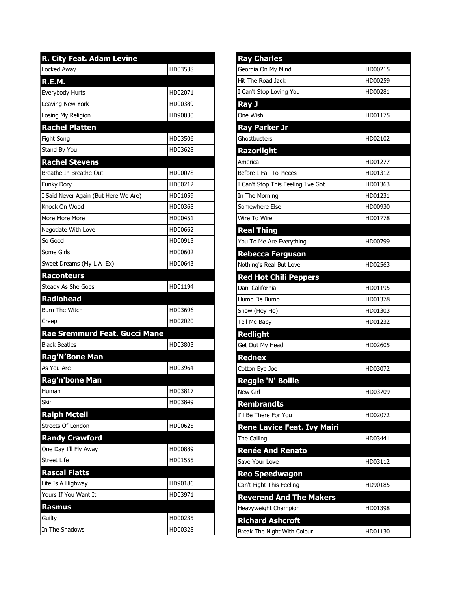| R. City Feat. Adam Levine            |         |
|--------------------------------------|---------|
| Locked Away                          | HD03538 |
| R.E.M.                               |         |
| Everybody Hurts                      | HD02071 |
| Leaving New York                     | HD00389 |
| Losing My Religion                   | HD90030 |
| <b>Rachel Platten</b>                |         |
| Fight Song                           | HD03506 |
| Stand By You                         | HD03628 |
| <b>Rachel Stevens</b>                |         |
| Breathe In Breathe Out               | HD00078 |
| Funky Dory                           | HD00212 |
| I Said Never Again (But Here We Are) | HD01059 |
| Knock On Wood                        | HD00368 |
| More More More                       | HD00451 |
| Negotiate With Love                  | HD00662 |
| So Good                              | HD00913 |
| Some Girls                           | HD00602 |
| Sweet Dreams (My L A Ex)             | HD00643 |
| <b>Raconteurs</b>                    |         |
| Steady As She Goes                   | HD01194 |
| Radiohead                            |         |
| Burn The Witch                       | HD03696 |
| Creep                                | HD02020 |
| Rae Sremmurd Feat. Gucci Mane        |         |
| <b>Black Beatles</b>                 | HD03803 |
| <b>Rag'N'Bone Man</b>                |         |
| As You Are                           | HD03964 |
| <b>Rag'n'bone Man</b>                |         |
| Human                                | HD03817 |
| Skin                                 | HD03849 |
| <b>Ralph Mctell</b>                  |         |
| Streets Of London                    | HD00625 |
| <b>Randy Crawford</b>                |         |
| One Day I'll Fly Away                | HD00889 |
| <b>Street Life</b>                   | HD01555 |
| <b>Rascal Flatts</b>                 |         |
| Life Is A Highway                    | HD90186 |
| Yours If You Want It                 | HD03971 |
| <b>Rasmus</b>                        |         |
| Guilty                               | HD00235 |
| In The Shadows                       | HD00328 |

| <b>Ray Charles</b>                 |         |
|------------------------------------|---------|
| Georgia On My Mind                 | HD00215 |
| Hit The Road Jack                  | HD00259 |
| I Can't Stop Loving You            | HD00281 |
| Ray J                              |         |
| One Wish                           | HD01175 |
| <b>Ray Parker Jr</b>               |         |
| Ghostbusters                       | HD02102 |
| <b>Razorlight</b>                  |         |
| America                            | HD01277 |
| Before I Fall To Pieces            | HD01312 |
| I Can't Stop This Feeling I've Got | HD01363 |
| In The Morning                     | HD01231 |
| Somewhere Else                     | HD00930 |
| Wire To Wire                       | HD01778 |
| <b>Real Thing</b>                  |         |
| You To Me Are Everything           | HD00799 |
| <b>Rebecca Ferguson</b>            |         |
| Nothing's Real But Love            | HD02563 |
| <b>Red Hot Chili Peppers</b>       |         |
| Dani California                    | HD01195 |
| Hump De Bump                       | HD01378 |
| Snow (Hey Ho)                      | HD01303 |
| Tell Me Baby                       | HD01232 |
| <b>Redlight</b>                    |         |
| Get Out My Head                    | HD02605 |
| <b>Rednex</b>                      |         |
| Cotton Eye Joe                     | HD03072 |
| Reggie 'N' Bollie                  |         |
| New Girl                           | HD03709 |
| <b>Rembrandts</b>                  |         |
| I'll Be There For You              | HD02072 |
| <b>Rene Lavice Feat. Ivy Mairi</b> |         |
| The Calling                        | HD03441 |
| <b>Renée And Renato</b>            |         |
| Save Your Love                     | HD03112 |
| <b>Reo Speedwagon</b>              |         |
| Can't Fight This Feeling           | HD90185 |
| <b>Reverend And The Makers</b>     |         |
| Heavyweight Champion               | HD01398 |
| <b>Richard Ashcroft</b>            |         |
| Break The Night With Colour        | HD01130 |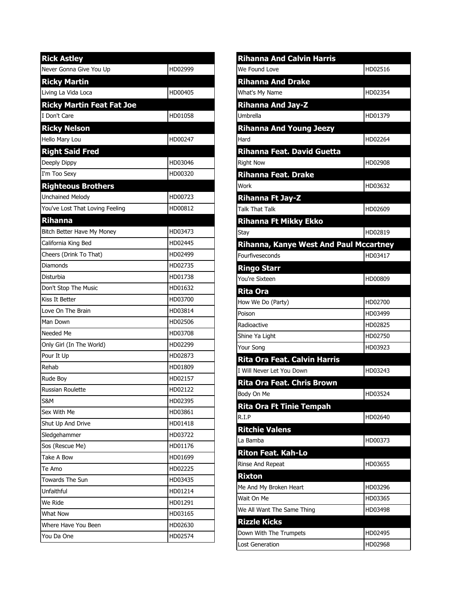| <b>Rick Astley</b>               |         |
|----------------------------------|---------|
| Never Gonna Give You Up          | HD02999 |
| <b>Ricky Martin</b>              |         |
| Living La Vida Loca              | HD00405 |
| <b>Ricky Martin Feat Fat Joe</b> |         |
| I Don't Care                     | HD01058 |
| <b>Ricky Nelson</b>              |         |
| Hello Mary Lou                   | HD00247 |
| <b>Right Said Fred</b>           |         |
| Deeply Dippy                     | HD03046 |
| I'm Too Sexy                     | HD00320 |
| <b>Righteous Brothers</b>        |         |
| <b>Unchained Melody</b>          | HD00723 |
| You've Lost That Loving Feeling  | HD00812 |
| <b>Rihanna</b>                   |         |
| Bitch Better Have My Money       | HD03473 |
| California King Bed              | HD02445 |
| Cheers (Drink To That)           | HD02499 |
| Diamonds                         | HD02735 |
| Disturbia                        | HD01738 |
| Don't Stop The Music             | HD01632 |
| Kiss It Better                   | HD03700 |
| Love On The Brain                | HD03814 |
| Man Down                         | HD02506 |
| Needed Me                        | HD03708 |
| Only Girl (In The World)         | HD02299 |
| Pour It Up                       | HD02873 |
| Rehab                            | HD01809 |
| <b>Rude Boy</b>                  | HD02157 |
| Russian Roulette                 | HD02122 |
| S&M                              | HD02395 |
| Sex With Me                      | HD03861 |
| Shut Up And Drive                | HD01418 |
| Sledgehammer                     | HD03722 |
| Sos (Rescue Me)                  | HD01176 |
| Take A Bow                       | HD01699 |
| Te Amo                           | HD02225 |
| <b>Towards The Sun</b>           | HD03435 |
| Unfaithful                       | HD01214 |
| We Ride                          | HD01291 |
| <b>What Now</b>                  | HD03165 |
| Where Have You Been              | HD02630 |
| You Da One                       | HD02574 |

| <b>Rihanna And Calvin Harris</b>       |         |
|----------------------------------------|---------|
| We Found Love                          | HD02516 |
| <b>Rihanna And Drake</b>               |         |
| What's My Name                         | HD02354 |
| <b>Rihanna And Jay-Z</b>               |         |
| <b>Umbrella</b>                        | HD01379 |
| <b>Rihanna And Young Jeezy</b>         |         |
| Hard                                   | HD02264 |
| <b>Rihanna Feat. David Guetta</b>      |         |
| <b>Right Now</b>                       | HD02908 |
| <b>Rihanna Feat. Drake</b>             |         |
| Work                                   | HD03632 |
| <b>Rihanna Ft Jay-Z</b>                |         |
| <b>Talk That Talk</b>                  | HD02609 |
| <b>Rihanna Ft Mikky Ekko</b>           |         |
| Stay                                   | HD02819 |
| Rihanna, Kanye West And Paul Mccartney |         |
| Fourfiveseconds                        | HD03417 |
| <b>Ringo Starr</b>                     |         |
| You're Sixteen                         | HD00809 |
| <b>Rita Ora</b>                        |         |
| How We Do (Party)                      | HD02700 |
| Poison                                 | HD03499 |
| Radioactive                            | HD02825 |
| Shine Ya Light                         | HD02750 |
| Your Song                              | HD03923 |
| <b>Rita Ora Feat. Calvin Harris</b>    |         |
| I Will Never Let You Down              | HD03243 |
| <b>Rita Ora Feat. Chris Brown</b>      |         |
| Body On Me                             | HD03524 |
| <b>Rita Ora Ft Tinie Tempah</b>        |         |
| R.I.P                                  | HD02640 |
| <b>Ritchie Valens</b>                  |         |
| La Bamba                               | HD00373 |
| <b>Riton Feat. Kah-Lo</b>              |         |
| Rinse And Repeat                       | HD03655 |
| <b>Rixton</b>                          |         |
| Me And My Broken Heart                 | HD03296 |
| Wait On Me                             | HD03365 |
| We All Want The Same Thing             | HD03498 |
| <b>Rizzle Kicks</b>                    |         |
| Down With The Trumpets                 | HD02495 |
| Lost Generation                        | HD02968 |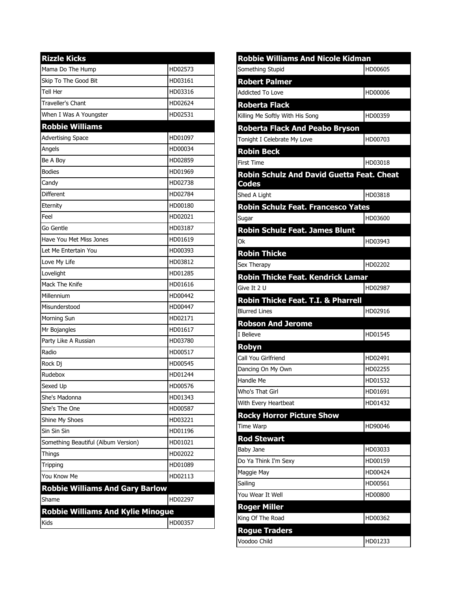| <b>Rizzle Kicks</b>                      |         |
|------------------------------------------|---------|
| Mama Do The Hump                         | HD02573 |
| Skip To The Good Bit                     | HD03161 |
| Tell Her                                 | HD03316 |
| <b>Traveller's Chant</b>                 | HD02624 |
| When I Was A Youngster                   | HD02531 |
| <b>Robbie Williams</b>                   |         |
| <b>Advertising Space</b>                 | HD01097 |
| Angels                                   | HD00034 |
| Be A Boy                                 | HD02859 |
| <b>Bodies</b>                            | HD01969 |
| Candy                                    | HD02738 |
| <b>Different</b>                         | HD02784 |
| Eternity                                 | HD00180 |
| Feel                                     | HD02021 |
| Go Gentle                                | HD03187 |
| Have You Met Miss Jones                  | HD01619 |
| Let Me Entertain You                     | HD00393 |
| Love My Life                             | HD03812 |
| Lovelight                                | HD01285 |
| Mack The Knife                           | HD01616 |
| Millennium                               | HD00442 |
| Misunderstood                            | HD00447 |
| Morning Sun                              | HD02171 |
| Mr Bojangles                             | HD01617 |
| Party Like A Russian                     | HD03780 |
| Radio                                    | HD00517 |
| Rock Dj                                  | HD00545 |
| Rudebox                                  | HD01244 |
| Sexed Up                                 | HD00576 |
| She's Madonna                            | HD01343 |
| She's The One                            | HD00587 |
| Shine My Shoes                           | HD03221 |
| Sin Sin Sin                              | HD01196 |
| Something Beautiful (Album Version)      | HD01021 |
| Things                                   | HD02022 |
| Tripping                                 | HD01089 |
| You Know Me                              | HD02113 |
| <b>Robbie Williams And Gary Barlow</b>   |         |
| Shame                                    | HD02297 |
| <b>Robbie Williams And Kylie Minogue</b> |         |
| Kids                                     | HD00357 |

| <b>Robbie Williams And Nicole Kidman</b>                         |         |
|------------------------------------------------------------------|---------|
| Something Stupid                                                 | HD00605 |
| <b>Robert Palmer</b>                                             |         |
| <b>Addicted To Love</b>                                          | HD00006 |
| <b>Roberta Flack</b>                                             |         |
| Killing Me Softly With His Song                                  | HD00359 |
| <b>Roberta Flack And Peabo Bryson</b>                            |         |
| Tonight I Celebrate My Love                                      | HD00703 |
| <b>Robin Beck</b>                                                |         |
| First Time                                                       | HD03018 |
| <b>Robin Schulz And David Guetta Feat. Cheat</b><br><b>Codes</b> |         |
| Shed A Light                                                     | HD03818 |
| <b>Robin Schulz Feat. Francesco Yates</b>                        |         |
| Sugar                                                            | HD03600 |
| <b>Robin Schulz Feat. James Blunt</b>                            |         |
| 0k                                                               | HD03943 |
| <b>Robin Thicke</b>                                              |         |
| Sex Therapy                                                      | HD02202 |
| Robin Thicke Feat. Kendrick Lamar                                |         |
| Give It 2 U                                                      | HD02987 |
| Robin Thicke Feat. T.I. & Pharrell                               |         |
|                                                                  |         |
| <b>Blurred Lines</b>                                             | HD02916 |
| <b>Robson And Jerome</b>                                         |         |
| I Believe                                                        | HD01545 |
| <b>Robyn</b>                                                     |         |
| Call You Girlfriend                                              | HD02491 |
| Dancing On My Own                                                | HD02255 |
| Handle Me                                                        | HD01532 |
| Who's That Girl                                                  | HD01691 |
| With Every Heartbeat                                             | HD01432 |
| <b>Rocky Horror Picture Show</b>                                 |         |
| <b>Time Warp</b>                                                 | HD90046 |
| <b>Rod Stewart</b>                                               |         |
| Baby Jane                                                        | HD03033 |
| Do Ya Think I'm Sexy                                             | HD00159 |
| Maggie May                                                       | HD00424 |
| Sailing                                                          | HD00561 |
| You Wear It Well                                                 | HD00800 |
| <b>Roger Miller</b>                                              |         |
| King Of The Road                                                 | HD00362 |
| <b>Rogue Traders</b><br>Voodoo Child                             | HD01233 |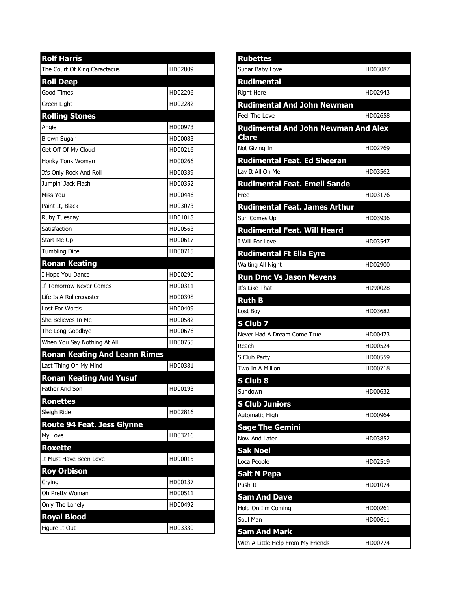| <b>Rolf Harris</b>                   |         |
|--------------------------------------|---------|
| The Court Of King Caractacus         | HD02809 |
| <b>Roll Deep</b>                     |         |
| Good Times                           | HD02206 |
| Green Light                          | HD02282 |
| <b>Rolling Stones</b>                |         |
| Angie                                | HD00973 |
| <b>Brown Sugar</b>                   | HD00083 |
| Get Off Of My Cloud                  | HD00216 |
| Honky Tonk Woman                     | HD00266 |
| It's Only Rock And Roll              | HD00339 |
| Jumpin' Jack Flash                   | HD00352 |
| Miss You                             | HD00446 |
| Paint It, Black                      | HD03073 |
| Ruby Tuesday                         | HD01018 |
| Satisfaction                         | HD00563 |
| Start Me Up                          | HD00617 |
| <b>Tumbling Dice</b>                 | HD00715 |
| <b>Ronan Keating</b>                 |         |
| I Hope You Dance                     | HD00290 |
| If Tomorrow Never Comes              | HD00311 |
| Life Is A Rollercoaster              | HD00398 |
| Lost For Words                       | HD00409 |
| She Believes In Me                   | HD00582 |
| The Long Goodbye                     | HD00676 |
| When You Say Nothing At All          | HD00755 |
| <b>Ronan Keating And Leann Rimes</b> |         |
| Last Thing On My Mind                | HD00381 |
| <b>Ronan Keating And Yusuf</b>       |         |
| <b>Father And Son</b>                | HD00193 |
| <b>Ronettes</b>                      |         |
| Sleigh Ride                          | HD02816 |
| <b>Route 94 Feat. Jess Glynne</b>    |         |
| My Love                              | HD03216 |
| <b>Roxette</b>                       |         |
| It Must Have Been Love               | HD90015 |
| <b>Roy Orbison</b>                   |         |
| Crying                               | HD00137 |
| Oh Pretty Woman                      | HD00511 |
| Only The Lonely                      | HD00492 |
| <b>Royal Blood</b>                   |         |
| Figure It Out                        | HD03330 |

| <b>Rubettes</b>                                            |         |
|------------------------------------------------------------|---------|
| Sugar Baby Love                                            | HD03087 |
| <b>Rudimental</b>                                          |         |
| <b>Right Here</b>                                          | HD02943 |
| <b>Rudimental And John Newman</b>                          |         |
| Feel The Love                                              | HD02658 |
| <b>Rudimental And John Newman And Alex</b><br><b>Clare</b> |         |
| Not Giving In                                              | HD02769 |
| <b>Rudimental Feat. Ed Sheeran</b>                         |         |
| Lay It All On Me                                           | HD03562 |
| Rudimental Feat. Emeli Sande                               |         |
| Free                                                       | HD03176 |
| <b>Rudimental Feat. James Arthur</b>                       |         |
| Sun Comes Up                                               | HD03936 |
| <b>Rudimental Feat. Will Heard</b>                         |         |
| I Will For Love                                            | HD03547 |
| <b>Rudimental Ft Ella Eyre</b>                             |         |
| Waiting All Night                                          | HD02900 |
| <b>Run Dmc Vs Jason Nevens</b>                             |         |
| It's Like That                                             | HD90028 |
|                                                            |         |
| <b>Ruth B</b>                                              |         |
| Lost Boy                                                   | HD03682 |
| S Club 7                                                   |         |
| Never Had A Dream Come True                                | HD00473 |
| Reach                                                      | HD00524 |
| S Club Party                                               | HD00559 |
| Two In A Million                                           | HD00718 |
| S Club 8                                                   |         |
| Sundown                                                    | HD00632 |
| <b>S Club Juniors</b>                                      |         |
| Automatic High                                             | HD00964 |
| <b>Sage The Gemini</b>                                     |         |
| Now And Later                                              | HD03852 |
| <b>Sak Noel</b>                                            |         |
| Loca People                                                | HD02519 |
| <b>Salt N Pepa</b>                                         |         |
| Push It                                                    | HD01074 |
| <b>Sam And Dave</b>                                        |         |
| Hold On I'm Coming                                         | HD00261 |
| Soul Man                                                   | HD00611 |
| <b>Sam And Mark</b>                                        | HD00774 |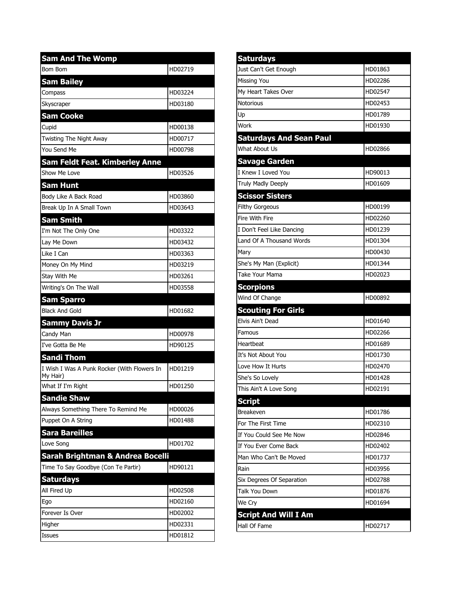| <b>Sam And The Womp</b>                                 |         |
|---------------------------------------------------------|---------|
| <b>Bom Bom</b>                                          | HD02719 |
| <b>Sam Bailey</b>                                       |         |
| Compass                                                 | HD03224 |
| Skyscraper                                              | HD03180 |
| <b>Sam Cooke</b>                                        |         |
| Cupid                                                   | HD00138 |
| Twisting The Night Away                                 | HD00717 |
| You Send Me                                             | HD00798 |
| <b>Sam Feldt Feat. Kimberley Anne</b>                   |         |
| Show Me Love                                            | HD03526 |
| <b>Sam Hunt</b>                                         |         |
| Body Like A Back Road                                   | HD03860 |
| Break Up In A Small Town                                | HD03643 |
| <b>Sam Smith</b>                                        |         |
| I'm Not The Only One                                    | HD03322 |
| Lay Me Down                                             | HD03432 |
| Like I Can                                              | HD03363 |
| Money On My Mind                                        | HD03219 |
| Stay With Me                                            | HD03261 |
| Writing's On The Wall                                   | HD03558 |
| <b>Sam Sparro</b>                                       |         |
| <b>Black And Gold</b>                                   | HD01682 |
| <b>Sammy Davis Jr</b>                                   |         |
| Candy Man                                               | HD00978 |
| I've Gotta Be Me                                        | HD90125 |
| <b>Sandi Thom</b>                                       |         |
| I Wish I Was A Punk Rocker (With Flowers In<br>My Hair) | HD01219 |
| What If I'm Right                                       | HD01250 |
| <b>Sandie Shaw</b>                                      |         |
| Always Something There To Remind Me                     | HD00026 |
| Puppet On A String                                      | HD01488 |
| Sara Bareilles                                          |         |
| Love Song                                               | HD01702 |
| Sarah Brightman & Andrea Bocelli                        |         |
| Time To Say Goodbye (Con Te Partir)                     | HD90121 |
| <b>Saturdays</b>                                        |         |
| All Fired Up                                            | HD02508 |
| Ego                                                     | HD02160 |
| Forever Is Over                                         | HD02002 |
| Higher                                                  | HD02331 |
| Issues                                                  | HD01812 |

| <b>Saturdays</b>                                                                                                       |         |
|------------------------------------------------------------------------------------------------------------------------|---------|
| Just Can't Get Enough                                                                                                  | HD01863 |
| Missing You                                                                                                            | HD02286 |
| My Heart Takes Over                                                                                                    | HD02547 |
| Notorious                                                                                                              | HD02453 |
| Up                                                                                                                     | HD01789 |
| Work                                                                                                                   | HD01930 |
| <b>Saturdays And Sean Paul</b>                                                                                         |         |
| What About Us                                                                                                          | HD02866 |
| <b>Savage Garden</b>                                                                                                   |         |
| I Knew I Loved You                                                                                                     | HD90013 |
| Truly Madly Deeply                                                                                                     | HD01609 |
| <b>Scissor Sisters</b>                                                                                                 |         |
| <b>Filthy Gorgeous</b>                                                                                                 | HD00199 |
| Fire With Fire                                                                                                         | HD02260 |
| I Don't Feel Like Dancing                                                                                              | HD01239 |
| Land Of A Thousand Words                                                                                               | HD01304 |
| Mary                                                                                                                   | HD00430 |
| She's My Man (Explicit)                                                                                                | HD01344 |
| Take Your Mama                                                                                                         | HD02023 |
| <b>Scorpions</b>                                                                                                       |         |
|                                                                                                                        |         |
|                                                                                                                        | HD00892 |
|                                                                                                                        |         |
| Wind Of Change<br><b>Scouting For Girls</b><br>Elvis Ain't Dead                                                        | HD01640 |
| Famous                                                                                                                 | HD02266 |
|                                                                                                                        | HD01689 |
| Heartbeat<br>It's Not About You                                                                                        | HD01730 |
|                                                                                                                        | HD02470 |
| Love How It Hurts<br>She's So Lovely                                                                                   | HD01428 |
|                                                                                                                        | HD02191 |
|                                                                                                                        |         |
| This Ain't A Love Song<br><b>Script</b><br>Breakeven                                                                   | HD01786 |
|                                                                                                                        | HD02310 |
| For The First Time<br>If You Could See Me Now                                                                          | HD02846 |
|                                                                                                                        | HD02402 |
|                                                                                                                        | HD01737 |
|                                                                                                                        | HD03956 |
|                                                                                                                        | HD02788 |
|                                                                                                                        | HD01876 |
| If You Ever Come Back<br>Man Who Can't Be Moved<br>Rain<br>Six Degrees Of Separation<br><b>Talk You Down</b><br>We Cry | HD01694 |
| <b>Script And Will I Am</b>                                                                                            |         |
| Hall Of Fame                                                                                                           | HD02717 |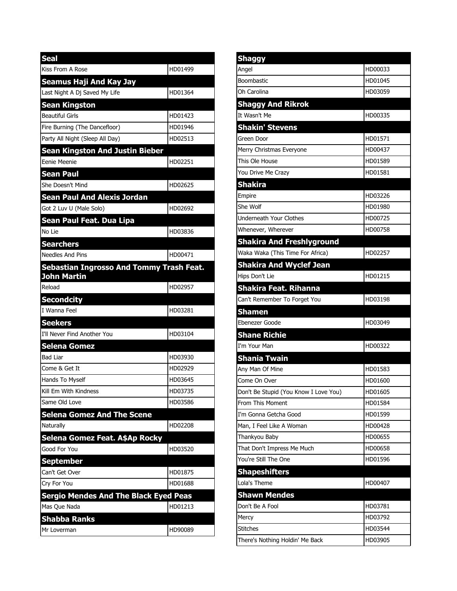| <b>Seal</b>                                  |         |
|----------------------------------------------|---------|
| Kiss From A Rose                             | HD01499 |
| <b>Seamus Haji And Kay Jay</b>               |         |
| Last Night A Dj Saved My Life                | HD01364 |
| Sean Kingston                                |         |
| <b>Beautiful Girls</b>                       | HD01423 |
| Fire Burning (The Dancefloor)                | HD01946 |
| Party All Night (Sleep All Day)              | HD02513 |
| <b>Sean Kingston And Justin Bieber</b>       |         |
| Eenie Meenie                                 | HD02251 |
| <b>Sean Paul</b>                             |         |
| She Doesn't Mind                             | HD02625 |
| <b>Sean Paul And Alexis Jordan</b>           |         |
| Got 2 Luv U (Male Solo)                      | HD02692 |
| Sean Paul Feat. Dua Lipa                     |         |
| No Lie                                       | HD03836 |
| <b>Searchers</b>                             |         |
| <b>Needles And Pins</b>                      | HD00471 |
| Sebastian Ingrosso And Tommy Trash Feat.     |         |
| John Martin                                  |         |
| Reload                                       | HD02957 |
| <b>Secondcity</b>                            |         |
| I Wanna Feel                                 | HD03281 |
| <b>Seekers</b>                               |         |
| I'll Never Find Another You                  | HD03104 |
| <b>Selena Gomez</b><br><b>Bad Liar</b>       | HD03930 |
| Come & Get It                                | HD02929 |
| Hands To Myself                              | HD03645 |
| Kill Em With Kindness                        | HD03735 |
| Same Old Love                                | HD03586 |
| <b>Selena Gomez And The Scene</b>            |         |
| Naturally                                    | HD02208 |
| Selena Gomez Feat. A\$Ap Rocky               |         |
| Good For You                                 | HD03520 |
| <b>September</b>                             |         |
| Can't Get Over                               | HD01875 |
| Cry For You                                  | HD01688 |
| <b>Sergio Mendes And The Black Eyed Peas</b> |         |
| Mas Que Nada                                 | HD01213 |
| <b>Shabba Ranks</b>                          |         |
| Mr Loverman                                  | HD90089 |

| Angel                                 | HD00033 |
|---------------------------------------|---------|
| Boombastic                            | HD01045 |
| Oh Carolina                           | HD03059 |
| <b>Shaggy And Rikrok</b>              |         |
| It Wasn't Me                          | HD00335 |
| <b>Shakin' Stevens</b>                |         |
| Green Door                            | HD01571 |
| Merry Christmas Everyone              | HD00437 |
| This Ole House                        | HD01589 |
| You Drive Me Crazy                    | HD01581 |
| Shakira                               |         |
| Empire                                | HD03226 |
| She Wolf                              | HD01980 |
| <b>Underneath Your Clothes</b>        | HD00725 |
| Whenever, Wherever                    | HD00758 |
| <b>Shakira And Freshlyground</b>      |         |
| Waka Waka (This Time For Africa)      | HD02257 |
| <b>Shakira And Wyclef Jean</b>        |         |
| Hips Don't Lie                        | HD01215 |
| Shakira Feat. Rihanna                 |         |
| Can't Remember To Forget You          | HD03198 |
| Shamen                                |         |
| Ebenezer Goode                        | HD03049 |
| <b>Shane Richie</b>                   |         |
| I'm Your Man                          | HD00322 |
| <b>Shania Twain</b>                   |         |
|                                       |         |
| Any Man Of Mine                       | HD01583 |
| Come On Over                          | HD01600 |
| Don't Be Stupid (You Know I Love You) | HD01605 |
| From This Moment                      | HD01584 |
| I'm Gonna Getcha Good                 | HD01599 |
| Man, I Feel Like A Woman              | HD00428 |
| Thankyou Baby                         | HD00655 |
| That Don't Impress Me Much            | HD00658 |
| You're Still The One                  | HD01596 |
| <b>Shapeshifters</b>                  |         |
| Lola's Theme                          | HD00407 |
| <b>Shawn Mendes</b>                   |         |
| Don't Be A Fool                       | HD03781 |
| Mercy                                 | HD03792 |
| <b>Stitches</b>                       | HD03544 |
| There's Nothing Holdin' Me Back       | HD03905 |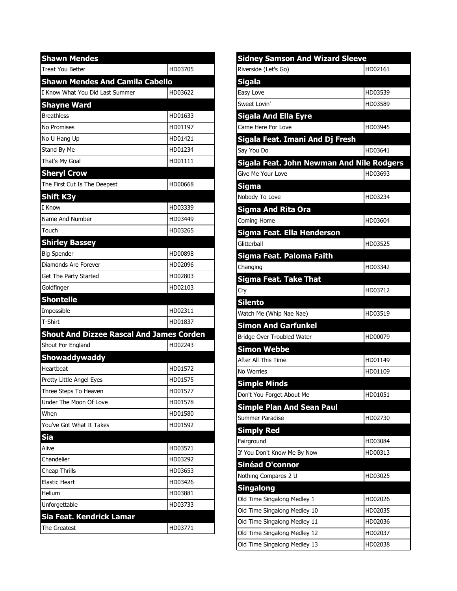| <b>Shawn Mendes</b>                             |         |
|-------------------------------------------------|---------|
| <b>Treat You Better</b>                         | HD03705 |
| <b>Shawn Mendes And Camila Cabello</b>          |         |
| I Know What You Did Last Summer                 | HD03622 |
| <b>Shayne Ward</b>                              |         |
| <b>Breathless</b>                               | HD01633 |
| No Promises                                     | HD01197 |
| No U Hang Up                                    | HD01421 |
| Stand By Me                                     | HD01234 |
| That's My Goal                                  | HD01111 |
| <b>Sheryl Crow</b>                              |         |
| The First Cut Is The Deepest                    | HD00668 |
| <b>Shift K3y</b>                                |         |
| I Know                                          | HD03339 |
| Name And Number                                 | HD03449 |
| Touch                                           | HD03265 |
| <b>Shirley Bassey</b>                           |         |
| <b>Big Spender</b>                              | HD00898 |
| Diamonds Are Forever                            | HD02096 |
| Get The Party Started                           | HD02803 |
| Goldfinger                                      | HD02103 |
| <b>Shontelle</b>                                |         |
| Impossible                                      | HD02311 |
| T-Shirt                                         | HD01837 |
| <b>Shout And Dizzee Rascal And James Corden</b> |         |
| Shout For England                               | HD02243 |
| <b>Showaddywaddy</b>                            |         |
| Heartbeat                                       | HD01572 |
| Pretty Little Angel Eyes                        | HD01575 |
| Three Steps To Heaven                           | HD01577 |
| Under The Moon Of Love                          | HD01578 |
| When                                            | HD01580 |
| You've Got What It Takes                        | HD01592 |
| <b>Sia</b>                                      |         |
| Alive                                           | HD03571 |
| Chandelier                                      | HD03292 |
| Cheap Thrills                                   | HD03653 |
| <b>Elastic Heart</b>                            | HD03426 |
| Helium                                          | HD03881 |
| Unforgettable                                   | HD03733 |
| Sia Feat. Kendrick Lamar                        |         |
| The Greatest                                    | HD03771 |

| <b>Sidney Samson And Wizard Sleeve</b>    |         |
|-------------------------------------------|---------|
| Riverside (Let's Go)                      | HD02161 |
| <b>Sigala</b>                             |         |
| Easy Love                                 | HD03539 |
| Sweet Lovin'                              | HD03589 |
| <b>Sigala And Ella Eyre</b>               |         |
| Came Here For Love                        | HD03945 |
| Sigala Feat. Imani And Dj Fresh           |         |
| Say You Do                                | HD03641 |
| Sigala Feat. John Newman And Nile Rodgers |         |
| Give Me Your Love                         | HD03693 |
| Sigma                                     |         |
| Nobody To Love                            | HD03234 |
| <b>Sigma And Rita Ora</b>                 |         |
| Coming Home                               | HD03604 |
| Sigma Feat. Ella Henderson                |         |
| Glitterball                               | HD03525 |
| Sigma Feat. Paloma Faith                  |         |
| Changing                                  | HD03342 |
| Sigma Feat. Take That                     |         |
| Cry                                       | HD03712 |
| <b>Silento</b>                            |         |
| Watch Me (Whip Nae Nae)                   | HD03519 |
| <b>Simon And Garfunkel</b>                |         |
| Bridge Over Troubled Water                | HD00079 |
| <b>Simon Webbe</b>                        |         |
| After All This Time                       | HD01149 |
| No Worries                                | HD01109 |
| <b>Simple Minds</b>                       |         |
| Don't You Forget About Me                 | HD01051 |
| <b>Simple Plan And Sean Paul</b>          |         |
| Summer Paradise                           | HD02730 |
| <b>Simply Red</b>                         |         |
| Fairground                                | HD03084 |
| If You Don't Know Me By Now               | HD00313 |
| Sinéad O'connor                           |         |
| Nothing Compares 2 U                      | HD03025 |
| <b>Singalong</b>                          |         |
| Old Time Singalong Medley 1               | HD02026 |
| Old Time Singalong Medley 10              | HD02035 |
| Old Time Singalong Medley 11              | HD02036 |
| Old Time Singalong Medley 12              | HD02037 |
| Old Time Singalong Medley 13              | HD02038 |
|                                           |         |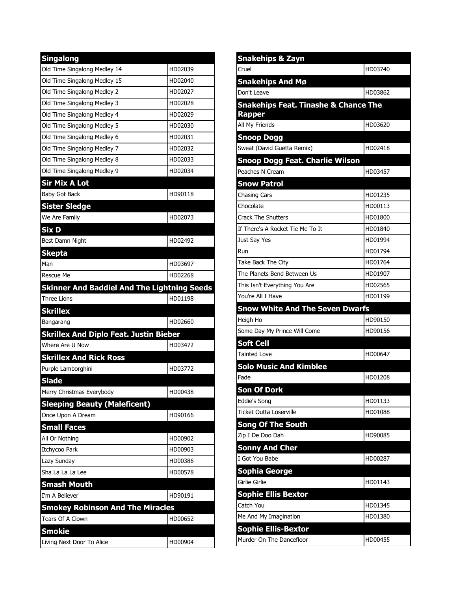| <b>Singalong</b>                                            |         |
|-------------------------------------------------------------|---------|
| Old Time Singalong Medley 14                                | HD02039 |
| Old Time Singalong Medley 15                                | HD02040 |
| Old Time Singalong Medley 2                                 | HD02027 |
| Old Time Singalong Medley 3                                 | HD02028 |
| Old Time Singalong Medley 4                                 | HD02029 |
| Old Time Singalong Medley 5                                 | HD02030 |
| Old Time Singalong Medley 6                                 | HD02031 |
| Old Time Singalong Medley 7                                 | HD02032 |
| Old Time Singalong Medley 8                                 | HD02033 |
| Old Time Singalong Medley 9                                 | HD02034 |
| <b>Sir Mix A Lot</b>                                        |         |
| Baby Got Back                                               | HD90118 |
| <b>Sister Sledge</b>                                        |         |
| We Are Family                                               | HD02073 |
| Six D                                                       |         |
| Best Damn Night                                             | HD02492 |
| <b>Skepta</b>                                               |         |
| Man                                                         | HD03697 |
| Rescue Me                                                   | HD02268 |
| <b>Skinner And Baddiel And The Lightning Seeds</b>          |         |
| <b>Three Lions</b>                                          | HD01198 |
|                                                             |         |
| <b>Skrillex</b>                                             |         |
| Bangarang                                                   | HD02660 |
| <b>Skrillex And Diplo Feat. Justin Bieber</b>               |         |
| Where Are U Now                                             | HD03472 |
| <b>Skrillex And Rick Ross</b>                               |         |
| Purple Lamborghini                                          | HD03772 |
| <b>Slade</b>                                                |         |
| Merry Christmas Everybody                                   | HD00438 |
| <b>Sleeping Beauty (Maleficent)</b>                         |         |
| Once Upon A Dream                                           | HD90166 |
| <b>Small Faces</b>                                          |         |
| All Or Nothing                                              | HD00902 |
| Itchycoo Park                                               | HD00903 |
| Lazy Sunday                                                 | HD00386 |
| Sha La La La Lee                                            | HD00578 |
| <b>Smash Mouth</b>                                          |         |
| I'm A Believer                                              | HD90191 |
|                                                             |         |
| <b>Smokey Robinson And The Miracles</b><br>Tears Of A Clown | HD00652 |
| <b>Smokie</b>                                               |         |

| Snakehips & Zayn                                                 |         |
|------------------------------------------------------------------|---------|
| Cruel                                                            | HD03740 |
| <b>Snakehips And Mø</b>                                          |         |
| Don't Leave                                                      | HD03862 |
| <b>Snakehips Feat. Tinashe &amp; Chance The</b><br><b>Rapper</b> |         |
| All My Friends                                                   | HD03620 |
| <b>Snoop Dogg</b>                                                |         |
| Sweat (David Guetta Remix)                                       | HD02418 |
| <b>Snoop Dogg Feat. Charlie Wilson</b>                           |         |
| Peaches N Cream                                                  | HD03457 |
| <b>Snow Patrol</b>                                               |         |
| <b>Chasing Cars</b>                                              | HD01235 |
| <b>Chocolate</b>                                                 | HD00113 |
| <b>Crack The Shutters</b>                                        | HD01800 |
| If There's A Rocket Tie Me To It                                 | HD01840 |
| Just Say Yes                                                     | HD01994 |
| <b>R</b> un                                                      | HD01794 |
| Take Back The City                                               | HD01764 |
| The Planets Bend Between Us                                      | HD01907 |
| This Isn't Everything You Are                                    | HD02565 |
| You're All I Have                                                | HD01199 |
| <b>Snow White And The Seven Dwarfs</b>                           |         |
| Heigh Ho                                                         | HD90150 |
| Some Day My Prince Will Come                                     | HD90156 |
| <b>Soft Cell</b>                                                 |         |
| <b>Tainted Love</b>                                              | HD00647 |
| <b>Solo Music And Kimblee</b>                                    |         |
| Fade                                                             | HD01208 |
| <b>Son Of Dork</b>                                               |         |
| Eddie's Song                                                     | HD01133 |
| Ticket Outta Loserville                                          | HD01088 |
| <b>Song Of The South</b>                                         |         |
| Zip I De Doo Dah                                                 | HD90085 |
| <b>Sonny And Cher</b>                                            |         |
| I Got You Babe                                                   | HD00287 |
| <b>Sophia George</b>                                             |         |
| Girlie Girlie                                                    | HD01143 |
| <b>Sophie Ellis Bextor</b>                                       |         |
| Catch You                                                        | HD01345 |
| Me And My Imagination                                            | HD01380 |
| <b>Sophie Ellis-Bextor</b>                                       |         |
| Murder On The Dancefloor                                         | HD00455 |
|                                                                  |         |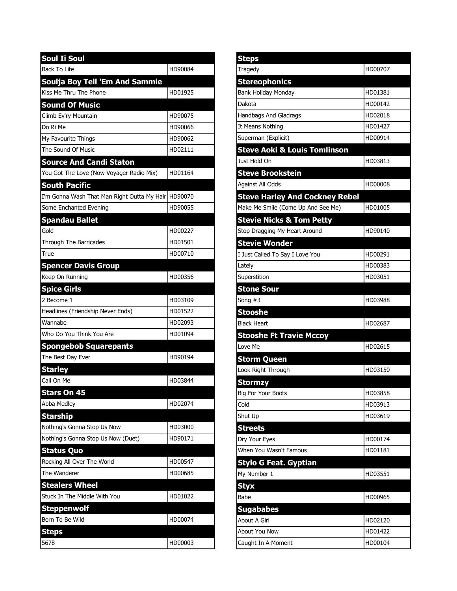| <b>Soul Ii Soul</b>                                 |         |
|-----------------------------------------------------|---------|
| <b>Back To Life</b>                                 | HD90084 |
| <b>Soulja Boy Tell 'Em And Sammie</b>               |         |
| Kiss Me Thru The Phone                              | HD01925 |
| <b>Sound Of Music</b>                               |         |
| Climb Ev'ry Mountain                                | HD90075 |
| Do Ri Me                                            | HD90066 |
| My Favourite Things                                 | HD90062 |
| The Sound Of Music                                  | HD02111 |
| <b>Source And Candi Staton</b>                      |         |
| You Got The Love (Now Voyager Radio Mix)            | HD01164 |
| <b>South Pacific</b>                                |         |
| I'm Gonna Wash That Man Right Outta My Hair HD90070 |         |
| Some Enchanted Evening                              | HD90055 |
| <b>Spandau Ballet</b>                               |         |
| Gold                                                | HD00227 |
| Through The Barricades                              | HD01501 |
| True                                                | HD00710 |
| <b>Spencer Davis Group</b>                          |         |
| Keep On Running                                     | HD00356 |
| <b>Spice Girls</b>                                  |         |
| 2 Become 1                                          | HD03109 |
| Headlines (Friendship Never Ends)                   | HD01522 |
| Wannabe                                             | HD02093 |
| Who Do You Think You Are                            | HD01094 |
| <b>Spongebob Squarepants</b>                        |         |
| The Best Day Ever                                   | HD90194 |
| <b>Starley</b>                                      |         |
| Call On Me                                          | HD03844 |
| <b>Stars On 45</b>                                  |         |
| Abba Medley                                         | HD02074 |
| <b>Starship</b>                                     |         |
| Nothing's Gonna Stop Us Now                         | HD03000 |
| Nothing's Gonna Stop Us Now (Duet)                  | HD90171 |
| <b>Status Quo</b>                                   |         |
| Rocking All Over The World                          | HD00547 |
| The Wanderer                                        | HD00685 |
| <b>Stealers Wheel</b>                               |         |
| Stuck In The Middle With You                        | HD01022 |
| <b>Steppenwolf</b>                                  |         |
| Born To Be Wild                                     | HD00074 |
| Steps                                               |         |
| 5678                                                | HD00003 |

| <b>Steps</b>                            |         |
|-----------------------------------------|---------|
| Tragedy                                 | HD00707 |
| <b>Stereophonics</b>                    |         |
| Bank Holiday Monday                     | HD01381 |
| Dakota                                  | HD00142 |
| Handbags And Gladrags                   | HD02018 |
| It Means Nothing                        | HD01427 |
| Superman (Explicit)                     | HD00914 |
| <b>Steve Aoki &amp; Louis Tomlinson</b> |         |
| Just Hold On                            | HD03813 |
| <b>Steve Brookstein</b>                 |         |
| Against All Odds                        | HD00008 |
| <b>Steve Harley And Cockney Rebel</b>   |         |
| Make Me Smile (Come Up And See Me)      | HD01005 |
| <b>Stevie Nicks &amp; Tom Petty</b>     |         |
| Stop Dragging My Heart Around           | HD90140 |
| <b>Stevie Wonder</b>                    |         |
| I Just Called To Say I Love You         | HD00291 |
| Lately                                  | HD00383 |
| Superstition                            | HD03051 |
| <b>Stone Sour</b>                       |         |
| Song $#3$                               | HD03988 |
| Stooshe                                 |         |
| <b>Black Heart</b>                      | HD02687 |
| <b>Stooshe Ft Travie Mccoy</b>          |         |
| Love Me                                 | HD02615 |
| <b>Storm Queen</b>                      |         |
| Look Right Through                      | HD03150 |
| Stormzy                                 |         |
| <b>Big For Your Boots</b>               | HD03858 |
| Cold                                    | HD03913 |
| Shut Up                                 | HD03619 |
| <b>Streets</b>                          |         |
| Dry Your Eyes                           | HD00174 |
| When You Wasn't Famous                  | HD01181 |
| <b>Stylo G Feat. Gyptian</b>            |         |
| My Number 1                             | HD03551 |
| <b>Styx</b>                             |         |
| Babe                                    | HD00965 |
| <b>Sugababes</b>                        |         |
| About A Girl                            | HD02120 |
| About You Now                           | HD01422 |
| Caught In A Moment                      | HD00104 |
|                                         |         |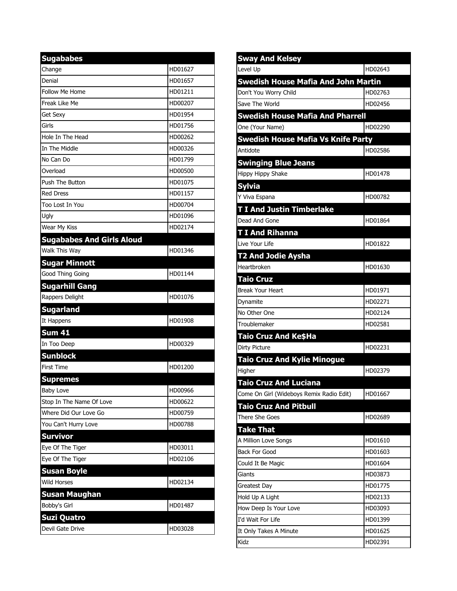| <b>Sugababes</b>                 |         |
|----------------------------------|---------|
| Change                           | HD01627 |
| Denial                           | HD01657 |
| Follow Me Home                   | HD01211 |
| Freak Like Me                    | HD00207 |
| <b>Get Sexy</b>                  | HD01954 |
| Girls                            | HD01756 |
| Hole In The Head                 | HD00262 |
| In The Middle                    | HD00326 |
| No Can Do                        | HD01799 |
| Overload                         | HD00500 |
| <b>Push The Button</b>           | HD01075 |
| <b>Red Dress</b>                 | HD01157 |
| Too Lost In You                  | HD00704 |
| Ugly                             | HD01096 |
| Wear My Kiss                     | HD02174 |
| <b>Sugababes And Girls Aloud</b> |         |
| Walk This Way                    | HD01346 |
| <b>Sugar Minnott</b>             |         |
| Good Thing Going                 | HD01144 |
| <b>Sugarhill Gang</b>            |         |
| Rappers Delight                  | HD01076 |
| <b>Sugarland</b>                 |         |
| It Happens                       | HD01908 |
| <b>Sum 41</b>                    |         |
| In Too Deep                      | HD00329 |
| <b>Sunblock</b>                  |         |
| <b>First Time</b>                | HD01200 |
| <b>Supremes</b>                  |         |
| <b>Baby Love</b>                 | HD00966 |
| Stop In The Name Of Love         | HD00622 |
| Where Did Our Love Go            | HD00759 |
| You Can't Hurry Love             | HD00788 |
| <b>Survivor</b>                  |         |
| Eye Of The Tiger                 | HD03011 |
| Eye Of The Tiger                 | HD02106 |
| <b>Susan Boyle</b>               |         |
| <b>Wild Horses</b>               | HD02134 |
| Susan Maughan                    |         |
| Bobby's Girl                     | HD01487 |
| <b>Suzi Quatro</b>               |         |
| Devil Gate Drive                 | HD03028 |

| <b>Sway And Kelsey</b>                     |         |
|--------------------------------------------|---------|
| Level Up                                   | HD02643 |
| <b>Swedish House Mafia And John Martin</b> |         |
| Don't You Worry Child                      | HD02763 |
| Save The World                             | HD02456 |
| <b>Swedish House Mafia And Pharrell</b>    |         |
| One (Your Name)                            | HD02290 |
| <b>Swedish House Mafia Vs Knife Party</b>  |         |
| Antidote                                   | HD02586 |
| <b>Swinging Blue Jeans</b>                 |         |
| Hippy Hippy Shake                          | HD01478 |
| <b>Sylvia</b>                              |         |
| Y Viva Espana                              | HD00782 |
| <b>T I And Justin Timberlake</b>           |         |
| Dead And Gone                              | HD01864 |
| <b>TI And Rihanna</b>                      |         |
| Live Your Life                             | HD01822 |
| <b>T2 And Jodie Aysha</b>                  |         |
| Heartbroken                                | HD01630 |
| <b>Taio Cruz</b>                           |         |
| <b>Break Your Heart</b>                    | HD01971 |
| Dynamite                                   | HD02271 |
| No Other One                               | HD02124 |
| Troublemaker                               | HD02581 |
| Taio Cruz And Ke\$Ha                       |         |
| <b>Dirty Picture</b>                       | HD02231 |
| <b>Taio Cruz And Kylie Minogue</b>         |         |
| Higher                                     | HD02379 |
| <b>Taio Cruz And Luciana</b>               |         |
| Come On Girl (Wideboys Remix Radio Edit)   | HD01667 |
| <b>Taio Cruz And Pitbull</b>               |         |
| There She Goes                             | HD02689 |
| <b>Take That</b>                           |         |
| A Million Love Songs                       | HD01610 |
| <b>Back For Good</b>                       | HD01603 |
| Could It Be Magic                          | HD01604 |
| Giants                                     | HD03873 |
| Greatest Day                               | HD01775 |
| Hold Up A Light                            | HD02133 |
| How Deep Is Your Love                      | HD03093 |
| I'd Wait For Life                          | HD01399 |
| It Only Takes A Minute                     | HD01625 |
| Kidz                                       | HD02391 |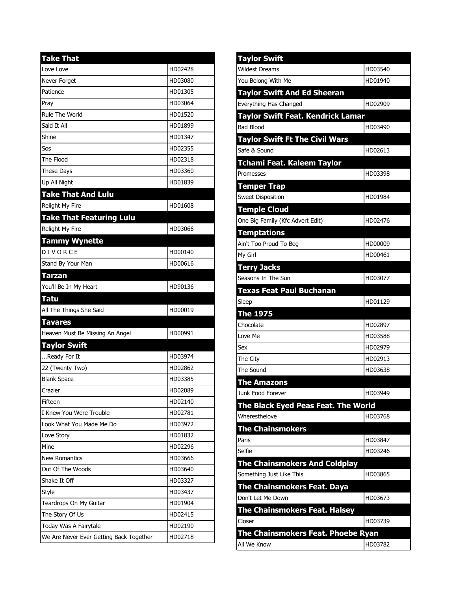| <b>Take That</b>                        |         |
|-----------------------------------------|---------|
| Love Love                               | HD02428 |
| Never Forget                            | HD03080 |
| Patience                                | HD01305 |
| Prav                                    | HD03064 |
| Rule The World                          | HD01520 |
| Said It All                             | HD01899 |
| Shine                                   | HD01347 |
| Sos                                     | HD02355 |
| The Flood                               | HD02318 |
| <b>These Days</b>                       | HD03360 |
| Up All Night                            | HD01839 |
| <b>Take That And Lulu</b>               |         |
| <b>Relight My Fire</b>                  | HD01608 |
| <b>Take That Featuring Lulu</b>         |         |
| Relight My Fire                         | HD03066 |
| <b>Tammy Wynette</b>                    |         |
| DIVORCE                                 | HD00140 |
| Stand By Your Man                       | HD00616 |
| Tarzan                                  |         |
| You'll Be In My Heart                   | HD90136 |
| Tatu                                    |         |
| All The Things She Said                 | HD00019 |
| Tavares                                 |         |
| Heaven Must Be Missing An Angel         | HD00991 |
| <b>Taylor Swift</b>                     |         |
| Ready For It                            | HD03974 |
| 22 (Twenty Two)                         | HD02862 |
| <b>Blank Space</b>                      | HD03385 |
| Crazier                                 | HD02089 |
| Fifteen                                 | HD02140 |
| I Knew You Were Trouble                 | HD02781 |
| Look What You Made Me Do                | HD03972 |
| Love Story                              | HD01832 |
| Mine                                    | HD02296 |
| <b>New Romantics</b>                    | HD03666 |
| Out Of The Woods                        | HD03640 |
| Shake It Off                            | HD03327 |
| Style                                   | HD03437 |
| Teardrops On My Guitar                  | HD01904 |
| The Story Of Us                         | HD02415 |
| Today Was A Fairytale                   | HD02190 |
| We Are Never Ever Getting Back Together | HD02718 |

| <b>Taylor Swift</b>                               |         |
|---------------------------------------------------|---------|
| <b>Wildest Dreams</b>                             | HD03540 |
| You Belong With Me                                | HD01940 |
| <b>Taylor Swift And Ed Sheeran</b>                |         |
| Everything Has Changed                            | HD02909 |
| <b>Taylor Swift Feat. Kendrick Lamar</b>          |         |
| <b>Bad Blood</b>                                  | HD03490 |
| <b>Taylor Swift Ft The Civil Wars</b>             |         |
| Safe & Sound                                      | HD02613 |
| Tchami Feat. Kaleem Taylor                        |         |
| Promesses                                         | HD03398 |
| <b>Temper Trap</b>                                |         |
| <b>Sweet Disposition</b>                          | HD01984 |
| <b>Temple Cloud</b>                               |         |
| One Big Family (Kfc Advert Edit)                  | HD02476 |
| <b>Temptations</b>                                |         |
| Ain't Too Proud To Beg                            | HD00009 |
| My Girl                                           | HD00461 |
| <b>Terry Jacks</b>                                |         |
| Seasons In The Sun                                | HD03077 |
| <b>Texas Feat Paul Buchanan</b>                   |         |
| Sleep                                             | HD01129 |
|                                                   |         |
| <b>The 1975</b>                                   |         |
| Chocolate                                         | HD02897 |
| Love Me                                           | HD03588 |
| Sex                                               | HD02979 |
| The City                                          | HD02913 |
| The Sound                                         | HD03638 |
| <b>The Amazons</b>                                |         |
| Junk Food Forever                                 | HD03949 |
| The Black Eyed Peas Feat. The World               |         |
| Wheresthelove                                     | HD03768 |
| <b>The Chainsmokers</b>                           |         |
| Paris                                             | HD03847 |
| Selfie                                            | HD03246 |
| <b>The Chainsmokers And Coldplay</b>              |         |
| Something Just Like This                          | HD03865 |
| <b>The Chainsmokers Feat. Daya</b>                |         |
| Don't Let Me Down                                 | HD03673 |
| <b>The Chainsmokers Feat. Halsey</b>              |         |
| Closer                                            | HD03739 |
| The Chainsmokers Feat. Phoebe Ryan<br>All We Know | HD03782 |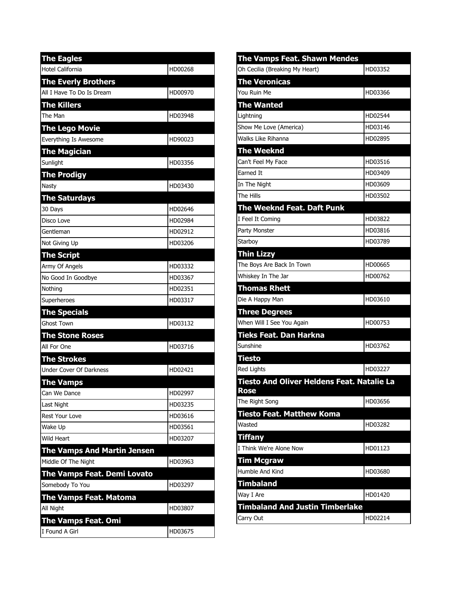| <b>The Eagles</b>                  |         |
|------------------------------------|---------|
| <b>Hotel California</b>            | HD00268 |
| <b>The Everly Brothers</b>         |         |
| All I Have To Do Is Dream          | HD00970 |
| <b>The Killers</b>                 |         |
| The Man                            | HD03948 |
| <b>The Lego Movie</b>              |         |
| Everything Is Awesome              | HD90023 |
| <b>The Magician</b>                |         |
| Sunlight                           | HD03356 |
| <b>The Prodigy</b>                 |         |
| Nasty                              | HD03430 |
| <b>The Saturdays</b>               |         |
| 30 Days                            | HD02646 |
| Disco Love                         | HD02984 |
| Gentleman                          | HD02912 |
| Not Giving Up                      | HD03206 |
| <b>The Script</b>                  |         |
| Army Of Angels                     | HD03332 |
| No Good In Goodbye                 | HD03367 |
| Nothing                            | HD02351 |
| Superheroes                        | HD03317 |
| <b>The Specials</b>                |         |
| <b>Ghost Town</b>                  | HD03132 |
| <b>The Stone Roses</b>             |         |
| All For One                        | HD03716 |
| <b>The Strokes</b>                 |         |
| <b>Under Cover Of Darkness</b>     | HD02421 |
| <b>The Vamps</b>                   |         |
| Can We Dance                       | HD02997 |
| Last Night                         | HD03235 |
| <b>Rest Your Love</b>              | HD03616 |
| Wake Up                            | HD03561 |
| Wild Heart                         | HD03207 |
| <b>The Vamps And Martin Jensen</b> |         |
| Middle Of The Night                | HD03963 |
| <b>The Vamps Feat. Demi Lovato</b> |         |
| Somebody To You                    | HD03297 |
| The Vamps Feat. Matoma             |         |
| All Night                          | HD03807 |
| The Vamps Feat. Omi                |         |
| I Found A Girl                     | HD03675 |

| <b>The Vamps Feat. Shawn Mendes</b>                       |         |
|-----------------------------------------------------------|---------|
| Oh Cecilia (Breaking My Heart)                            | HD03352 |
| <b>The Veronicas</b>                                      |         |
| You Ruin Me                                               | HD03366 |
| <b>The Wanted</b>                                         |         |
| Lightning                                                 | HD02544 |
| Show Me Love (America)                                    | HD03146 |
| Walks Like Rihanna                                        | HD02895 |
| <b>The Weeknd</b>                                         |         |
| Can't Feel My Face                                        | HD03516 |
| Earned It                                                 | HD03409 |
| In The Night                                              | HD03609 |
| The Hills                                                 | HD03502 |
| The Weeknd Feat. Daft Punk                                |         |
| I Feel It Coming                                          | HD03822 |
| Party Monster                                             | HD03816 |
| Starboy                                                   | HD03789 |
| <b>Thin Lizzy</b>                                         |         |
| The Boys Are Back In Town                                 | HD00665 |
| Whiskey In The Jar                                        | HD00762 |
| <b>Thomas Rhett</b>                                       |         |
| Die A Happy Man                                           | HD03610 |
| <b>Three Degrees</b>                                      |         |
| When Will I See You Again                                 | HD00753 |
| Tieks Feat. Dan Harkna                                    |         |
| Sunshine                                                  | HD03762 |
| <b>Tiesto</b>                                             |         |
| <b>Red Lights</b>                                         | HD03227 |
| <b>Tiesto And Oliver Heldens Feat. Natalie La</b><br>Rose |         |
| The Right Song                                            | HD03656 |
| Tiesto Feat. Matthew Koma                                 |         |
| Wasted                                                    | HD03282 |
| <b>Tiffany</b>                                            |         |
| I Think We're Alone Now                                   | HD01123 |
| <b>Tim Mcgraw</b>                                         |         |
| Humble And Kind                                           | HD03680 |
| <b>Timbaland</b>                                          |         |
| Way I Are                                                 | HD01420 |
| <b>Timbaland And Justin Timberlake</b>                    |         |
| Carry Out                                                 | HD02214 |
|                                                           |         |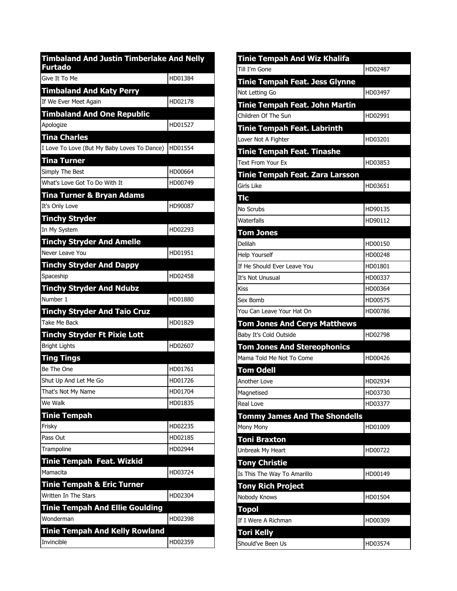| <b>Timbaland And Justin Timberlake And Nelly</b><br><b>Furtado</b> |         |
|--------------------------------------------------------------------|---------|
| Give It To Me                                                      | HD01384 |
| <b>Timbaland And Katy Perry</b>                                    |         |
| If We Ever Meet Again                                              | HD02178 |
| <b>Timbaland And One Republic</b>                                  |         |
| Apologize                                                          | HD01527 |
| <b>Tina Charles</b>                                                |         |
| I Love To Love (But My Baby Loves To Dance)                        | HD01554 |
| Tina Turner                                                        |         |
| Simply The Best                                                    | HD00664 |
| What's Love Got To Do With It                                      | HD00749 |
| Tina Turner & Bryan Adams                                          |         |
| It's Only Love                                                     | HD90087 |
| <b>Tinchy Stryder</b>                                              |         |
| In My System                                                       | HD02293 |
| <b>Tinchy Stryder And Amelle</b>                                   |         |
| Never Leave You                                                    | HD01951 |
| <b>Tinchy Stryder And Dappy</b>                                    |         |
| Spaceship                                                          | HD02458 |
| <b>Tinchy Stryder And Ndubz</b>                                    |         |
| Number 1                                                           | HD01880 |
| <b>Tinchy Stryder And Taio Cruz</b>                                |         |
| Take Me Back                                                       | HD01829 |
| <b>Tinchy Stryder Ft Pixie Lott</b>                                | HD02607 |
| <b>Bright Lights</b>                                               |         |
| Ting Tings<br>Be The One                                           | HD01761 |
| Shut Up And Let Me Go                                              | HD01726 |
| That's Not My Name                                                 | HD01704 |
| We Walk                                                            | HD01835 |
| <b>Tinie Tempah</b>                                                |         |
| Frisky                                                             | HD02235 |
| Pass Out                                                           | HD02185 |
| Trampoline                                                         | HD02944 |
| <b>Tinie Tempah Feat. Wizkid</b>                                   |         |
| Mamacita                                                           | HD03724 |
| <b>Tinie Tempah &amp; Eric Turner</b>                              |         |
| Written In The Stars                                               | HD02304 |
| <b>Tinie Tempah And Ellie Goulding</b>                             |         |
| Wonderman                                                          | HD02398 |
| <b>Tinie Tempah And Kelly Rowland</b>                              |         |
| Invincible                                                         | HD02359 |

| <b>Tinie Tempah And Wiz Khalifa</b>   |         |
|---------------------------------------|---------|
| Till I'm Gone                         | HD02487 |
| <b>Tinie Tempah Feat. Jess Glynne</b> |         |
| Not Letting Go                        | HD03497 |
| Tinie Tempah Feat. John Martin        |         |
| Children Of The Sun                   | HD02991 |
| <b>Tinie Tempah Feat. Labrinth</b>    |         |
| Lover Not A Fighter                   | HD03201 |
| Tinie Tempah Feat. Tinashe            |         |
| Text From Your Fx                     | HD03853 |
| Tinie Tempah Feat. Zara Larsson       |         |
| Girls Like                            | HD03651 |
| <b>Tlc</b>                            |         |
| No Scrubs                             | HD90135 |
| Waterfalls                            | HD90112 |
| <b>Tom Jones</b>                      |         |
| Delilah                               | HD00150 |
| <b>Help Yourself</b>                  | HD00248 |
| If He Should Ever Leave You           | HD01801 |
| It's Not Unusual                      | HD00337 |
| <b>Kiss</b>                           | HD00364 |
| Sex Bomb                              | HD00575 |
| You Can Leave Your Hat On             | HD00786 |
| <b>Tom Jones And Cerys Matthews</b>   |         |
| Baby It's Cold Outside                | HD02798 |
| <b>Tom Jones And Stereophonics</b>    |         |
| Mama Told Me Not To Come              | HD00426 |
| <b>Tom Odell</b>                      |         |
| Another Love                          | HD02934 |
| Magnetised                            | HD03730 |
| Real Love                             | HD03377 |
| <b>Tommy James And The Shondells</b>  |         |
| Mony Mony                             | HD01009 |
| <b>Toni Braxton</b>                   |         |
| Unbreak My Heart                      | HD00722 |
| <b>Tony Christie</b>                  |         |
| Is This The Way To Amarillo           | HD00149 |
| <b>Tony Rich Project</b>              |         |
| Nobody Knows                          | HD01504 |
| <b>Topol</b>                          |         |
| If I Were A Richman                   | HD00309 |
| <b>Tori Kelly</b>                     |         |
| Should've Been Us                     | HD03574 |
|                                       |         |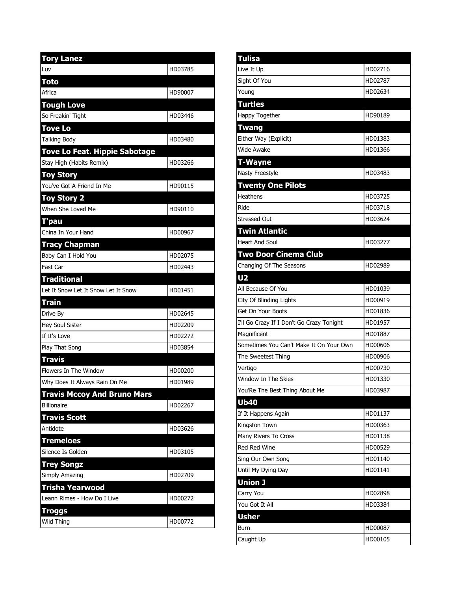| <b>Tory Lanez</b>                   |         |
|-------------------------------------|---------|
| Luv                                 | HD03785 |
| Toto                                |         |
| Africa                              | HD90007 |
| <b>Tough Love</b>                   |         |
| So Freakin' Tight                   | HD03446 |
| <b>Tove Lo</b>                      |         |
| <b>Talking Body</b>                 | HD03480 |
| Tove Lo Feat. Hippie Sabotage       |         |
| Stay High (Habits Remix)            | HD03266 |
| <b>Toy Story</b>                    |         |
| You've Got A Friend In Me           | HD90115 |
| <b>Toy Story 2</b>                  |         |
| When She Loved Me                   | HD90110 |
| T'pau                               |         |
| China In Your Hand                  | HD00967 |
| <b>Tracy Chapman</b>                |         |
| Baby Can I Hold You                 | HD02075 |
| Fast Car                            | HD02443 |
| <b>Traditional</b>                  |         |
| Let It Snow Let It Snow Let It Snow | HD01451 |
| <b>Train</b>                        |         |
| Drive By                            | HD02645 |
| Hey Soul Sister                     | HD02209 |
| If It's Love                        | HD02272 |
| Play That Song                      | HD03854 |
| <b>Travis</b>                       |         |
| Flowers In The Window               |         |
|                                     | HD00200 |
| Why Does It Always Rain On Me       | HD01989 |
| <b>Travis Mccoy And Bruno Mars</b>  |         |
| <b>Billionaire</b>                  | HD02267 |
| <b>Travis Scott</b>                 |         |
| Antidote                            | HD03626 |
| <b>Tremeloes</b>                    |         |
| Silence Is Golden                   | HD03105 |
| <b>Trey Songz</b>                   |         |
| Simply Amazing                      | HD02709 |
| Trisha Yearwood                     |         |
| Leann Rimes - How Do I Live         | HD00272 |
| Troggs                              |         |

| <b>Tulisa</b>                             |         |
|-------------------------------------------|---------|
| Live It Up                                | HD02716 |
| Sight Of You                              | HD02787 |
| Young                                     | HD02634 |
| <b>Turtles</b>                            |         |
| Happy Together                            | HD90189 |
| Twang                                     |         |
| Either Way (Explicit)                     | HD01383 |
| Wide Awake                                | HD01366 |
| T-Wayne                                   |         |
| Nasty Freestyle                           | HD03483 |
| <b>Twenty One Pilots</b>                  |         |
| Heathens                                  | HD03725 |
| Ride                                      | HD03718 |
| <b>Stressed Out</b>                       | HD03624 |
| <b>Twin Atlantic</b>                      |         |
| <b>Heart And Soul</b>                     | HD03277 |
| Two Door Cinema Club                      |         |
| Changing Of The Seasons                   | HD02989 |
| U2                                        |         |
| All Because Of You                        | HD01039 |
| City Of Blinding Lights                   | HD00919 |
| Get On Your Boots                         | HD01836 |
| I'll Go Crazy If I Don't Go Crazy Tonight | HD01957 |
| Magnificent                               | HD01887 |
| Sometimes You Can't Make It On Your Own   | HD00606 |
| The Sweetest Thing                        | HD00906 |
| Vertigo                                   | HD00730 |
| Window In The Skies                       | HD01330 |
| You'Re The Best Thing About Me            | HD03987 |
| <b>Ub40</b>                               |         |
| If It Happens Again                       | HD01137 |
| Kingston Town                             | HD00363 |
| Many Rivers To Cross                      | HD01138 |
| <b>Red Red Wine</b>                       | HD00529 |
| Sing Our Own Song                         | HD01140 |
|                                           |         |
|                                           | HD01141 |
| Until My Dying Day<br>Union J             |         |
|                                           | HD02898 |
| Carry You<br>You Got It All               | HD03384 |
| <b>Usher</b>                              |         |
| Burn                                      | HD00087 |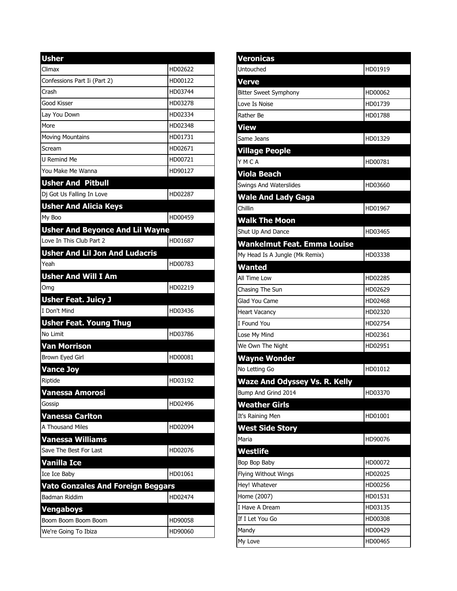| <b>Usher</b>                             |         |
|------------------------------------------|---------|
| Climax                                   | HD02622 |
| Confessions Part Ii (Part 2)             | HD00122 |
| Crash                                    | HD03744 |
| Good Kisser                              | HD03278 |
| Lay You Down                             | HD02334 |
| More                                     | HD02348 |
| <b>Moving Mountains</b>                  | HD01731 |
| Scream                                   | HD02671 |
| <b>U Remind Me</b>                       | HD00721 |
| You Make Me Wanna                        | HD90127 |
| <b>Usher And Pitbull</b>                 |         |
| Dj Got Us Falling In Love                | HD02287 |
| <b>Usher And Alicia Keys</b>             |         |
| My Boo                                   | HD00459 |
| <b>Usher And Beyonce And Lil Wayne</b>   |         |
| Love In This Club Part 2                 | HD01687 |
| <b>Usher And Lil Jon And Ludacris</b>    |         |
| Yeah                                     | HD00783 |
| <b>Usher And Will I Am</b>               |         |
| Omg                                      | HD02219 |
| <b>Usher Feat. Juicy J</b>               |         |
| I Don't Mind                             | HD03436 |
| <b>Usher Feat. Young Thug</b>            |         |
| No Limit                                 | HD03786 |
| <b>Van Morrison</b>                      |         |
| Brown Eyed Girl                          | HD00081 |
| <b>Vance Joy</b>                         |         |
| Riptide                                  | HD03192 |
| Vanessa Amorosi                          |         |
| Gossip                                   | HD02496 |
| Vanessa Carlton                          |         |
| A Thousand Miles                         | HD02094 |
| <b>Vanessa Williams</b>                  |         |
| Save The Best For Last                   | HD02076 |
| <b>Vanilla Ice</b>                       |         |
| Ice Ice Baby                             | HD01061 |
| <b>Vato Gonzales And Foreign Beggars</b> |         |
| Badman Riddim                            | HD02474 |
| Vengaboys                                |         |
| Boom Boom Boom Boom                      | HD90058 |
| We're Going To Ibiza                     | HD90060 |

| <b>Veronicas</b>                     |         |
|--------------------------------------|---------|
| Untouched                            | HD01919 |
| <b>Verve</b>                         |         |
| <b>Bitter Sweet Symphony</b>         | HD00062 |
| Love Is Noise                        | HD01739 |
| Rather Be                            | HD01788 |
| <b>View</b>                          |         |
| Same Jeans                           | HD01329 |
| <b>Village People</b>                |         |
| YMCA                                 | HD00781 |
| Viola Beach                          |         |
| Swings And Waterslides               | HD03660 |
| <b>Wale And Lady Gaga</b>            |         |
| Chillin                              | HD01967 |
| <b>Walk The Moon</b>                 |         |
| Shut Up And Dance                    | HD03465 |
| <b>Wankelmut Feat. Emma Louise</b>   |         |
| My Head Is A Jungle (Mk Remix)       | HD03338 |
| Wanted                               |         |
| All Time Low                         | HD02285 |
| Chasing The Sun                      | HD02629 |
| Glad You Came                        | HD02468 |
| <b>Heart Vacancy</b>                 | HD02320 |
| I Found You                          | HD02754 |
| Lose My Mind                         | HD02361 |
| We Own The Night                     | HD02951 |
| <b>Wayne Wonder</b>                  |         |
| No Letting Go                        | HD01012 |
| <b>Waze And Odyssey Vs. R. Kelly</b> |         |
| Bump And Grind 2014                  | HD03370 |
| <b>Weather Girls</b>                 |         |
| It's Raining Men                     | HD01001 |
| <b>West Side Story</b>               |         |
| Maria                                | HD90076 |
| Westlife                             |         |
| Bop Bop Baby                         | HD00072 |
| <b>Flying Without Wings</b>          | HD02025 |
| Hey! Whatever                        | HD00256 |
| Home (2007)                          | HD01531 |
| I Have A Dream                       | HD03135 |
| If I Let You Go                      | HD00308 |
| Mandy                                | HD00429 |
| My Love                              | HD00465 |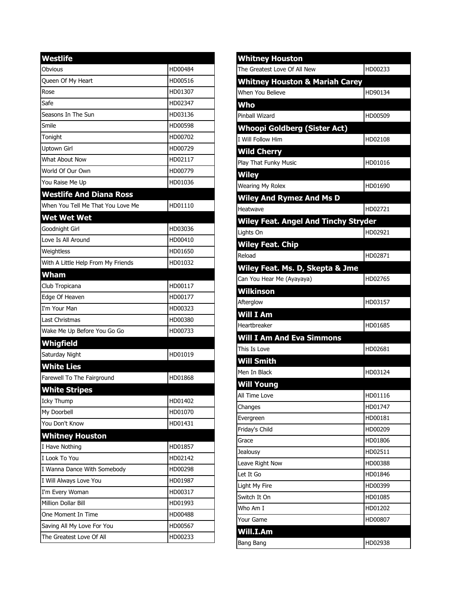| <b>Westlife</b>                    |         |
|------------------------------------|---------|
| Obvious                            | HD00484 |
| <b>Oueen Of My Heart</b>           | HD00516 |
| Rose                               | HD01307 |
| Safe                               | HD02347 |
| Seasons In The Sun                 | HD03136 |
| Smile                              | HD00598 |
| Tonight                            | HD00702 |
| <b>Uptown Girl</b>                 | HD00729 |
| What About Now                     | HD02117 |
| World Of Our Own                   | HD00779 |
| You Raise Me Up                    | HD01036 |
| <b>Westlife And Diana Ross</b>     |         |
| When You Tell Me That You Love Me  | HD01110 |
| <b>Wet Wet Wet</b>                 |         |
| Goodnight Girl                     | HD03036 |
| Love Is All Around                 | HD00410 |
| Weightless                         | HD01650 |
| With A Little Help From My Friends | HD01032 |
| <b>Wham</b>                        |         |
| Club Tropicana                     | HD00117 |
| Edge Of Heaven                     | HD00177 |
| I'm Your Man                       | HD00323 |
| <b>Last Christmas</b>              | HD00380 |
| Wake Me Up Before You Go Go        | HD00733 |
| Whigfield                          |         |
| Saturday Night                     | HD01019 |
| <b>White Lies</b>                  |         |
| Farewell To The Fairground         | HD01868 |
| <b>White Stripes</b>               |         |
| Icky Thump                         | HD01402 |
| My Doorbell                        | HD01070 |
| You Don't Know                     | HD01431 |
| <b>Whitney Houston</b>             |         |
| I Have Nothing                     | HD01857 |
| I Look To You                      | HD02142 |
| I Wanna Dance With Somebody        | HD00298 |
| I Will Always Love You             | HD01987 |
| I'm Every Woman                    | HD00317 |
| Million Dollar Bill                | HD01993 |
| One Moment In Time                 | HD00488 |
| Saving All My Love For You         | HD00567 |
| The Greatest Love Of All           | HD00233 |

| <b>Whitney Houston</b>                      |         |
|---------------------------------------------|---------|
| The Greatest Love Of All New                | HD00233 |
| <b>Whitney Houston &amp; Mariah Carey</b>   |         |
| When You Believe                            | HD90134 |
| Who                                         |         |
| Pinball Wizard                              | HD00509 |
| <b>Whoopi Goldberg (Sister Act)</b>         |         |
| I Will Follow Him                           | HD02108 |
| <b>Wild Cherry</b>                          |         |
| <b>Play That Funky Music</b>                | HD01016 |
| <b>Wiley</b>                                |         |
| <b>Wearing My Rolex</b>                     | HD01690 |
| <b>Wiley And Rymez And Ms D</b>             |         |
| Heatwave                                    | HD02721 |
| <b>Wiley Feat. Angel And Tinchy Stryder</b> |         |
| Lights On                                   | HD02921 |
| <b>Wiley Feat. Chip</b>                     |         |
| Reload                                      | HD02871 |
| Wiley Feat. Ms. D, Skepta & Jme             |         |
| Can You Hear Me (Ayayaya)                   | HD02765 |
| Wilkinson                                   |         |
| Afterglow                                   | HD03157 |
| Will I Am                                   |         |
| Heartbreaker                                | HD01685 |
| <b>Will I Am And Eva Simmons</b>            |         |
| This Is Love                                | HD02681 |
| <b>Will Smith</b>                           |         |
| Men In Black                                | HD03124 |
| <b>Will Young</b>                           |         |
| All Time Love                               | HD01116 |
| Changes                                     | HD01747 |
| Evergreen                                   | HD00181 |
| Friday's Child                              | HD00209 |
| Grace                                       | HD01806 |
| Jealousy                                    | HD02511 |
| Leave Right Now                             | HD00388 |
| Let It Go                                   | HD01846 |
| Light My Fire                               | HD00399 |
| Switch It On                                | HD01085 |
| Who Am I                                    | HD01202 |
| Your Game                                   | HD00807 |
| Will.I.Am                                   |         |
| Bang Bang                                   | HD02938 |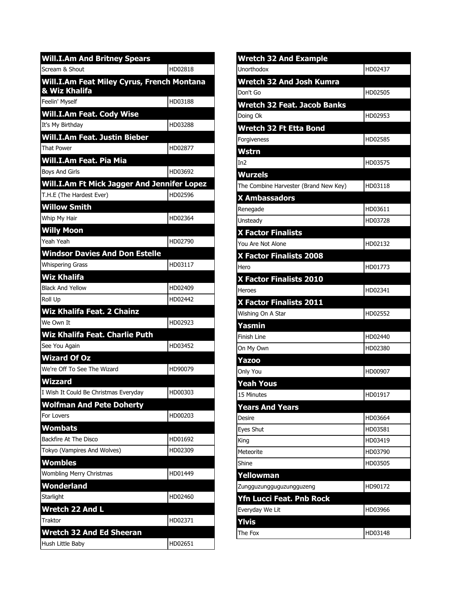| <b>Will.I.Am And Britney Spears</b>                                |         |
|--------------------------------------------------------------------|---------|
| Scream & Shout                                                     | HD02818 |
| <b>Will.I.Am Feat Miley Cyrus, French Montana</b><br>& Wiz Khalifa |         |
| Feelin' Myself                                                     | HD03188 |
| <b>Will.I.Am Feat. Cody Wise</b>                                   |         |
| It's My Birthday                                                   | HD03288 |
| Will.I.Am Feat. Justin Bieber                                      |         |
| <b>That Power</b>                                                  | HD02877 |
| Will.I.Am Feat. Pia Mia                                            |         |
| <b>Boys And Girls</b>                                              | HD03692 |
| Will.I.Am Ft Mick Jagger And Jennifer Lopez                        |         |
| T.H.E (The Hardest Ever)                                           | HD02596 |
| <b>Willow Smith</b>                                                |         |
| Whip My Hair                                                       | HD02364 |
| <b>Willy Moon</b>                                                  |         |
| Yeah Yeah                                                          | HD02790 |
| <b>Windsor Davies And Don Estelle</b>                              |         |
| <b>Whispering Grass</b>                                            | HD03117 |
| <b>Wiz Khalifa</b>                                                 |         |
| <b>Black And Yellow</b>                                            | HD02409 |
| Roll Up                                                            | HD02442 |
| Wiz Khalifa Feat. 2 Chainz                                         |         |
| We Own It                                                          | HD02923 |
| Wiz Khalifa Feat. Charlie Puth                                     |         |
| See You Again                                                      | HD03452 |
| <b>Wizard Of Oz</b>                                                |         |
| We're Off To See The Wizard                                        | HD90079 |
| <b>Wizzard</b>                                                     |         |
| I Wish It Could Be Christmas Everyday                              | HD00303 |
| <b>Wolfman And Pete Doherty</b>                                    |         |
| For Lovers                                                         | HD00203 |
| <b>Wombats</b>                                                     |         |
| Backfire At The Disco                                              | HD01692 |
| Tokyo (Vampires And Wolves)                                        | HD02309 |
| Wombles                                                            |         |
| Wombling Merry Christmas                                           | HD01449 |
| Wonderland                                                         |         |
| Starlight                                                          | HD02460 |
| Wretch 22 And L                                                    |         |
| Traktor                                                            | HD02371 |
| <b>Wretch 32 And Ed Sheeran</b>                                    |         |
| Hush Little Baby                                                   | HD02651 |

| HD02437 |
|---------|
|         |
| HD02505 |
|         |
| HD02953 |
|         |
| HD02585 |
|         |
| HD03575 |
|         |
| HD03118 |
|         |
| HD03611 |
| HD03728 |
|         |
| HD02132 |
|         |
| HD01773 |
|         |
| HD02341 |
|         |
| HD02552 |
|         |
| HD02440 |
|         |
| HD02380 |
|         |
| HD00907 |
|         |
| HD01917 |
|         |
| HD03664 |
| HD03581 |
| HD03419 |
| HD03790 |
| HD03505 |
|         |
| HD90172 |
|         |
| HD03966 |
|         |
|         |